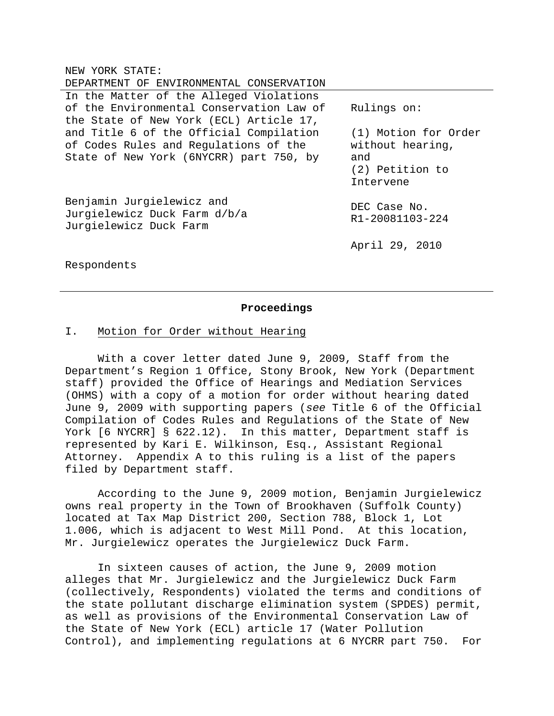| NEW | YORK STATE: |
|-----|-------------|
|     |             |

| DEPARTMENT OF ENVIRONMENTAL CONSERVATION |                      |
|------------------------------------------|----------------------|
| In the Matter of the Alleged Violations  |                      |
| of the Environmental Conservation Law of | Rulings on:          |
| the State of New York (ECL) Article 17,  |                      |
| and Title 6 of the Official Compilation  | (1) Motion for Order |
| of Codes Rules and Regulations of the    | without hearing,     |
| State of New York (6NYCRR) part 750, by  | and                  |
|                                          | (2) Petition to      |
|                                          | Intervene            |
| Benjamin Jurgielewicz and                |                      |
| Jurgielewicz Duck Farm d/b/a             | DEC Case No.         |
| Jurgielewicz Duck Farm                   | R1-20081103-224      |
|                                          |                      |
|                                          | April 29, 2010       |
|                                          |                      |

Respondents

#### **Proceedings**

# I. Motion for Order without Hearing

 With a cover letter dated June 9, 2009, Staff from the Department's Region 1 Office, Stony Brook, New York (Department staff) provided the Office of Hearings and Mediation Services (OHMS) with a copy of a motion for order without hearing dated June 9, 2009 with supporting papers (*see* Title 6 of the Official Compilation of Codes Rules and Regulations of the State of New York [6 NYCRR] § 622.12). In this matter, Department staff is represented by Kari E. Wilkinson, Esq., Assistant Regional Attorney. Appendix A to this ruling is a list of the papers filed by Department staff.

 According to the June 9, 2009 motion, Benjamin Jurgielewicz owns real property in the Town of Brookhaven (Suffolk County) located at Tax Map District 200, Section 788, Block 1, Lot 1.006, which is adjacent to West Mill Pond. At this location, Mr. Jurgielewicz operates the Jurgielewicz Duck Farm.

 In sixteen causes of action, the June 9, 2009 motion alleges that Mr. Jurgielewicz and the Jurgielewicz Duck Farm (collectively, Respondents) violated the terms and conditions of the state pollutant discharge elimination system (SPDES) permit, as well as provisions of the Environmental Conservation Law of the State of New York (ECL) article 17 (Water Pollution Control), and implementing regulations at 6 NYCRR part 750. For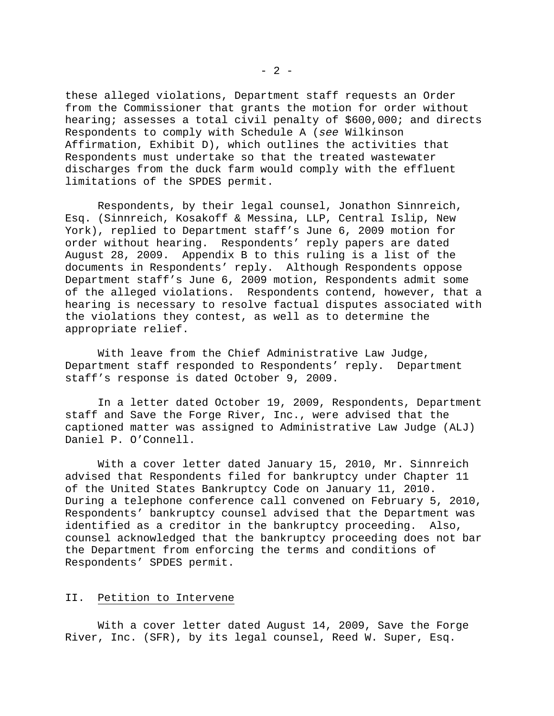these alleged violations, Department staff requests an Order from the Commissioner that grants the motion for order without hearing; assesses a total civil penalty of \$600,000; and directs Respondents to comply with Schedule A (*see* Wilkinson Affirmation, Exhibit D), which outlines the activities that Respondents must undertake so that the treated wastewater discharges from the duck farm would comply with the effluent limitations of the SPDES permit.

 Respondents, by their legal counsel, Jonathon Sinnreich, Esq. (Sinnreich, Kosakoff & Messina, LLP, Central Islip, New York), replied to Department staff's June 6, 2009 motion for order without hearing. Respondents' reply papers are dated August 28, 2009. Appendix B to this ruling is a list of the documents in Respondents' reply. Although Respondents oppose Department staff's June 6, 2009 motion, Respondents admit some of the alleged violations. Respondents contend, however, that a hearing is necessary to resolve factual disputes associated with the violations they contest, as well as to determine the appropriate relief.

 With leave from the Chief Administrative Law Judge, Department staff responded to Respondents' reply. Department staff's response is dated October 9, 2009.

 In a letter dated October 19, 2009, Respondents, Department staff and Save the Forge River, Inc., were advised that the captioned matter was assigned to Administrative Law Judge (ALJ) Daniel P. O'Connell.

 With a cover letter dated January 15, 2010, Mr. Sinnreich advised that Respondents filed for bankruptcy under Chapter 11 of the United States Bankruptcy Code on January 11, 2010. During a telephone conference call convened on February 5, 2010, Respondents' bankruptcy counsel advised that the Department was identified as a creditor in the bankruptcy proceeding. Also, counsel acknowledged that the bankruptcy proceeding does not bar the Department from enforcing the terms and conditions of Respondents' SPDES permit.

# II. Petition to Intervene

 With a cover letter dated August 14, 2009, Save the Forge River, Inc. (SFR), by its legal counsel, Reed W. Super, Esq.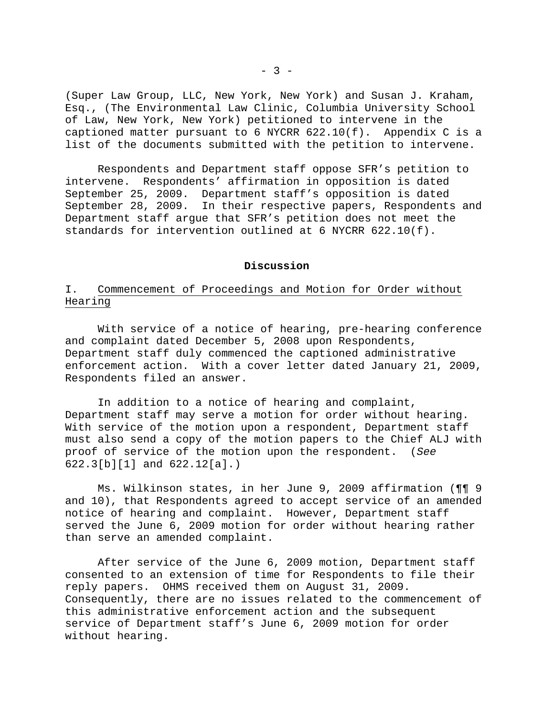(Super Law Group, LLC, New York, New York) and Susan J. Kraham, Esq., (The Environmental Law Clinic, Columbia University School of Law, New York, New York) petitioned to intervene in the captioned matter pursuant to 6 NYCRR 622.10(f). Appendix C is a list of the documents submitted with the petition to intervene.

 Respondents and Department staff oppose SFR's petition to intervene. Respondents' affirmation in opposition is dated September 25, 2009. Department staff's opposition is dated September 28, 2009. In their respective papers, Respondents and Department staff argue that SFR's petition does not meet the standards for intervention outlined at 6 NYCRR 622.10(f).

#### **Discussion**

# I. Commencement of Proceedings and Motion for Order without Hearing

 With service of a notice of hearing, pre-hearing conference and complaint dated December 5, 2008 upon Respondents, Department staff duly commenced the captioned administrative enforcement action. With a cover letter dated January 21, 2009, Respondents filed an answer.

 In addition to a notice of hearing and complaint, Department staff may serve a motion for order without hearing. With service of the motion upon a respondent, Department staff must also send a copy of the motion papers to the Chief ALJ with proof of service of the motion upon the respondent. (*See*  622.3[b][1] and 622.12[a].)

 Ms. Wilkinson states, in her June 9, 2009 affirmation (¶¶ 9 and 10), that Respondents agreed to accept service of an amended notice of hearing and complaint. However, Department staff served the June 6, 2009 motion for order without hearing rather than serve an amended complaint.

 After service of the June 6, 2009 motion, Department staff consented to an extension of time for Respondents to file their reply papers. OHMS received them on August 31, 2009. Consequently, there are no issues related to the commencement of this administrative enforcement action and the subsequent service of Department staff's June 6, 2009 motion for order without hearing.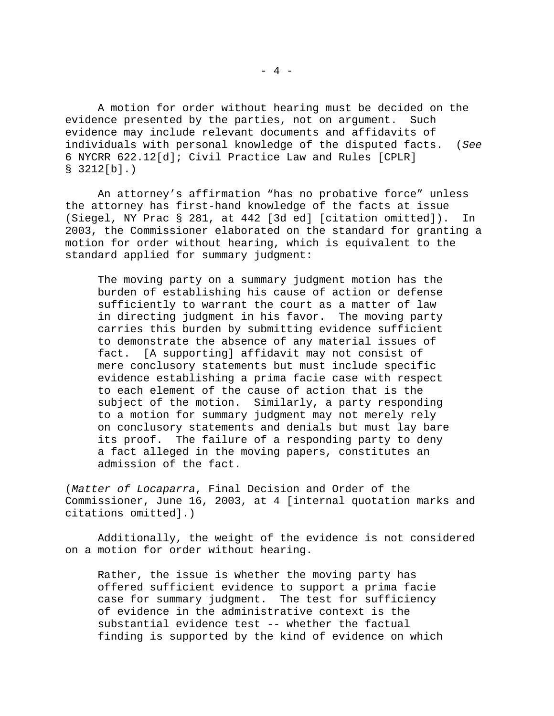A motion for order without hearing must be decided on the evidence presented by the parties, not on argument. Such evidence may include relevant documents and affidavits of individuals with personal knowledge of the disputed facts. (*See*  6 NYCRR 622.12[d]; Civil Practice Law and Rules [CPLR] § 3212[b].)

 An attorney's affirmation "has no probative force" unless the attorney has first-hand knowledge of the facts at issue (Siegel, NY Prac § 281, at 442 [3d ed] [citation omitted]). In 2003, the Commissioner elaborated on the standard for granting a motion for order without hearing, which is equivalent to the standard applied for summary judgment:

The moving party on a summary judgment motion has the burden of establishing his cause of action or defense sufficiently to warrant the court as a matter of law in directing judgment in his favor. The moving party carries this burden by submitting evidence sufficient to demonstrate the absence of any material issues of fact. [A supporting] affidavit may not consist of mere conclusory statements but must include specific evidence establishing a prima facie case with respect to each element of the cause of action that is the subject of the motion. Similarly, a party responding to a motion for summary judgment may not merely rely on conclusory statements and denials but must lay bare its proof. The failure of a responding party to deny a fact alleged in the moving papers, constitutes an admission of the fact.

(*Matter of Locaparra*, Final Decision and Order of the Commissioner, June 16, 2003, at 4 [internal quotation marks and citations omitted].)

 Additionally, the weight of the evidence is not considered on a motion for order without hearing.

Rather, the issue is whether the moving party has offered sufficient evidence to support a prima facie case for summary judgment. The test for sufficiency of evidence in the administrative context is the substantial evidence test -- whether the factual finding is supported by the kind of evidence on which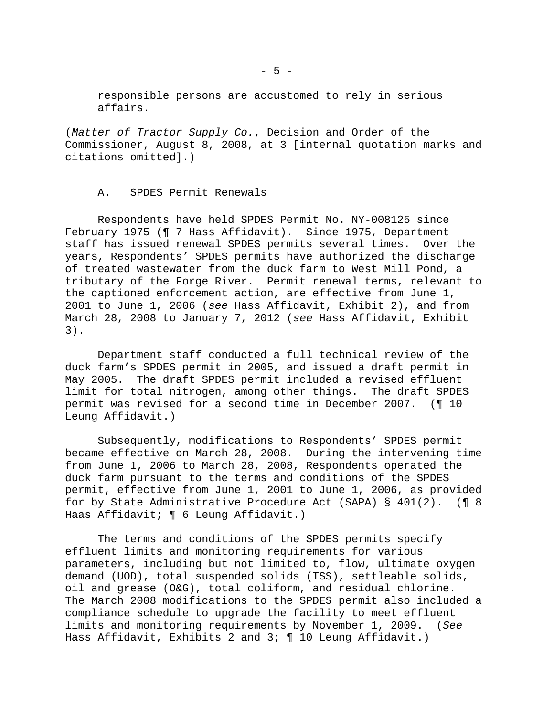responsible persons are accustomed to rely in serious affairs.

(*Matter of Tractor Supply Co.*, Decision and Order of the Commissioner, August 8, 2008, at 3 [internal quotation marks and citations omitted].)

### A. SPDES Permit Renewals

 Respondents have held SPDES Permit No. NY-008125 since February 1975 (¶ 7 Hass Affidavit). Since 1975, Department staff has issued renewal SPDES permits several times. Over the years, Respondents' SPDES permits have authorized the discharge of treated wastewater from the duck farm to West Mill Pond, a tributary of the Forge River. Permit renewal terms, relevant to the captioned enforcement action, are effective from June 1, 2001 to June 1, 2006 (*see* Hass Affidavit, Exhibit 2), and from March 28, 2008 to January 7, 2012 (*see* Hass Affidavit, Exhibit 3).

 Department staff conducted a full technical review of the duck farm's SPDES permit in 2005, and issued a draft permit in May 2005. The draft SPDES permit included a revised effluent limit for total nitrogen, among other things. The draft SPDES permit was revised for a second time in December 2007. (¶ 10 Leung Affidavit.)

 Subsequently, modifications to Respondents' SPDES permit became effective on March 28, 2008. During the intervening time from June 1, 2006 to March 28, 2008, Respondents operated the duck farm pursuant to the terms and conditions of the SPDES permit, effective from June 1, 2001 to June 1, 2006, as provided for by State Administrative Procedure Act (SAPA) § 401(2). (¶ 8 Haas Affidavit; ¶ 6 Leung Affidavit.)

 The terms and conditions of the SPDES permits specify effluent limits and monitoring requirements for various parameters, including but not limited to, flow, ultimate oxygen demand (UOD), total suspended solids (TSS), settleable solids, oil and grease (O&G), total coliform, and residual chlorine. The March 2008 modifications to the SPDES permit also included a compliance schedule to upgrade the facility to meet effluent limits and monitoring requirements by November 1, 2009. (*See*  Hass Affidavit, Exhibits 2 and 3; ¶ 10 Leung Affidavit.)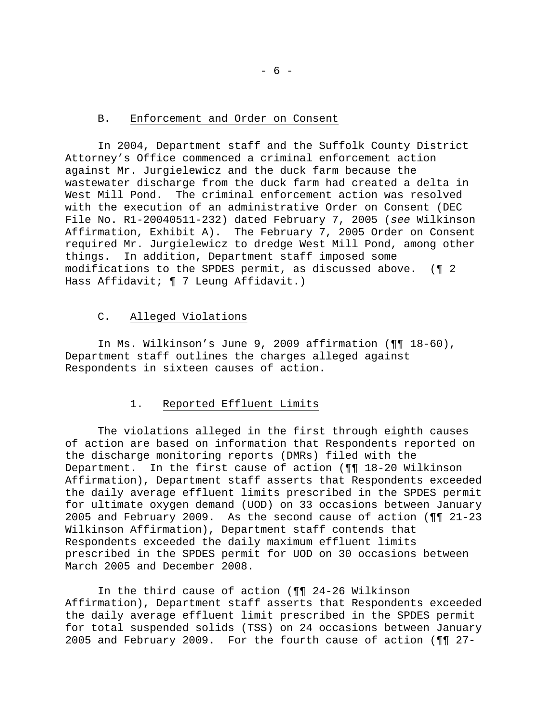## B. Enforcement and Order on Consent

 In 2004, Department staff and the Suffolk County District Attorney's Office commenced a criminal enforcement action against Mr. Jurgielewicz and the duck farm because the wastewater discharge from the duck farm had created a delta in West Mill Pond. The criminal enforcement action was resolved with the execution of an administrative Order on Consent (DEC File No. R1-20040511-232) dated February 7, 2005 (*see* Wilkinson Affirmation, Exhibit A). The February 7, 2005 Order on Consent required Mr. Jurgielewicz to dredge West Mill Pond, among other things. In addition, Department staff imposed some modifications to the SPDES permit, as discussed above. (¶ 2 Hass Affidavit; ¶ 7 Leung Affidavit.)

#### C. Alleged Violations

 In Ms. Wilkinson's June 9, 2009 affirmation (¶¶ 18-60), Department staff outlines the charges alleged against Respondents in sixteen causes of action.

#### 1. Reported Effluent Limits

 The violations alleged in the first through eighth causes of action are based on information that Respondents reported on the discharge monitoring reports (DMRs) filed with the Department. In the first cause of action (¶¶ 18-20 Wilkinson Affirmation), Department staff asserts that Respondents exceeded the daily average effluent limits prescribed in the SPDES permit for ultimate oxygen demand (UOD) on 33 occasions between January 2005 and February 2009. As the second cause of action (¶¶ 21-23 Wilkinson Affirmation), Department staff contends that Respondents exceeded the daily maximum effluent limits prescribed in the SPDES permit for UOD on 30 occasions between March 2005 and December 2008.

 In the third cause of action (¶¶ 24-26 Wilkinson Affirmation), Department staff asserts that Respondents exceeded the daily average effluent limit prescribed in the SPDES permit for total suspended solids (TSS) on 24 occasions between January 2005 and February 2009. For the fourth cause of action (¶¶ 27-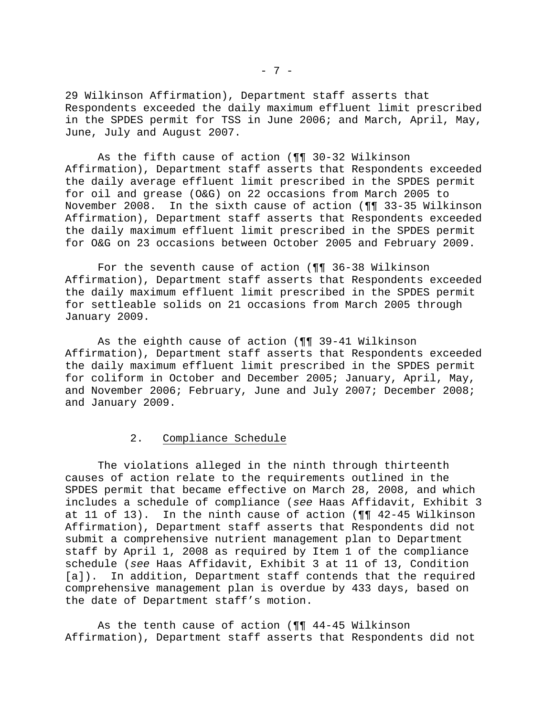29 Wilkinson Affirmation), Department staff asserts that Respondents exceeded the daily maximum effluent limit prescribed in the SPDES permit for TSS in June 2006; and March, April, May, June, July and August 2007.

 As the fifth cause of action (¶¶ 30-32 Wilkinson Affirmation), Department staff asserts that Respondents exceeded the daily average effluent limit prescribed in the SPDES permit for oil and grease (O&G) on 22 occasions from March 2005 to November 2008. In the sixth cause of action (¶¶ 33-35 Wilkinson Affirmation), Department staff asserts that Respondents exceeded the daily maximum effluent limit prescribed in the SPDES permit for O&G on 23 occasions between October 2005 and February 2009.

 For the seventh cause of action (¶¶ 36-38 Wilkinson Affirmation), Department staff asserts that Respondents exceeded the daily maximum effluent limit prescribed in the SPDES permit for settleable solids on 21 occasions from March 2005 through January 2009.

 As the eighth cause of action (¶¶ 39-41 Wilkinson Affirmation), Department staff asserts that Respondents exceeded the daily maximum effluent limit prescribed in the SPDES permit for coliform in October and December 2005; January, April, May, and November 2006; February, June and July 2007; December 2008; and January 2009.

# 2. Compliance Schedule

 The violations alleged in the ninth through thirteenth causes of action relate to the requirements outlined in the SPDES permit that became effective on March 28, 2008, and which includes a schedule of compliance (*see* Haas Affidavit, Exhibit 3 at 11 of 13). In the ninth cause of action (¶¶ 42-45 Wilkinson Affirmation), Department staff asserts that Respondents did not submit a comprehensive nutrient management plan to Department staff by April 1, 2008 as required by Item 1 of the compliance schedule (*see* Haas Affidavit, Exhibit 3 at 11 of 13, Condition [a]). In addition, Department staff contends that the required comprehensive management plan is overdue by 433 days, based on the date of Department staff's motion.

 As the tenth cause of action (¶¶ 44-45 Wilkinson Affirmation), Department staff asserts that Respondents did not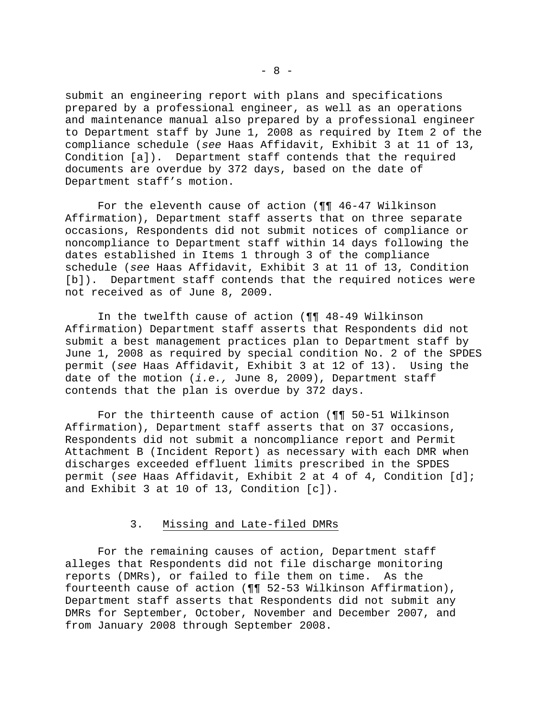submit an engineering report with plans and specifications prepared by a professional engineer, as well as an operations and maintenance manual also prepared by a professional engineer to Department staff by June 1, 2008 as required by Item 2 of the compliance schedule (*see* Haas Affidavit, Exhibit 3 at 11 of 13, Condition [a]). Department staff contends that the required documents are overdue by 372 days, based on the date of Department staff's motion.

 For the eleventh cause of action (¶¶ 46-47 Wilkinson Affirmation), Department staff asserts that on three separate occasions, Respondents did not submit notices of compliance or noncompliance to Department staff within 14 days following the dates established in Items 1 through 3 of the compliance schedule (*see* Haas Affidavit, Exhibit 3 at 11 of 13, Condition [b]). Department staff contends that the required notices were not received as of June 8, 2009.

 In the twelfth cause of action (¶¶ 48-49 Wilkinson Affirmation) Department staff asserts that Respondents did not submit a best management practices plan to Department staff by June 1, 2008 as required by special condition No. 2 of the SPDES permit (*see* Haas Affidavit, Exhibit 3 at 12 of 13). Using the date of the motion (*i.e.,* June 8, 2009), Department staff contends that the plan is overdue by 372 days.

 For the thirteenth cause of action (¶¶ 50-51 Wilkinson Affirmation), Department staff asserts that on 37 occasions, Respondents did not submit a noncompliance report and Permit Attachment B (Incident Report) as necessary with each DMR when discharges exceeded effluent limits prescribed in the SPDES permit (*see* Haas Affidavit, Exhibit 2 at 4 of 4, Condition [d]; and Exhibit 3 at 10 of 13, Condition [c]).

### 3. Missing and Late-filed DMRs

 For the remaining causes of action, Department staff alleges that Respondents did not file discharge monitoring reports (DMRs), or failed to file them on time. As the fourteenth cause of action (¶¶ 52-53 Wilkinson Affirmation), Department staff asserts that Respondents did not submit any DMRs for September, October, November and December 2007, and from January 2008 through September 2008.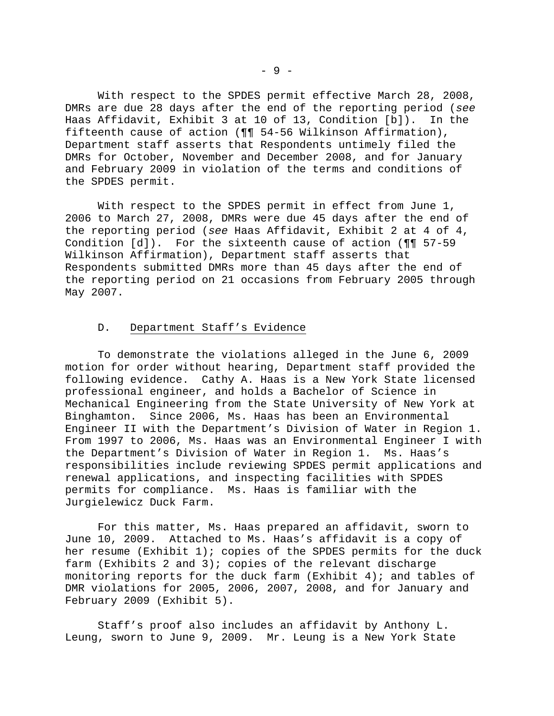With respect to the SPDES permit effective March 28, 2008, DMRs are due 28 days after the end of the reporting period (*see*  Haas Affidavit, Exhibit 3 at 10 of 13, Condition [b]). In the fifteenth cause of action (¶¶ 54-56 Wilkinson Affirmation), Department staff asserts that Respondents untimely filed the DMRs for October, November and December 2008, and for January and February 2009 in violation of the terms and conditions of the SPDES permit.

 With respect to the SPDES permit in effect from June 1, 2006 to March 27, 2008, DMRs were due 45 days after the end of the reporting period (*see* Haas Affidavit, Exhibit 2 at 4 of 4, Condition [d]). For the sixteenth cause of action (¶¶ 57-59 Wilkinson Affirmation), Department staff asserts that Respondents submitted DMRs more than 45 days after the end of the reporting period on 21 occasions from February 2005 through May 2007.

## D. Department Staff's Evidence

 To demonstrate the violations alleged in the June 6, 2009 motion for order without hearing, Department staff provided the following evidence. Cathy A. Haas is a New York State licensed professional engineer, and holds a Bachelor of Science in Mechanical Engineering from the State University of New York at Binghamton. Since 2006, Ms. Haas has been an Environmental Engineer II with the Department's Division of Water in Region 1. From 1997 to 2006, Ms. Haas was an Environmental Engineer I with the Department's Division of Water in Region 1. Ms. Haas's responsibilities include reviewing SPDES permit applications and renewal applications, and inspecting facilities with SPDES permits for compliance. Ms. Haas is familiar with the Jurgielewicz Duck Farm.

 For this matter, Ms. Haas prepared an affidavit, sworn to June 10, 2009. Attached to Ms. Haas's affidavit is a copy of her resume (Exhibit 1); copies of the SPDES permits for the duck farm (Exhibits 2 and 3); copies of the relevant discharge monitoring reports for the duck farm (Exhibit 4); and tables of DMR violations for 2005, 2006, 2007, 2008, and for January and February 2009 (Exhibit 5).

 Staff's proof also includes an affidavit by Anthony L. Leung, sworn to June 9, 2009. Mr. Leung is a New York State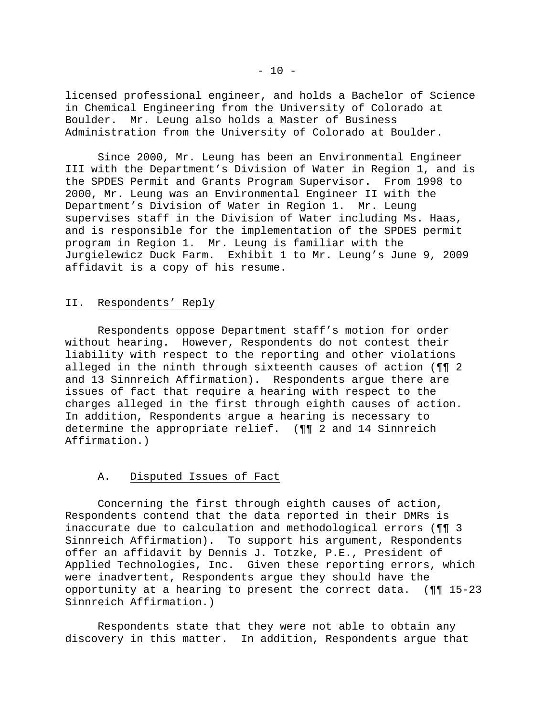licensed professional engineer, and holds a Bachelor of Science in Chemical Engineering from the University of Colorado at Boulder. Mr. Leung also holds a Master of Business Administration from the University of Colorado at Boulder.

 Since 2000, Mr. Leung has been an Environmental Engineer III with the Department's Division of Water in Region 1, and is the SPDES Permit and Grants Program Supervisor. From 1998 to 2000, Mr. Leung was an Environmental Engineer II with the Department's Division of Water in Region 1. Mr. Leung supervises staff in the Division of Water including Ms. Haas, and is responsible for the implementation of the SPDES permit program in Region 1. Mr. Leung is familiar with the Jurgielewicz Duck Farm. Exhibit 1 to Mr. Leung's June 9, 2009 affidavit is a copy of his resume.

# II. Respondents' Reply

 Respondents oppose Department staff's motion for order without hearing. However, Respondents do not contest their liability with respect to the reporting and other violations alleged in the ninth through sixteenth causes of action (¶¶ 2 and 13 Sinnreich Affirmation). Respondents argue there are issues of fact that require a hearing with respect to the charges alleged in the first through eighth causes of action. In addition, Respondents argue a hearing is necessary to determine the appropriate relief. (¶¶ 2 and 14 Sinnreich Affirmation.)

# A. Disputed Issues of Fact

 Concerning the first through eighth causes of action, Respondents contend that the data reported in their DMRs is inaccurate due to calculation and methodological errors (¶¶ 3 Sinnreich Affirmation). To support his argument, Respondents offer an affidavit by Dennis J. Totzke, P.E., President of Applied Technologies, Inc. Given these reporting errors, which were inadvertent, Respondents argue they should have the opportunity at a hearing to present the correct data. (¶¶ 15-23 Sinnreich Affirmation.)

 Respondents state that they were not able to obtain any discovery in this matter. In addition, Respondents argue that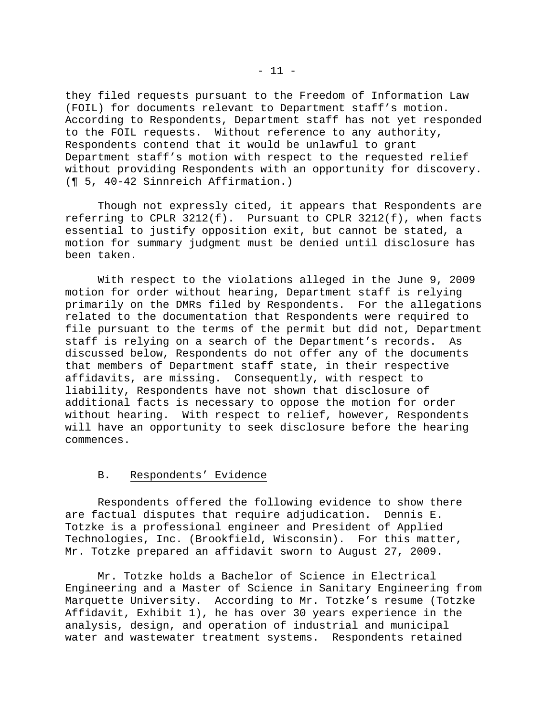they filed requests pursuant to the Freedom of Information Law (FOIL) for documents relevant to Department staff's motion. According to Respondents, Department staff has not yet responded to the FOIL requests. Without reference to any authority, Respondents contend that it would be unlawful to grant Department staff's motion with respect to the requested relief without providing Respondents with an opportunity for discovery. (¶ 5, 40-42 Sinnreich Affirmation.)

 Though not expressly cited, it appears that Respondents are referring to CPLR 3212(f). Pursuant to CPLR 3212(f), when facts essential to justify opposition exit, but cannot be stated, a motion for summary judgment must be denied until disclosure has been taken.

 With respect to the violations alleged in the June 9, 2009 motion for order without hearing, Department staff is relying primarily on the DMRs filed by Respondents. For the allegations related to the documentation that Respondents were required to file pursuant to the terms of the permit but did not, Department staff is relying on a search of the Department's records. As discussed below, Respondents do not offer any of the documents that members of Department staff state, in their respective affidavits, are missing. Consequently, with respect to liability, Respondents have not shown that disclosure of additional facts is necessary to oppose the motion for order without hearing. With respect to relief, however, Respondents will have an opportunity to seek disclosure before the hearing commences.

#### B. Respondents' Evidence

 Respondents offered the following evidence to show there are factual disputes that require adjudication. Dennis E. Totzke is a professional engineer and President of Applied Technologies, Inc. (Brookfield, Wisconsin). For this matter, Mr. Totzke prepared an affidavit sworn to August 27, 2009.

 Mr. Totzke holds a Bachelor of Science in Electrical Engineering and a Master of Science in Sanitary Engineering from Marquette University. According to Mr. Totzke's resume (Totzke Affidavit, Exhibit 1), he has over 30 years experience in the analysis, design, and operation of industrial and municipal water and wastewater treatment systems. Respondents retained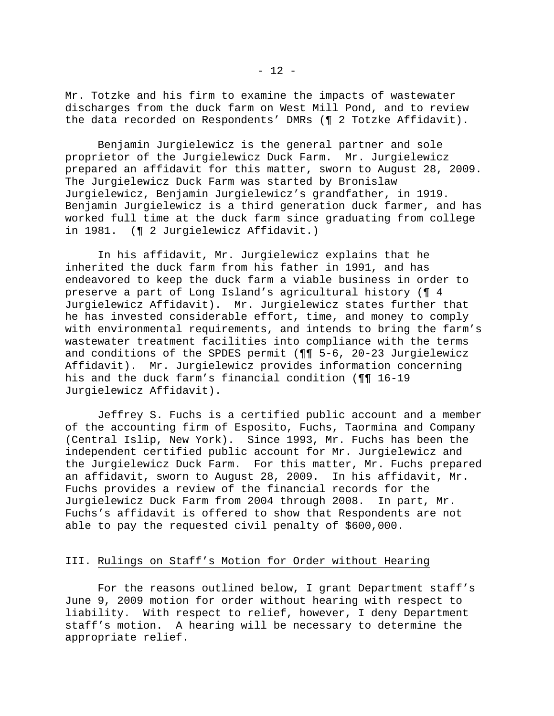Mr. Totzke and his firm to examine the impacts of wastewater discharges from the duck farm on West Mill Pond, and to review the data recorded on Respondents' DMRs (¶ 2 Totzke Affidavit).

 Benjamin Jurgielewicz is the general partner and sole proprietor of the Jurgielewicz Duck Farm. Mr. Jurgielewicz prepared an affidavit for this matter, sworn to August 28, 2009. The Jurgielewicz Duck Farm was started by Bronislaw Jurgielewicz, Benjamin Jurgielewicz's grandfather, in 1919. Benjamin Jurgielewicz is a third generation duck farmer, and has worked full time at the duck farm since graduating from college in 1981. (¶ 2 Jurgielewicz Affidavit.)

 In his affidavit, Mr. Jurgielewicz explains that he inherited the duck farm from his father in 1991, and has endeavored to keep the duck farm a viable business in order to preserve a part of Long Island's agricultural history (¶ 4 Jurgielewicz Affidavit). Mr. Jurgielewicz states further that he has invested considerable effort, time, and money to comply with environmental requirements, and intends to bring the farm's wastewater treatment facilities into compliance with the terms and conditions of the SPDES permit (¶¶ 5-6, 20-23 Jurgielewicz Affidavit). Mr. Jurgielewicz provides information concerning his and the duck farm's financial condition (¶¶ 16-19 Jurgielewicz Affidavit).

 Jeffrey S. Fuchs is a certified public account and a member of the accounting firm of Esposito, Fuchs, Taormina and Company (Central Islip, New York). Since 1993, Mr. Fuchs has been the independent certified public account for Mr. Jurgielewicz and the Jurgielewicz Duck Farm. For this matter, Mr. Fuchs prepared an affidavit, sworn to August 28, 2009. In his affidavit, Mr. Fuchs provides a review of the financial records for the Jurgielewicz Duck Farm from 2004 through 2008. In part, Mr. Fuchs's affidavit is offered to show that Respondents are not able to pay the requested civil penalty of \$600,000.

# III. Rulings on Staff's Motion for Order without Hearing

 For the reasons outlined below, I grant Department staff's June 9, 2009 motion for order without hearing with respect to liability. With respect to relief, however, I deny Department staff's motion. A hearing will be necessary to determine the appropriate relief.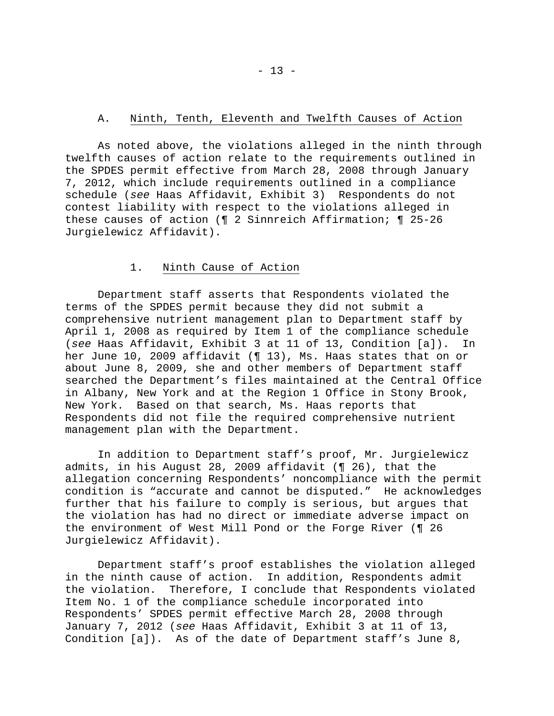## A. Ninth, Tenth, Eleventh and Twelfth Causes of Action

 As noted above, the violations alleged in the ninth through twelfth causes of action relate to the requirements outlined in the SPDES permit effective from March 28, 2008 through January 7, 2012, which include requirements outlined in a compliance schedule (*see* Haas Affidavit, Exhibit 3) Respondents do not contest liability with respect to the violations alleged in these causes of action (¶ 2 Sinnreich Affirmation; ¶ 25-26 Jurgielewicz Affidavit).

### 1. Ninth Cause of Action

 Department staff asserts that Respondents violated the terms of the SPDES permit because they did not submit a comprehensive nutrient management plan to Department staff by April 1, 2008 as required by Item 1 of the compliance schedule (*see* Haas Affidavit, Exhibit 3 at 11 of 13, Condition [a]). In her June 10, 2009 affidavit (¶ 13), Ms. Haas states that on or about June 8, 2009, she and other members of Department staff searched the Department's files maintained at the Central Office in Albany, New York and at the Region 1 Office in Stony Brook, New York. Based on that search, Ms. Haas reports that Respondents did not file the required comprehensive nutrient management plan with the Department.

 In addition to Department staff's proof, Mr. Jurgielewicz admits, in his August 28, 2009 affidavit (¶ 26), that the allegation concerning Respondents' noncompliance with the permit condition is "accurate and cannot be disputed." He acknowledges further that his failure to comply is serious, but argues that the violation has had no direct or immediate adverse impact on the environment of West Mill Pond or the Forge River (¶ 26 Jurgielewicz Affidavit).

 Department staff's proof establishes the violation alleged in the ninth cause of action. In addition, Respondents admit the violation. Therefore, I conclude that Respondents violated Item No. 1 of the compliance schedule incorporated into Respondents' SPDES permit effective March 28, 2008 through January 7, 2012 (*see* Haas Affidavit, Exhibit 3 at 11 of 13, Condition [a]). As of the date of Department staff's June 8,

 $- 13 -$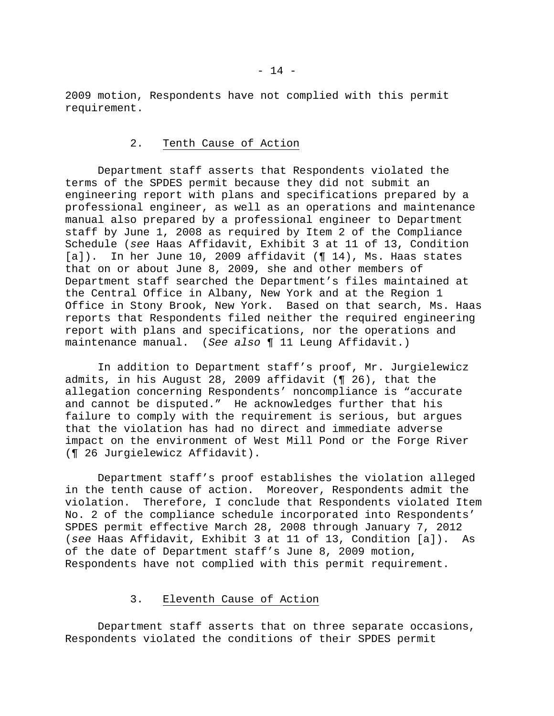2009 motion, Respondents have not complied with this permit requirement.

#### 2. Tenth Cause of Action

 Department staff asserts that Respondents violated the terms of the SPDES permit because they did not submit an engineering report with plans and specifications prepared by a professional engineer, as well as an operations and maintenance manual also prepared by a professional engineer to Department staff by June 1, 2008 as required by Item 2 of the Compliance Schedule (*see* Haas Affidavit, Exhibit 3 at 11 of 13, Condition  $[a]$ ). In her June 10, 2009 affidavit (¶ 14), Ms. Haas states that on or about June 8, 2009, she and other members of Department staff searched the Department's files maintained at the Central Office in Albany, New York and at the Region 1 Office in Stony Brook, New York. Based on that search, Ms. Haas reports that Respondents filed neither the required engineering report with plans and specifications, nor the operations and maintenance manual. (*See also* ¶ 11 Leung Affidavit.)

 In addition to Department staff's proof, Mr. Jurgielewicz admits, in his August 28, 2009 affidavit (¶ 26), that the allegation concerning Respondents' noncompliance is "accurate and cannot be disputed." He acknowledges further that his failure to comply with the requirement is serious, but argues that the violation has had no direct and immediate adverse impact on the environment of West Mill Pond or the Forge River (¶ 26 Jurgielewicz Affidavit).

 Department staff's proof establishes the violation alleged in the tenth cause of action. Moreover, Respondents admit the violation. Therefore, I conclude that Respondents violated Item No. 2 of the compliance schedule incorporated into Respondents' SPDES permit effective March 28, 2008 through January 7, 2012 (*see* Haas Affidavit, Exhibit 3 at 11 of 13, Condition [a]). As of the date of Department staff's June 8, 2009 motion, Respondents have not complied with this permit requirement.

# 3. Eleventh Cause of Action

 Department staff asserts that on three separate occasions, Respondents violated the conditions of their SPDES permit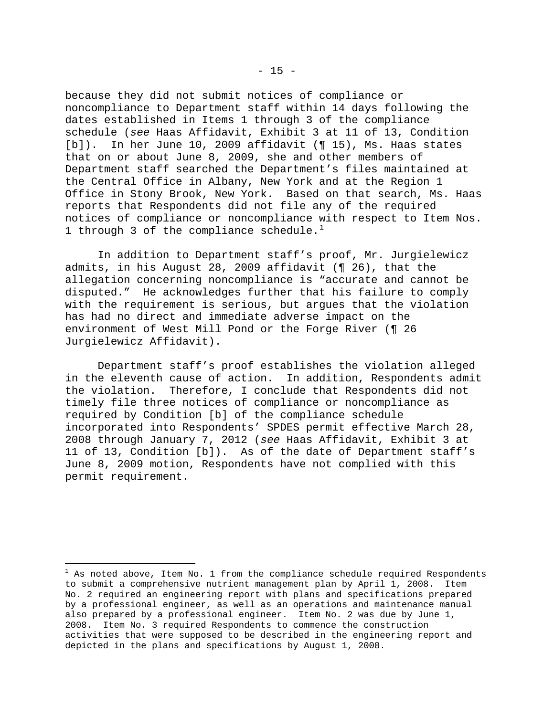because they did not submit notices of compliance or noncompliance to Department staff within 14 days following the dates established in Items 1 through 3 of the compliance schedule (*see* Haas Affidavit, Exhibit 3 at 11 of 13, Condition [b]). In her June 10, 2009 affidavit (¶ 15), Ms. Haas states that on or about June 8, 2009, she and other members of Department staff searched the Department's files maintained at the Central Office in Albany, New York and at the Region 1 Office in Stony Brook, New York. Based on that search, Ms. Haas reports that Respondents did not file any of the required notices of compliance or noncompliance with respect to Item Nos. [1](#page-14-0) through 3 of the compliance schedule.<sup>1</sup>

 In addition to Department staff's proof, Mr. Jurgielewicz admits, in his August 28, 2009 affidavit (¶ 26), that the allegation concerning noncompliance is "accurate and cannot be disputed." He acknowledges further that his failure to comply with the requirement is serious, but argues that the violation has had no direct and immediate adverse impact on the environment of West Mill Pond or the Forge River (¶ 26 Jurgielewicz Affidavit).

 Department staff's proof establishes the violation alleged in the eleventh cause of action. In addition, Respondents admit the violation. Therefore, I conclude that Respondents did not timely file three notices of compliance or noncompliance as required by Condition [b] of the compliance schedule incorporated into Respondents' SPDES permit effective March 28, 2008 through January 7, 2012 (*see* Haas Affidavit, Exhibit 3 at 11 of 13, Condition [b]). As of the date of Department staff's June 8, 2009 motion, Respondents have not complied with this permit requirement.

 $\overline{\phantom{0}}$ 

<span id="page-14-0"></span> $^{\rm 1}$  As noted above, Item No. 1 from the compliance schedule required Respondents to submit a comprehensive nutrient management plan by April 1, 2008. Item No. 2 required an engineering report with plans and specifications prepared by a professional engineer, as well as an operations and maintenance manual also prepared by a professional engineer. Item No. 2 was due by June 1, 2008. Item No. 3 required Respondents to commence the construction activities that were supposed to be described in the engineering report and depicted in the plans and specifications by August 1, 2008.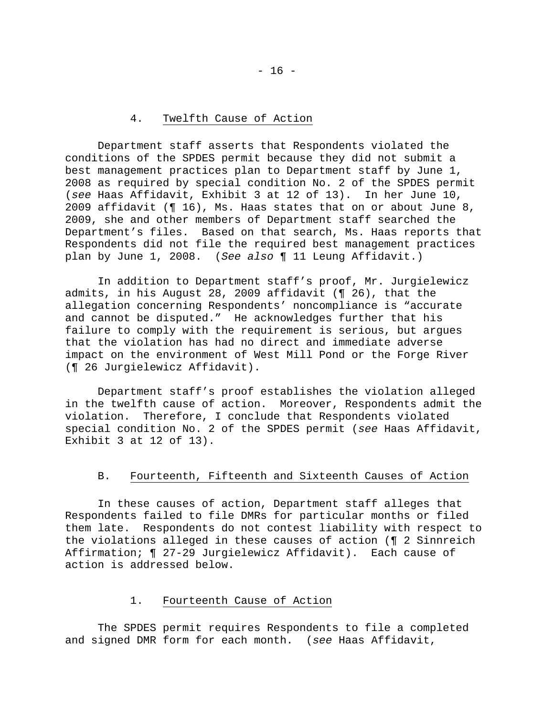## 4. Twelfth Cause of Action

 Department staff asserts that Respondents violated the conditions of the SPDES permit because they did not submit a best management practices plan to Department staff by June 1, 2008 as required by special condition No. 2 of the SPDES permit (*see* Haas Affidavit, Exhibit 3 at 12 of 13). In her June 10, 2009 affidavit (¶ 16), Ms. Haas states that on or about June 8, 2009, she and other members of Department staff searched the Department's files. Based on that search, Ms. Haas reports that Respondents did not file the required best management practices plan by June 1, 2008. (*See also* ¶ 11 Leung Affidavit.)

 In addition to Department staff's proof, Mr. Jurgielewicz admits, in his August 28, 2009 affidavit (¶ 26), that the allegation concerning Respondents' noncompliance is "accurate and cannot be disputed." He acknowledges further that his failure to comply with the requirement is serious, but argues that the violation has had no direct and immediate adverse impact on the environment of West Mill Pond or the Forge River (¶ 26 Jurgielewicz Affidavit).

 Department staff's proof establishes the violation alleged in the twelfth cause of action. Moreover, Respondents admit the violation. Therefore, I conclude that Respondents violated special condition No. 2 of the SPDES permit (*see* Haas Affidavit, Exhibit 3 at 12 of 13).

# B. Fourteenth, Fifteenth and Sixteenth Causes of Action

 In these causes of action, Department staff alleges that Respondents failed to file DMRs for particular months or filed them late. Respondents do not contest liability with respect to the violations alleged in these causes of action (¶ 2 Sinnreich Affirmation; ¶ 27-29 Jurgielewicz Affidavit). Each cause of action is addressed below.

# 1. Fourteenth Cause of Action

 The SPDES permit requires Respondents to file a completed and signed DMR form for each month. (*see* Haas Affidavit,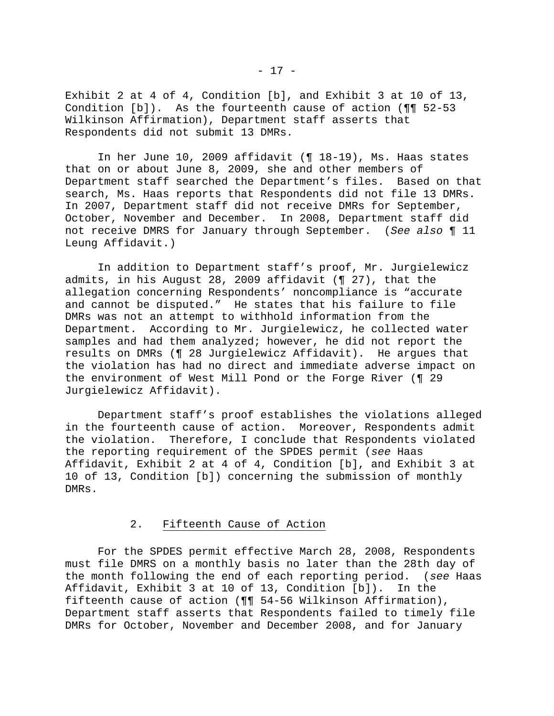Exhibit 2 at 4 of 4, Condition [b], and Exhibit 3 at 10 of 13, Condition [b]). As the fourteenth cause of action (¶¶ 52-53 Wilkinson Affirmation), Department staff asserts that Respondents did not submit 13 DMRs.

 In her June 10, 2009 affidavit (¶ 18-19), Ms. Haas states that on or about June 8, 2009, she and other members of Department staff searched the Department's files. Based on that search, Ms. Haas reports that Respondents did not file 13 DMRs. In 2007, Department staff did not receive DMRs for September, October, November and December. In 2008, Department staff did not receive DMRS for January through September. (*See also* ¶ 11 Leung Affidavit.)

 In addition to Department staff's proof, Mr. Jurgielewicz admits, in his August 28, 2009 affidavit (¶ 27), that the allegation concerning Respondents' noncompliance is "accurate and cannot be disputed." He states that his failure to file DMRs was not an attempt to withhold information from the Department. According to Mr. Jurgielewicz, he collected water samples and had them analyzed; however, he did not report the results on DMRs (¶ 28 Jurgielewicz Affidavit). He argues that the violation has had no direct and immediate adverse impact on the environment of West Mill Pond or the Forge River (¶ 29 Jurgielewicz Affidavit).

 Department staff's proof establishes the violations alleged in the fourteenth cause of action. Moreover, Respondents admit the violation. Therefore, I conclude that Respondents violated the reporting requirement of the SPDES permit (*see* Haas Affidavit, Exhibit 2 at 4 of 4, Condition [b], and Exhibit 3 at 10 of 13, Condition [b]) concerning the submission of monthly DMRs.

# 2. Fifteenth Cause of Action

 For the SPDES permit effective March 28, 2008, Respondents must file DMRS on a monthly basis no later than the 28th day of the month following the end of each reporting period. (*see* Haas Affidavit, Exhibit 3 at 10 of 13, Condition [b]). In the fifteenth cause of action (¶¶ 54-56 Wilkinson Affirmation), Department staff asserts that Respondents failed to timely file DMRs for October, November and December 2008, and for January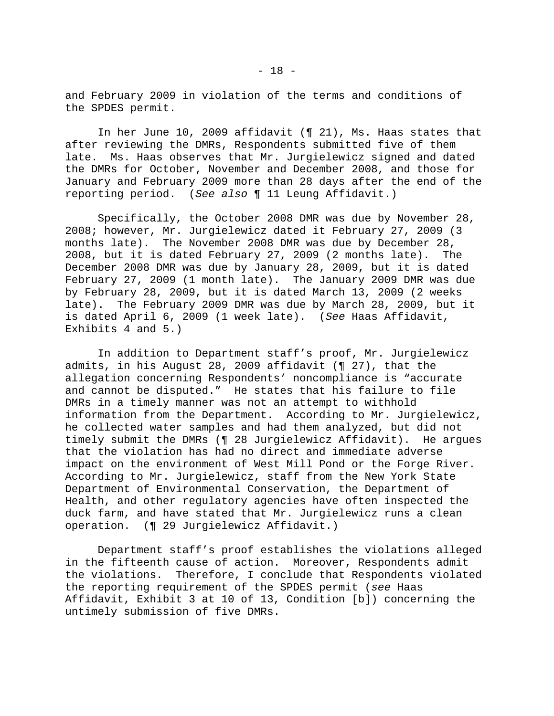and February 2009 in violation of the terms and conditions of the SPDES permit.

 In her June 10, 2009 affidavit (¶ 21), Ms. Haas states that after reviewing the DMRs, Respondents submitted five of them late. Ms. Haas observes that Mr. Jurgielewicz signed and dated the DMRs for October, November and December 2008, and those for January and February 2009 more than 28 days after the end of the reporting period. (*See also* ¶ 11 Leung Affidavit.)

 Specifically, the October 2008 DMR was due by November 28, 2008; however, Mr. Jurgielewicz dated it February 27, 2009 (3 months late). The November 2008 DMR was due by December 28, 2008, but it is dated February 27, 2009 (2 months late). The December 2008 DMR was due by January 28, 2009, but it is dated February 27, 2009 (1 month late). The January 2009 DMR was due by February 28, 2009, but it is dated March 13, 2009 (2 weeks late). The February 2009 DMR was due by March 28, 2009, but it is dated April 6, 2009 (1 week late). (*See* Haas Affidavit, Exhibits 4 and 5.)

 In addition to Department staff's proof, Mr. Jurgielewicz admits, in his August 28, 2009 affidavit (¶ 27), that the allegation concerning Respondents' noncompliance is "accurate and cannot be disputed." He states that his failure to file DMRs in a timely manner was not an attempt to withhold information from the Department. According to Mr. Jurgielewicz, he collected water samples and had them analyzed, but did not timely submit the DMRs (¶ 28 Jurgielewicz Affidavit). He argues that the violation has had no direct and immediate adverse impact on the environment of West Mill Pond or the Forge River. According to Mr. Jurgielewicz, staff from the New York State Department of Environmental Conservation, the Department of Health, and other regulatory agencies have often inspected the duck farm, and have stated that Mr. Jurgielewicz runs a clean operation. (¶ 29 Jurgielewicz Affidavit.)

 Department staff's proof establishes the violations alleged in the fifteenth cause of action. Moreover, Respondents admit the violations. Therefore, I conclude that Respondents violated the reporting requirement of the SPDES permit (*see* Haas Affidavit, Exhibit 3 at 10 of 13, Condition [b]) concerning the untimely submission of five DMRs.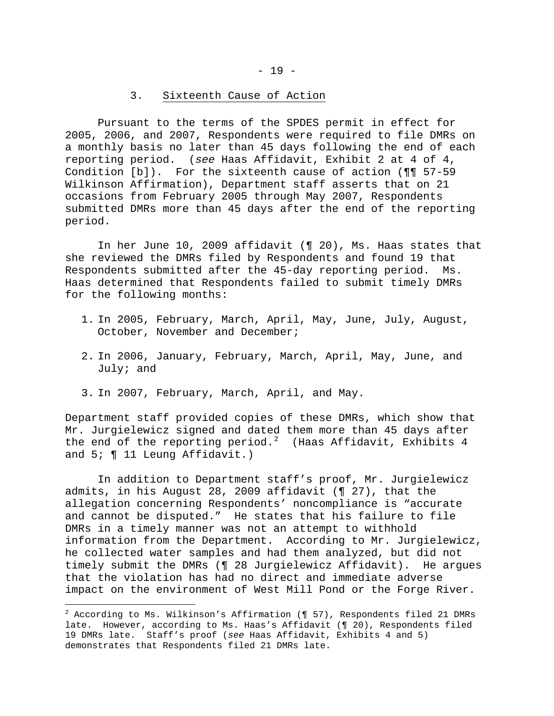#### 3. Sixteenth Cause of Action

 Pursuant to the terms of the SPDES permit in effect for 2005, 2006, and 2007, Respondents were required to file DMRs on a monthly basis no later than 45 days following the end of each reporting period. (*see* Haas Affidavit, Exhibit 2 at 4 of 4, Condition [b]). For the sixteenth cause of action (¶¶ 57-59 Wilkinson Affirmation), Department staff asserts that on 21 occasions from February 2005 through May 2007, Respondents submitted DMRs more than 45 days after the end of the reporting period.

 In her June 10, 2009 affidavit (¶ 20), Ms. Haas states that she reviewed the DMRs filed by Respondents and found 19 that Respondents submitted after the 45-day reporting period. Ms. Haas determined that Respondents failed to submit timely DMRs for the following months:

- 1. In 2005, February, March, April, May, June, July, August, October, November and December;
- 2. In 2006, January, February, March, April, May, June, and July; and
- 3. In 2007, February, March, April, and May.

i

Department staff provided copies of these DMRs, which show that Mr. Jurgielewicz signed and dated them more than 45 days after the end of the reporting period. $^2$  $^2$  (Haas Affidavit, Exhibits 4 and 5; ¶ 11 Leung Affidavit.)

 In addition to Department staff's proof, Mr. Jurgielewicz admits, in his August 28, 2009 affidavit (¶ 27), that the allegation concerning Respondents' noncompliance is "accurate and cannot be disputed." He states that his failure to file DMRs in a timely manner was not an attempt to withhold information from the Department. According to Mr. Jurgielewicz, he collected water samples and had them analyzed, but did not timely submit the DMRs (¶ 28 Jurgielewicz Affidavit). He argues that the violation has had no direct and immediate adverse impact on the environment of West Mill Pond or the Forge River.

<span id="page-18-0"></span> $^2$  According to Ms. Wilkinson's Affirmation (¶ 57), Respondents filed 21 DMRs late. However, according to Ms. Haas's Affidavit (¶ 20), Respondents filed 19 DMRs late. Staff's proof (*see* Haas Affidavit, Exhibits 4 and 5) demonstrates that Respondents filed 21 DMRs late.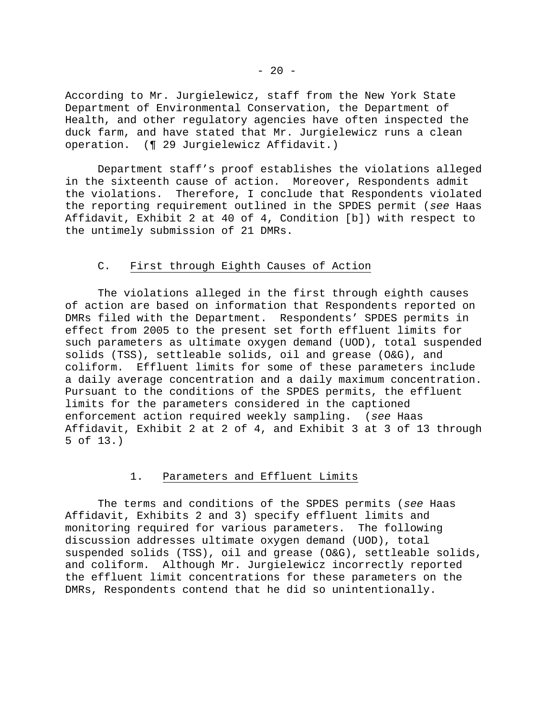According to Mr. Jurgielewicz, staff from the New York State Department of Environmental Conservation, the Department of Health, and other regulatory agencies have often inspected the duck farm, and have stated that Mr. Jurgielewicz runs a clean operation. (¶ 29 Jurgielewicz Affidavit.)

 Department staff's proof establishes the violations alleged in the sixteenth cause of action. Moreover, Respondents admit the violations. Therefore, I conclude that Respondents violated the reporting requirement outlined in the SPDES permit (*see* Haas Affidavit, Exhibit 2 at 40 of 4, Condition [b]) with respect to the untimely submission of 21 DMRs.

# C. First through Eighth Causes of Action

 The violations alleged in the first through eighth causes of action are based on information that Respondents reported on DMRs filed with the Department. Respondents' SPDES permits in effect from 2005 to the present set forth effluent limits for such parameters as ultimate oxygen demand (UOD), total suspended solids (TSS), settleable solids, oil and grease (O&G), and coliform. Effluent limits for some of these parameters include a daily average concentration and a daily maximum concentration. Pursuant to the conditions of the SPDES permits, the effluent limits for the parameters considered in the captioned enforcement action required weekly sampling. (*see* Haas Affidavit, Exhibit 2 at 2 of 4, and Exhibit 3 at 3 of 13 through 5 of 13.)

# 1. Parameters and Effluent Limits

 The terms and conditions of the SPDES permits (*see* Haas Affidavit, Exhibits 2 and 3) specify effluent limits and monitoring required for various parameters. The following discussion addresses ultimate oxygen demand (UOD), total suspended solids (TSS), oil and grease (O&G), settleable solids, and coliform. Although Mr. Jurgielewicz incorrectly reported the effluent limit concentrations for these parameters on the DMRs, Respondents contend that he did so unintentionally.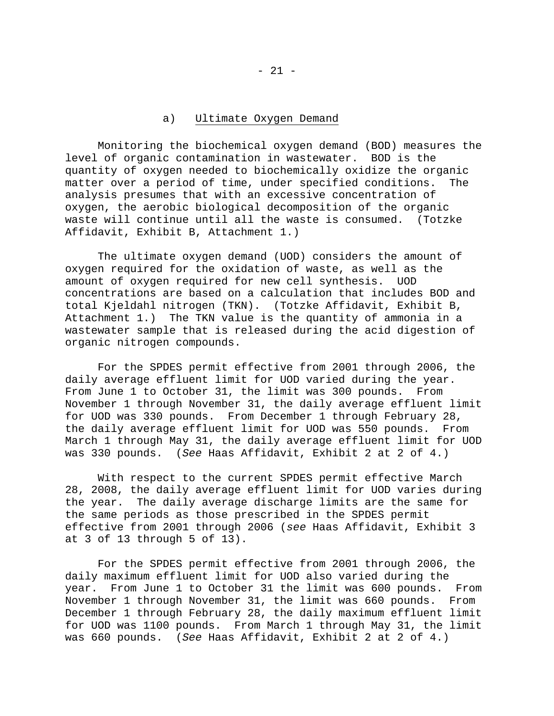# a) Ultimate Oxygen Demand

 Monitoring the biochemical oxygen demand (BOD) measures the level of organic contamination in wastewater. BOD is the quantity of oxygen needed to biochemically oxidize the organic matter over a period of time, under specified conditions. The analysis presumes that with an excessive concentration of oxygen, the aerobic biological decomposition of the organic waste will continue until all the waste is consumed. (Totzke Affidavit, Exhibit B, Attachment 1.)

 The ultimate oxygen demand (UOD) considers the amount of oxygen required for the oxidation of waste, as well as the amount of oxygen required for new cell synthesis. UOD concentrations are based on a calculation that includes BOD and total Kjeldahl nitrogen (TKN). (Totzke Affidavit, Exhibit B, Attachment 1.) The TKN value is the quantity of ammonia in a wastewater sample that is released during the acid digestion of organic nitrogen compounds.

 For the SPDES permit effective from 2001 through 2006, the daily average effluent limit for UOD varied during the year. From June 1 to October 31, the limit was 300 pounds. From November 1 through November 31, the daily average effluent limit for UOD was 330 pounds. From December 1 through February 28, the daily average effluent limit for UOD was 550 pounds. From March 1 through May 31, the daily average effluent limit for UOD was 330 pounds. (*See* Haas Affidavit, Exhibit 2 at 2 of 4.)

 With respect to the current SPDES permit effective March 28, 2008, the daily average effluent limit for UOD varies during the year. The daily average discharge limits are the same for the same periods as those prescribed in the SPDES permit effective from 2001 through 2006 (*see* Haas Affidavit, Exhibit 3 at 3 of 13 through 5 of 13).

 For the SPDES permit effective from 2001 through 2006, the daily maximum effluent limit for UOD also varied during the year. From June 1 to October 31 the limit was 600 pounds. From November 1 through November 31, the limit was 660 pounds. From December 1 through February 28, the daily maximum effluent limit for UOD was 1100 pounds. From March 1 through May 31, the limit was 660 pounds. (*See* Haas Affidavit, Exhibit 2 at 2 of 4.)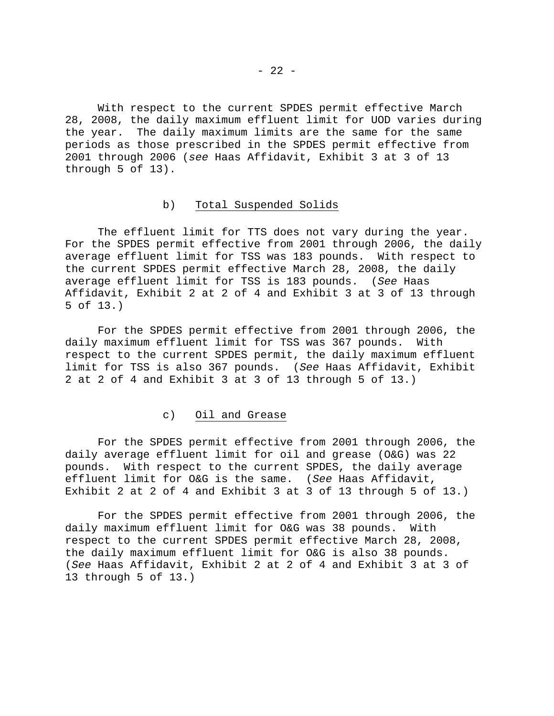With respect to the current SPDES permit effective March 28, 2008, the daily maximum effluent limit for UOD varies during the year. The daily maximum limits are the same for the same periods as those prescribed in the SPDES permit effective from 2001 through 2006 (*see* Haas Affidavit, Exhibit 3 at 3 of 13 through 5 of 13).

## b) Total Suspended Solids

 The effluent limit for TTS does not vary during the year. For the SPDES permit effective from 2001 through 2006, the daily average effluent limit for TSS was 183 pounds. With respect to the current SPDES permit effective March 28, 2008, the daily average effluent limit for TSS is 183 pounds. (*See* Haas Affidavit, Exhibit 2 at 2 of 4 and Exhibit 3 at 3 of 13 through 5 of 13.)

 For the SPDES permit effective from 2001 through 2006, the daily maximum effluent limit for TSS was 367 pounds. With respect to the current SPDES permit, the daily maximum effluent limit for TSS is also 367 pounds. (*See* Haas Affidavit, Exhibit 2 at 2 of 4 and Exhibit 3 at 3 of 13 through 5 of 13.)

#### c) Oil and Grease

 For the SPDES permit effective from 2001 through 2006, the daily average effluent limit for oil and grease (O&G) was 22 pounds. With respect to the current SPDES, the daily average effluent limit for O&G is the same. (*See* Haas Affidavit, Exhibit 2 at 2 of 4 and Exhibit 3 at 3 of 13 through 5 of 13.)

 For the SPDES permit effective from 2001 through 2006, the daily maximum effluent limit for O&G was 38 pounds. With respect to the current SPDES permit effective March 28, 2008, the daily maximum effluent limit for O&G is also 38 pounds. (*See* Haas Affidavit, Exhibit 2 at 2 of 4 and Exhibit 3 at 3 of 13 through 5 of 13.)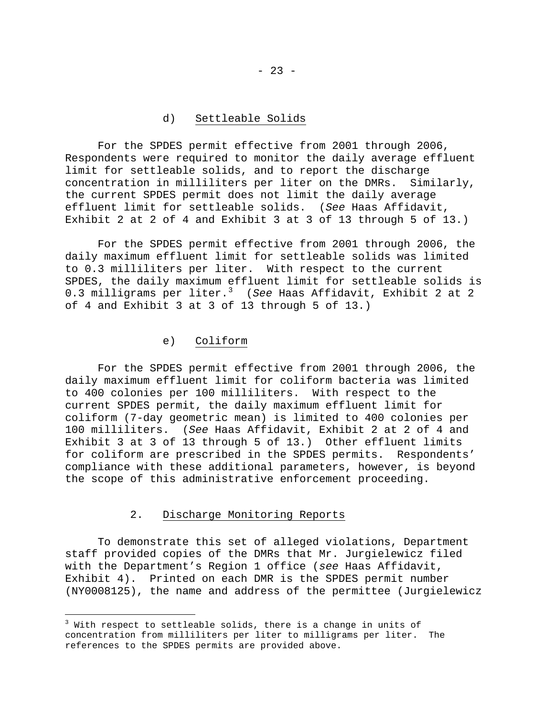## d) Settleable Solids

 For the SPDES permit effective from 2001 through 2006, Respondents were required to monitor the daily average effluent limit for settleable solids, and to report the discharge concentration in milliliters per liter on the DMRs. Similarly, the current SPDES permit does not limit the daily average effluent limit for settleable solids. (*See* Haas Affidavit, Exhibit 2 at 2 of 4 and Exhibit 3 at 3 of 13 through 5 of 13.)

 For the SPDES permit effective from 2001 through 2006, the daily maximum effluent limit for settleable solids was limited to 0.3 milliliters per liter. With respect to the current SPDES, the daily maximum effluent limit for settleable solids is 0.3 milligrams per liter.[3](#page-22-0) (*See* Haas Affidavit, Exhibit 2 at 2 of 4 and Exhibit 3 at 3 of 13 through 5 of 13.)

# e) Coliform

 For the SPDES permit effective from 2001 through 2006, the daily maximum effluent limit for coliform bacteria was limited to 400 colonies per 100 milliliters. With respect to the current SPDES permit, the daily maximum effluent limit for coliform (7-day geometric mean) is limited to 400 colonies per 100 milliliters. (*See* Haas Affidavit, Exhibit 2 at 2 of 4 and Exhibit 3 at 3 of 13 through 5 of 13.) Other effluent limits for coliform are prescribed in the SPDES permits. Respondents' compliance with these additional parameters, however, is beyond the scope of this administrative enforcement proceeding.

### 2. Discharge Monitoring Reports

i

 To demonstrate this set of alleged violations, Department staff provided copies of the DMRs that Mr. Jurgielewicz filed with the Department's Region 1 office (*see* Haas Affidavit, Exhibit 4). Printed on each DMR is the SPDES permit number (NY0008125), the name and address of the permittee (Jurgielewicz

<span id="page-22-0"></span> $^3$  With respect to settleable solids, there is a change in units of concentration from milliliters per liter to milligrams per liter. The references to the SPDES permits are provided above.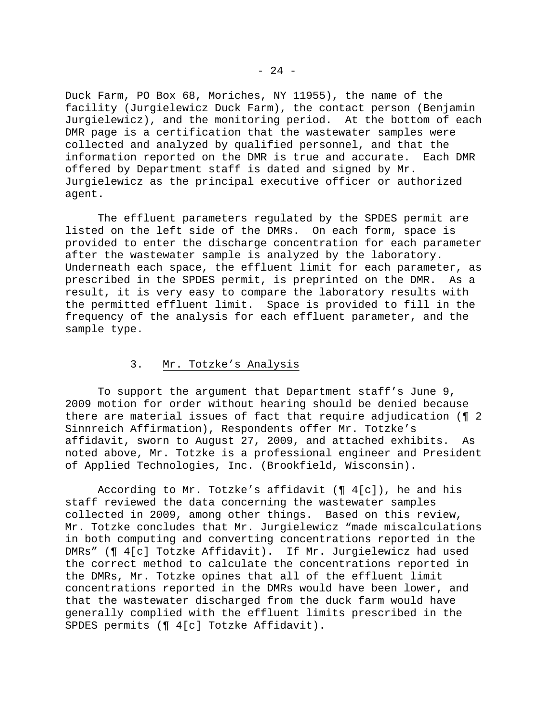Duck Farm, PO Box 68, Moriches, NY 11955), the name of the facility (Jurgielewicz Duck Farm), the contact person (Benjamin Jurgielewicz), and the monitoring period. At the bottom of each DMR page is a certification that the wastewater samples were collected and analyzed by qualified personnel, and that the information reported on the DMR is true and accurate. Each DMR offered by Department staff is dated and signed by Mr. Jurgielewicz as the principal executive officer or authorized agent.

 The effluent parameters regulated by the SPDES permit are listed on the left side of the DMRs. On each form, space is provided to enter the discharge concentration for each parameter after the wastewater sample is analyzed by the laboratory. Underneath each space, the effluent limit for each parameter, as prescribed in the SPDES permit, is preprinted on the DMR. As a result, it is very easy to compare the laboratory results with the permitted effluent limit. Space is provided to fill in the frequency of the analysis for each effluent parameter, and the sample type.

# 3. Mr. Totzke's Analysis

 To support the argument that Department staff's June 9, 2009 motion for order without hearing should be denied because there are material issues of fact that require adjudication (¶ 2 Sinnreich Affirmation), Respondents offer Mr. Totzke's affidavit, sworn to August 27, 2009, and attached exhibits. As noted above, Mr. Totzke is a professional engineer and President of Applied Technologies, Inc. (Brookfield, Wisconsin).

According to Mr. Totzke's affidavit  $(\P \ 4[c])$ , he and his staff reviewed the data concerning the wastewater samples collected in 2009, among other things. Based on this review, Mr. Totzke concludes that Mr. Jurgielewicz "made miscalculations in both computing and converting concentrations reported in the DMRs" (¶ 4[c] Totzke Affidavit). If Mr. Jurgielewicz had used the correct method to calculate the concentrations reported in the DMRs, Mr. Totzke opines that all of the effluent limit concentrations reported in the DMRs would have been lower, and that the wastewater discharged from the duck farm would have generally complied with the effluent limits prescribed in the SPDES permits (¶ 4[c] Totzke Affidavit).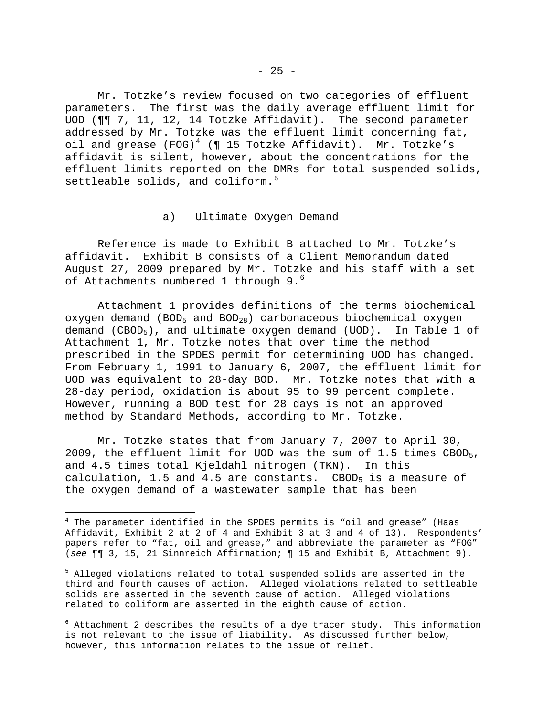Mr. Totzke's review focused on two categories of effluent parameters. The first was the daily average effluent limit for UOD (¶¶ 7, 11, 12, 14 Totzke Affidavit). The second parameter addressed by Mr. Totzke was the effluent limit concerning fat, oil and grease (FOG)<sup>[4](#page-24-0)</sup> (¶ 15 Totzke Affidavit). Mr. Totzke's affidavit is silent, however, about the concentrations for the effluent limits reported on the DMRs for total suspended solids, settleable solids, and coliform.<sup>[5](#page-24-1)</sup>

#### a) Ultimate Oxygen Demand

 Reference is made to Exhibit B attached to Mr. Totzke's affidavit. Exhibit B consists of a Client Memorandum dated August 27, 2009 prepared by Mr. Totzke and his staff with a set of Attachments numbered 1 through 9.<sup>[6](#page-24-2)</sup>

 Attachment 1 provides definitions of the terms biochemical oxygen demand (BOD<sub>5</sub> and BOD<sub>28</sub>) carbonaceous biochemical oxygen demand (CBOD<sub>5</sub>), and ultimate oxygen demand (UOD). In Table 1 of Attachment 1, Mr. Totzke notes that over time the method prescribed in the SPDES permit for determining UOD has changed. From February 1, 1991 to January 6, 2007, the effluent limit for UOD was equivalent to 28-day BOD. Mr. Totzke notes that with a 28-day period, oxidation is about 95 to 99 percent complete. However, running a BOD test for 28 days is not an approved method by Standard Methods, according to Mr. Totzke.

 Mr. Totzke states that from January 7, 2007 to April 30, 2009, the effluent limit for UOD was the sum of 1.5 times CBOD5, and 4.5 times total Kjeldahl nitrogen (TKN). In this calculation, 1.5 and 4.5 are constants. CBOD<sub>5</sub> is a measure of the oxygen demand of a wastewater sample that has been

i

<span id="page-24-0"></span><sup>4</sup> The parameter identified in the SPDES permits is "oil and grease" (Haas Affidavit, Exhibit 2 at 2 of 4 and Exhibit 3 at 3 and 4 of 13). Respondents' papers refer to "fat, oil and grease," and abbreviate the parameter as "FOG" (*see* ¶¶ 3, 15, 21 Sinnreich Affirmation; ¶ 15 and Exhibit B, Attachment 9).

<span id="page-24-1"></span><sup>&</sup>lt;sup>5</sup> Alleged violations related to total suspended solids are asserted in the third and fourth causes of action. Alleged violations related to settleable solids are asserted in the seventh cause of action. Alleged violations related to coliform are asserted in the eighth cause of action.

<span id="page-24-2"></span> $^6$  Attachment 2 describes the results of a dye tracer study. This information is not relevant to the issue of liability. As discussed further below, however, this information relates to the issue of relief.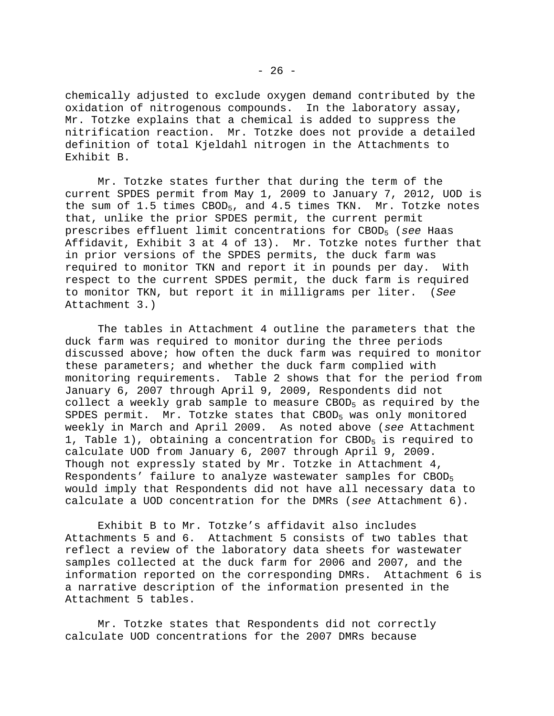chemically adjusted to exclude oxygen demand contributed by the oxidation of nitrogenous compounds. In the laboratory assay, Mr. Totzke explains that a chemical is added to suppress the nitrification reaction. Mr. Totzke does not provide a detailed definition of total Kjeldahl nitrogen in the Attachments to Exhibit B.

 Mr. Totzke states further that during the term of the current SPDES permit from May 1, 2009 to January 7, 2012, UOD is the sum of 1.5 times CBOD<sub>5</sub>, and 4.5 times TKN. Mr. Totzke notes that, unlike the prior SPDES permit, the current permit prescribes effluent limit concentrations for CBOD5 (*see* Haas Affidavit, Exhibit 3 at 4 of 13). Mr. Totzke notes further that in prior versions of the SPDES permits, the duck farm was required to monitor TKN and report it in pounds per day. With respect to the current SPDES permit, the duck farm is required to monitor TKN, but report it in milligrams per liter. (*See*  Attachment 3.)

 The tables in Attachment 4 outline the parameters that the duck farm was required to monitor during the three periods discussed above; how often the duck farm was required to monitor these parameters; and whether the duck farm complied with monitoring requirements. Table 2 shows that for the period from January 6, 2007 through April 9, 2009, Respondents did not collect a weekly grab sample to measure CBOD<sub>5</sub> as required by the SPDES permit. Mr. Totzke states that CBOD<sub>5</sub> was only monitored weekly in March and April 2009. As noted above (*see* Attachment 1, Table 1), obtaining a concentration for  $CBOD<sub>5</sub>$  is required to calculate UOD from January 6, 2007 through April 9, 2009. Though not expressly stated by Mr. Totzke in Attachment 4, Respondents' failure to analyze wastewater samples for CBOD<sub>5</sub> would imply that Respondents did not have all necessary data to calculate a UOD concentration for the DMRs (*see* Attachment 6).

 Exhibit B to Mr. Totzke's affidavit also includes Attachments 5 and 6. Attachment 5 consists of two tables that reflect a review of the laboratory data sheets for wastewater samples collected at the duck farm for 2006 and 2007, and the information reported on the corresponding DMRs. Attachment 6 is a narrative description of the information presented in the Attachment 5 tables.

 Mr. Totzke states that Respondents did not correctly calculate UOD concentrations for the 2007 DMRs because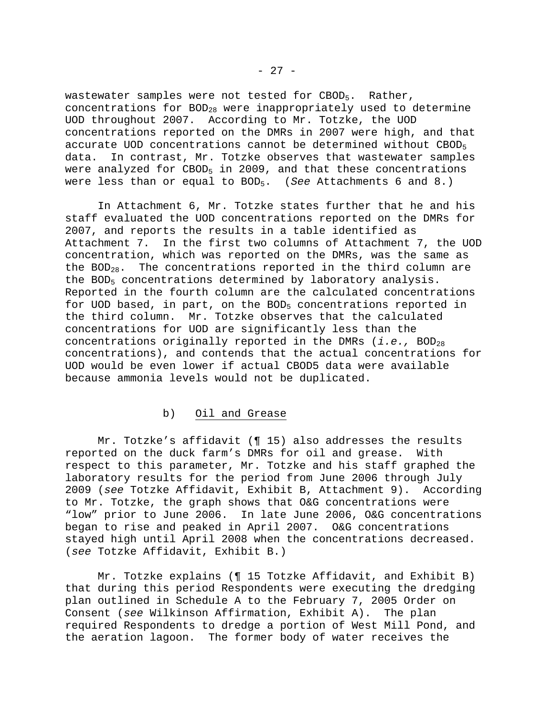wastewater samples were not tested for CBOD<sub>5</sub>. Rather, concentrations for  $BOD_{28}$  were inappropriately used to determine UOD throughout 2007. According to Mr. Totzke, the UOD concentrations reported on the DMRs in 2007 were high, and that accurate UOD concentrations cannot be determined without CBOD<sub>5</sub> data. In contrast, Mr. Totzke observes that wastewater samples were analyzed for  $CBOD_5$  in 2009, and that these concentrations were less than or equal to BOD5. (*See* Attachments 6 and 8.)

 In Attachment 6, Mr. Totzke states further that he and his staff evaluated the UOD concentrations reported on the DMRs for 2007, and reports the results in a table identified as Attachment 7. In the first two columns of Attachment 7, the UOD concentration, which was reported on the DMRs, was the same as the  $BOD_{28}$ . The concentrations reported in the third column are the BOD<sub>5</sub> concentrations determined by laboratory analysis. Reported in the fourth column are the calculated concentrations for UOD based, in part, on the BOD<sub>5</sub> concentrations reported in the third column. Mr. Totzke observes that the calculated concentrations for UOD are significantly less than the concentrations originally reported in the DMRs (*i.e.*, BOD<sub>28</sub> concentrations), and contends that the actual concentrations for UOD would be even lower if actual CBOD5 data were available because ammonia levels would not be duplicated.

### b) Oil and Grease

 Mr. Totzke's affidavit (¶ 15) also addresses the results reported on the duck farm's DMRs for oil and grease. With respect to this parameter, Mr. Totzke and his staff graphed the laboratory results for the period from June 2006 through July 2009 (*see* Totzke Affidavit, Exhibit B, Attachment 9). According to Mr. Totzke, the graph shows that O&G concentrations were "low" prior to June 2006. In late June 2006, O&G concentrations began to rise and peaked in April 2007. O&G concentrations stayed high until April 2008 when the concentrations decreased. (*see* Totzke Affidavit, Exhibit B.)

 Mr. Totzke explains (¶ 15 Totzke Affidavit, and Exhibit B) that during this period Respondents were executing the dredging plan outlined in Schedule A to the February 7, 2005 Order on Consent (*see* Wilkinson Affirmation, Exhibit A). The plan required Respondents to dredge a portion of West Mill Pond, and the aeration lagoon. The former body of water receives the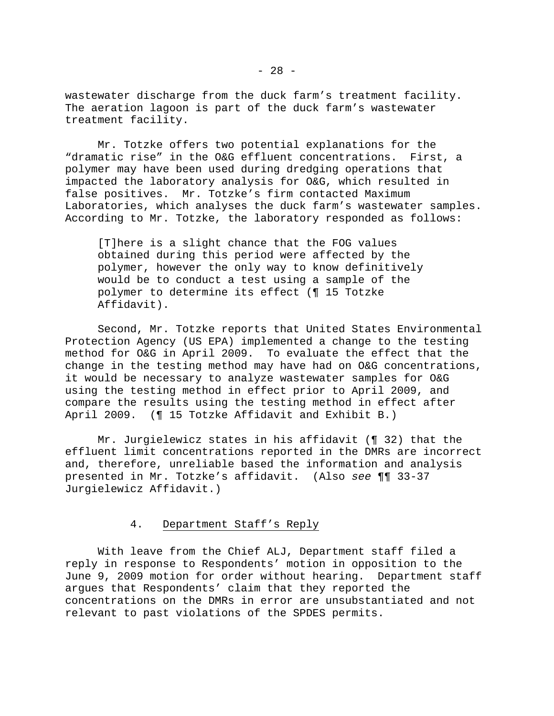wastewater discharge from the duck farm's treatment facility. The aeration lagoon is part of the duck farm's wastewater treatment facility.

 Mr. Totzke offers two potential explanations for the "dramatic rise" in the O&G effluent concentrations. First, a polymer may have been used during dredging operations that impacted the laboratory analysis for O&G, which resulted in false positives. Mr. Totzke's firm contacted Maximum Laboratories, which analyses the duck farm's wastewater samples. According to Mr. Totzke, the laboratory responded as follows:

[T]here is a slight chance that the FOG values obtained during this period were affected by the polymer, however the only way to know definitively would be to conduct a test using a sample of the polymer to determine its effect (¶ 15 Totzke Affidavit).

 Second, Mr. Totzke reports that United States Environmental Protection Agency (US EPA) implemented a change to the testing method for O&G in April 2009. To evaluate the effect that the change in the testing method may have had on O&G concentrations, it would be necessary to analyze wastewater samples for O&G using the testing method in effect prior to April 2009, and compare the results using the testing method in effect after April 2009. (¶ 15 Totzke Affidavit and Exhibit B.)

 Mr. Jurgielewicz states in his affidavit (¶ 32) that the effluent limit concentrations reported in the DMRs are incorrect and, therefore, unreliable based the information and analysis presented in Mr. Totzke's affidavit. (Also *see* ¶¶ 33-37 Jurgielewicz Affidavit.)

# 4. Department Staff's Reply

 With leave from the Chief ALJ, Department staff filed a reply in response to Respondents' motion in opposition to the June 9, 2009 motion for order without hearing. Department staff argues that Respondents' claim that they reported the concentrations on the DMRs in error are unsubstantiated and not relevant to past violations of the SPDES permits.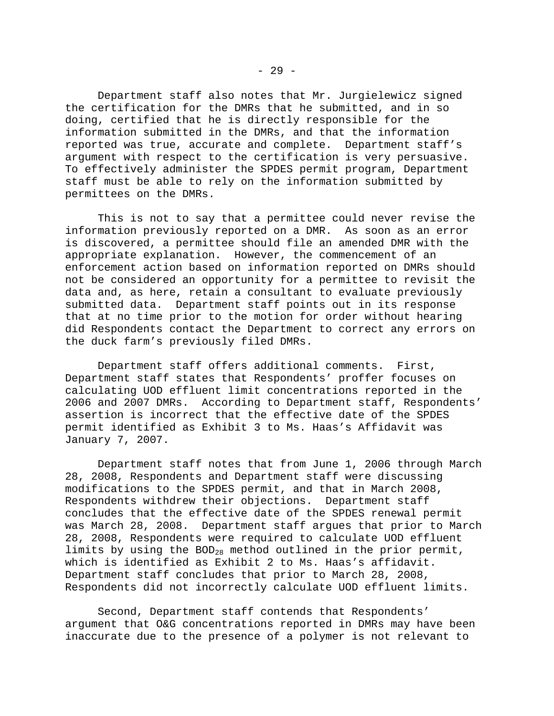Department staff also notes that Mr. Jurgielewicz signed the certification for the DMRs that he submitted, and in so doing, certified that he is directly responsible for the information submitted in the DMRs, and that the information reported was true, accurate and complete. Department staff's argument with respect to the certification is very persuasive. To effectively administer the SPDES permit program, Department staff must be able to rely on the information submitted by permittees on the DMRs.

 This is not to say that a permittee could never revise the information previously reported on a DMR. As soon as an error is discovered, a permittee should file an amended DMR with the appropriate explanation. However, the commencement of an enforcement action based on information reported on DMRs should not be considered an opportunity for a permittee to revisit the data and, as here, retain a consultant to evaluate previously submitted data. Department staff points out in its response that at no time prior to the motion for order without hearing did Respondents contact the Department to correct any errors on the duck farm's previously filed DMRs.

 Department staff offers additional comments. First, Department staff states that Respondents' proffer focuses on calculating UOD effluent limit concentrations reported in the 2006 and 2007 DMRs. According to Department staff, Respondents' assertion is incorrect that the effective date of the SPDES permit identified as Exhibit 3 to Ms. Haas's Affidavit was January 7, 2007.

 Department staff notes that from June 1, 2006 through March 28, 2008, Respondents and Department staff were discussing modifications to the SPDES permit, and that in March 2008, Respondents withdrew their objections. Department staff concludes that the effective date of the SPDES renewal permit was March 28, 2008. Department staff argues that prior to March 28, 2008, Respondents were required to calculate UOD effluent limits by using the BOD<sub>28</sub> method outlined in the prior permit, which is identified as Exhibit 2 to Ms. Haas's affidavit. Department staff concludes that prior to March 28, 2008, Respondents did not incorrectly calculate UOD effluent limits.

 Second, Department staff contends that Respondents' argument that O&G concentrations reported in DMRs may have been inaccurate due to the presence of a polymer is not relevant to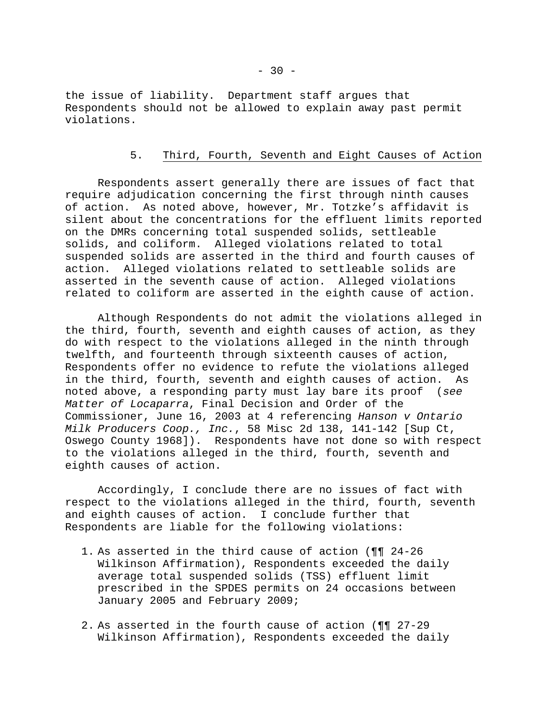the issue of liability. Department staff argues that Respondents should not be allowed to explain away past permit violations.

### 5. Third, Fourth, Seventh and Eight Causes of Action

 Respondents assert generally there are issues of fact that require adjudication concerning the first through ninth causes of action. As noted above, however, Mr. Totzke's affidavit is silent about the concentrations for the effluent limits reported on the DMRs concerning total suspended solids, settleable solids, and coliform. Alleged violations related to total suspended solids are asserted in the third and fourth causes of action. Alleged violations related to settleable solids are asserted in the seventh cause of action. Alleged violations related to coliform are asserted in the eighth cause of action.

 Although Respondents do not admit the violations alleged in the third, fourth, seventh and eighth causes of action, as they do with respect to the violations alleged in the ninth through twelfth, and fourteenth through sixteenth causes of action, Respondents offer no evidence to refute the violations alleged in the third, fourth, seventh and eighth causes of action. As noted above, a responding party must lay bare its proof (*see Matter of Locaparra*, Final Decision and Order of the Commissioner, June 16, 2003 at 4 referencing *Hanson v Ontario Milk Producers Coop., Inc.*, 58 Misc 2d 138, 141-142 [Sup Ct, Oswego County 1968]). Respondents have not done so with respect to the violations alleged in the third, fourth, seventh and eighth causes of action.

 Accordingly, I conclude there are no issues of fact with respect to the violations alleged in the third, fourth, seventh and eighth causes of action. I conclude further that Respondents are liable for the following violations:

- 1. As asserted in the third cause of action (¶¶ 24-26 Wilkinson Affirmation), Respondents exceeded the daily average total suspended solids (TSS) effluent limit prescribed in the SPDES permits on 24 occasions between January 2005 and February 2009;
- 2. As asserted in the fourth cause of action (¶¶ 27-29 Wilkinson Affirmation), Respondents exceeded the daily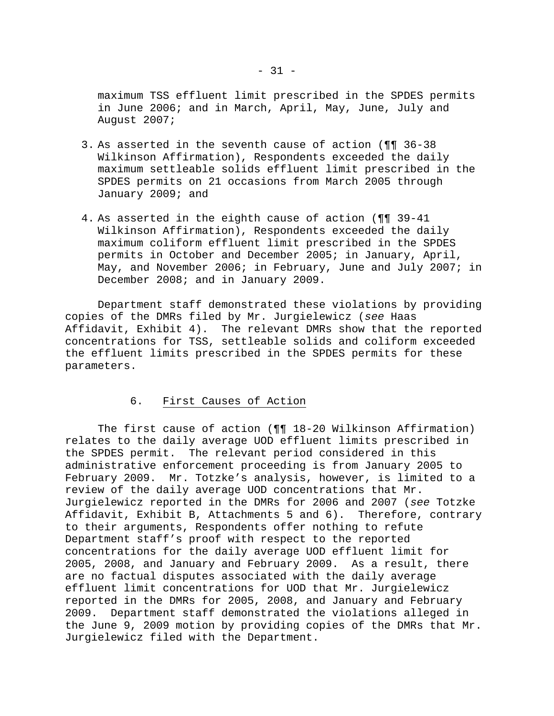maximum TSS effluent limit prescribed in the SPDES permits in June 2006; and in March, April, May, June, July and August 2007;

- 3. As asserted in the seventh cause of action (¶¶ 36-38 Wilkinson Affirmation), Respondents exceeded the daily maximum settleable solids effluent limit prescribed in the SPDES permits on 21 occasions from March 2005 through January 2009; and
- 4. As asserted in the eighth cause of action (¶¶ 39-41 Wilkinson Affirmation), Respondents exceeded the daily maximum coliform effluent limit prescribed in the SPDES permits in October and December 2005; in January, April, May, and November 2006; in February, June and July 2007; in December 2008; and in January 2009.

 Department staff demonstrated these violations by providing copies of the DMRs filed by Mr. Jurgielewicz (*see* Haas Affidavit, Exhibit 4). The relevant DMRs show that the reported concentrations for TSS, settleable solids and coliform exceeded the effluent limits prescribed in the SPDES permits for these parameters.

# 6. First Causes of Action

 The first cause of action (¶¶ 18-20 Wilkinson Affirmation) relates to the daily average UOD effluent limits prescribed in the SPDES permit. The relevant period considered in this administrative enforcement proceeding is from January 2005 to February 2009. Mr. Totzke's analysis, however, is limited to a review of the daily average UOD concentrations that Mr. Jurgielewicz reported in the DMRs for 2006 and 2007 (*see* Totzke Affidavit, Exhibit B, Attachments 5 and 6). Therefore, contrary to their arguments, Respondents offer nothing to refute Department staff's proof with respect to the reported concentrations for the daily average UOD effluent limit for 2005, 2008, and January and February 2009. As a result, there are no factual disputes associated with the daily average effluent limit concentrations for UOD that Mr. Jurgielewicz reported in the DMRs for 2005, 2008, and January and February 2009. Department staff demonstrated the violations alleged in the June 9, 2009 motion by providing copies of the DMRs that Mr. Jurgielewicz filed with the Department.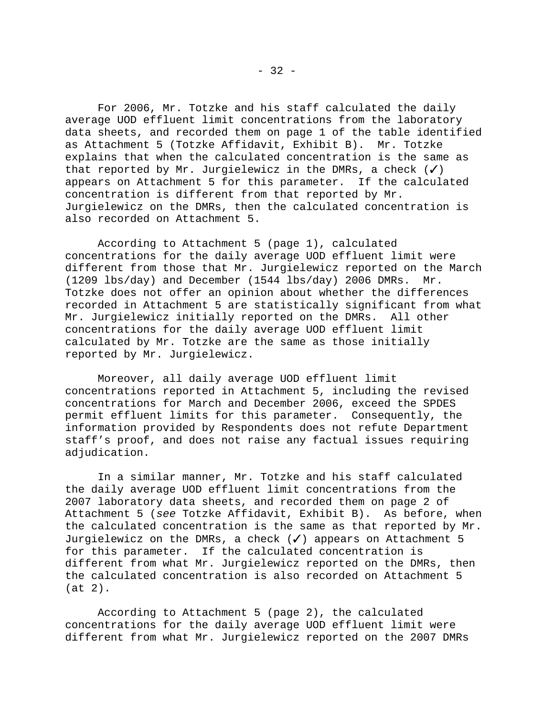For 2006, Mr. Totzke and his staff calculated the daily average UOD effluent limit concentrations from the laboratory data sheets, and recorded them on page 1 of the table identified as Attachment 5 (Totzke Affidavit, Exhibit B). Mr. Totzke explains that when the calculated concentration is the same as that reported by Mr. Jurgielewicz in the DMRs, a check  $(\checkmark)$ appears on Attachment 5 for this parameter. If the calculated concentration is different from that reported by Mr. Jurgielewicz on the DMRs, then the calculated concentration is also recorded on Attachment 5.

 According to Attachment 5 (page 1), calculated concentrations for the daily average UOD effluent limit were different from those that Mr. Jurgielewicz reported on the March (1209 lbs/day) and December (1544 lbs/day) 2006 DMRs. Mr. Totzke does not offer an opinion about whether the differences recorded in Attachment 5 are statistically significant from what Mr. Jurgielewicz initially reported on the DMRs. All other concentrations for the daily average UOD effluent limit calculated by Mr. Totzke are the same as those initially reported by Mr. Jurgielewicz.

 Moreover, all daily average UOD effluent limit concentrations reported in Attachment 5, including the revised concentrations for March and December 2006, exceed the SPDES permit effluent limits for this parameter. Consequently, the information provided by Respondents does not refute Department staff's proof, and does not raise any factual issues requiring adjudication.

 In a similar manner, Mr. Totzke and his staff calculated the daily average UOD effluent limit concentrations from the 2007 laboratory data sheets, and recorded them on page 2 of Attachment 5 (*see* Totzke Affidavit, Exhibit B). As before, when the calculated concentration is the same as that reported by Mr. Jurgielewicz on the DMRs, a check  $(\checkmark)$  appears on Attachment 5 for this parameter. If the calculated concentration is different from what Mr. Jurgielewicz reported on the DMRs, then the calculated concentration is also recorded on Attachment 5 (at 2).

 According to Attachment 5 (page 2), the calculated concentrations for the daily average UOD effluent limit were different from what Mr. Jurgielewicz reported on the 2007 DMRs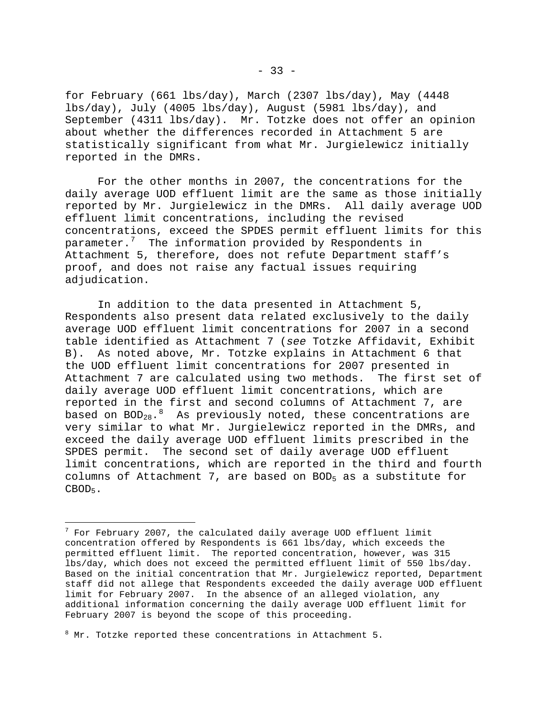for February (661 lbs/day), March (2307 lbs/day), May (4448 lbs/day), July (4005 lbs/day), August (5981 lbs/day), and September (4311 lbs/day). Mr. Totzke does not offer an opinion about whether the differences recorded in Attachment 5 are statistically significant from what Mr. Jurgielewicz initially reported in the DMRs.

 For the other months in 2007, the concentrations for the daily average UOD effluent limit are the same as those initially reported by Mr. Jurgielewicz in the DMRs. All daily average UOD effluent limit concentrations, including the revised concentrations, exceed the SPDES permit effluent limits for this parameter. $7$  The information provided by Respondents in Attachment 5, therefore, does not refute Department staff's proof, and does not raise any factual issues requiring adjudication.

 In addition to the data presented in Attachment 5, Respondents also present data related exclusively to the daily average UOD effluent limit concentrations for 2007 in a second table identified as Attachment 7 (*see* Totzke Affidavit, Exhibit B). As noted above, Mr. Totzke explains in Attachment 6 that the UOD effluent limit concentrations for 2007 presented in Attachment 7 are calculated using two methods. The first set of daily average UOD effluent limit concentrations, which are reported in the first and second columns of Attachment 7, are based on  $BOD_{28}.8$  $BOD_{28}.8$  $BOD_{28}.8$  As previously noted, these concentrations are very similar to what Mr. Jurgielewicz reported in the DMRs, and exceed the daily average UOD effluent limits prescribed in the SPDES permit. The second set of daily average UOD effluent limit concentrations, which are reported in the third and fourth columns of Attachment 7, are based on BOD<sub>5</sub> as a substitute for CBOD<sub>5</sub>.

 $\overline{\phantom{0}}$ 

<span id="page-32-0"></span> $^7$  For February 2007, the calculated daily average UOD effluent limit concentration offered by Respondents is 661 lbs/day, which exceeds the permitted effluent limit. The reported concentration, however, was 315 lbs/day, which does not exceed the permitted effluent limit of 550 lbs/day. Based on the initial concentration that Mr. Jurgielewicz reported, Department staff did not allege that Respondents exceeded the daily average UOD effluent limit for February 2007. In the absence of an alleged violation, any additional information concerning the daily average UOD effluent limit for February 2007 is beyond the scope of this proceeding.

<span id="page-32-1"></span><sup>&</sup>lt;sup>8</sup> Mr. Totzke reported these concentrations in Attachment 5.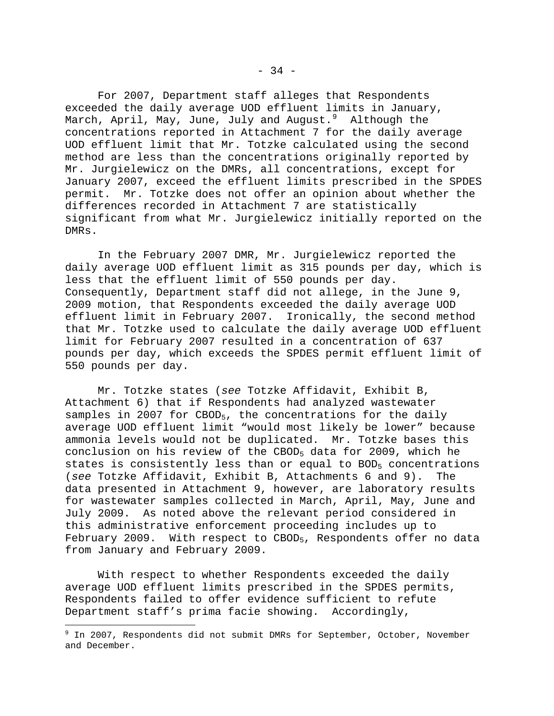For 2007, Department staff alleges that Respondents exceeded the daily average UOD effluent limits in January, March, April, May, June, July and August.<sup>[9](#page-33-0)</sup> Although the concentrations reported in Attachment 7 for the daily average UOD effluent limit that Mr. Totzke calculated using the second method are less than the concentrations originally reported by Mr. Jurgielewicz on the DMRs, all concentrations, except for January 2007, exceed the effluent limits prescribed in the SPDES permit. Mr. Totzke does not offer an opinion about whether the differences recorded in Attachment 7 are statistically significant from what Mr. Jurgielewicz initially reported on the DMRs.

 In the February 2007 DMR, Mr. Jurgielewicz reported the daily average UOD effluent limit as 315 pounds per day, which is less that the effluent limit of 550 pounds per day. Consequently, Department staff did not allege, in the June 9, 2009 motion, that Respondents exceeded the daily average UOD effluent limit in February 2007. Ironically, the second method that Mr. Totzke used to calculate the daily average UOD effluent limit for February 2007 resulted in a concentration of 637 pounds per day, which exceeds the SPDES permit effluent limit of 550 pounds per day.

 Mr. Totzke states (*see* Totzke Affidavit, Exhibit B, Attachment 6) that if Respondents had analyzed wastewater samples in 2007 for CBOD<sub>5</sub>, the concentrations for the daily average UOD effluent limit "would most likely be lower" because ammonia levels would not be duplicated. Mr. Totzke bases this conclusion on his review of the CBOD5 data for 2009, which he states is consistently less than or equal to  $BOD<sub>5</sub>$  concentrations (*see* Totzke Affidavit, Exhibit B, Attachments 6 and 9). The data presented in Attachment 9, however, are laboratory results for wastewater samples collected in March, April, May, June and July 2009. As noted above the relevant period considered in this administrative enforcement proceeding includes up to February 2009. With respect to CBOD<sub>5</sub>, Respondents offer no data from January and February 2009.

 With respect to whether Respondents exceeded the daily average UOD effluent limits prescribed in the SPDES permits, Respondents failed to offer evidence sufficient to refute Department staff's prima facie showing. Accordingly,

<span id="page-33-0"></span> 9 In 2007, Respondents did not submit DMRs for September, October, November and December.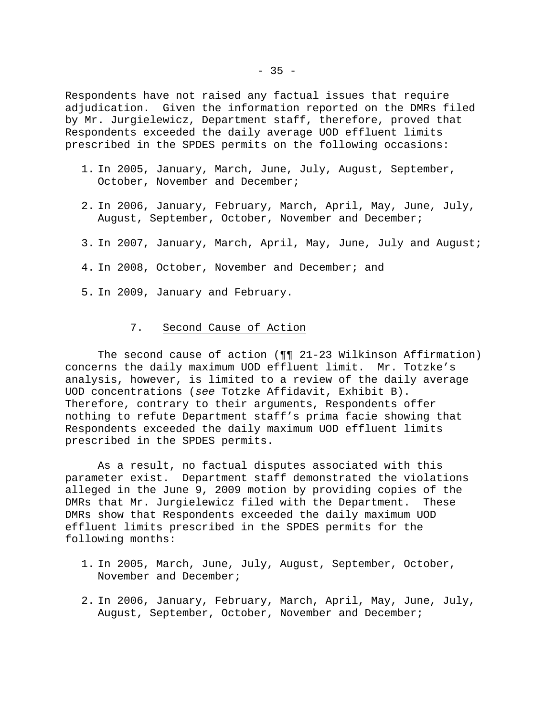Respondents have not raised any factual issues that require adjudication. Given the information reported on the DMRs filed by Mr. Jurgielewicz, Department staff, therefore, proved that Respondents exceeded the daily average UOD effluent limits prescribed in the SPDES permits on the following occasions:

- 1. In 2005, January, March, June, July, August, September, October, November and December;
- 2. In 2006, January, February, March, April, May, June, July, August, September, October, November and December;
- 3. In 2007, January, March, April, May, June, July and August;
- 4. In 2008, October, November and December; and
- 5. In 2009, January and February.

### 7. Second Cause of Action

 The second cause of action (¶¶ 21-23 Wilkinson Affirmation) concerns the daily maximum UOD effluent limit. Mr. Totzke's analysis, however, is limited to a review of the daily average UOD concentrations (*see* Totzke Affidavit, Exhibit B). Therefore, contrary to their arguments, Respondents offer nothing to refute Department staff's prima facie showing that Respondents exceeded the daily maximum UOD effluent limits prescribed in the SPDES permits.

 As a result, no factual disputes associated with this parameter exist. Department staff demonstrated the violations alleged in the June 9, 2009 motion by providing copies of the DMRs that Mr. Jurgielewicz filed with the Department. These DMRs show that Respondents exceeded the daily maximum UOD effluent limits prescribed in the SPDES permits for the following months:

- 1. In 2005, March, June, July, August, September, October, November and December;
- 2. In 2006, January, February, March, April, May, June, July, August, September, October, November and December;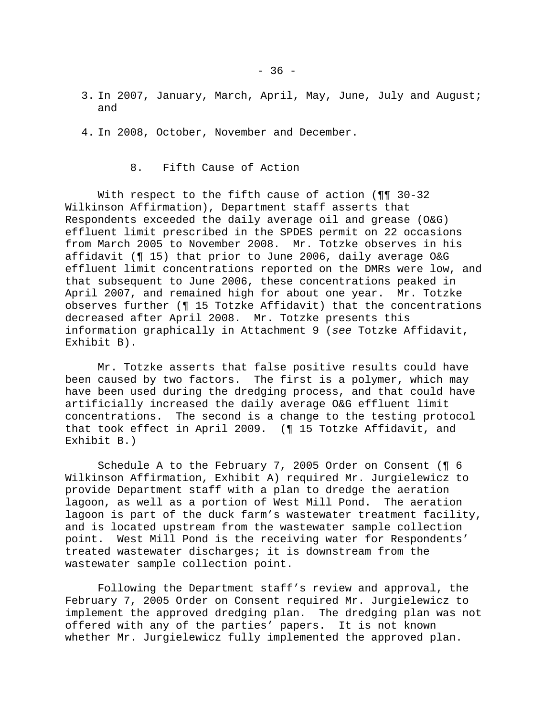- 3. In 2007, January, March, April, May, June, July and August; and
- 4. In 2008, October, November and December.

#### 8. Fifth Cause of Action

With respect to the fifth cause of action ( $\P$  $\P$  30-32 Wilkinson Affirmation), Department staff asserts that Respondents exceeded the daily average oil and grease (O&G) effluent limit prescribed in the SPDES permit on 22 occasions from March 2005 to November 2008. Mr. Totzke observes in his affidavit (¶ 15) that prior to June 2006, daily average O&G effluent limit concentrations reported on the DMRs were low, and that subsequent to June 2006, these concentrations peaked in April 2007, and remained high for about one year. Mr. Totzke observes further (¶ 15 Totzke Affidavit) that the concentrations decreased after April 2008. Mr. Totzke presents this information graphically in Attachment 9 (*see* Totzke Affidavit, Exhibit B).

 Mr. Totzke asserts that false positive results could have been caused by two factors. The first is a polymer, which may have been used during the dredging process, and that could have artificially increased the daily average O&G effluent limit concentrations. The second is a change to the testing protocol that took effect in April 2009. (¶ 15 Totzke Affidavit, and Exhibit B.)

 Schedule A to the February 7, 2005 Order on Consent (¶ 6 Wilkinson Affirmation, Exhibit A) required Mr. Jurgielewicz to provide Department staff with a plan to dredge the aeration lagoon, as well as a portion of West Mill Pond. The aeration lagoon is part of the duck farm's wastewater treatment facility, and is located upstream from the wastewater sample collection point. West Mill Pond is the receiving water for Respondents' treated wastewater discharges; it is downstream from the wastewater sample collection point.

 Following the Department staff's review and approval, the February 7, 2005 Order on Consent required Mr. Jurgielewicz to implement the approved dredging plan. The dredging plan was not offered with any of the parties' papers. It is not known whether Mr. Jurgielewicz fully implemented the approved plan.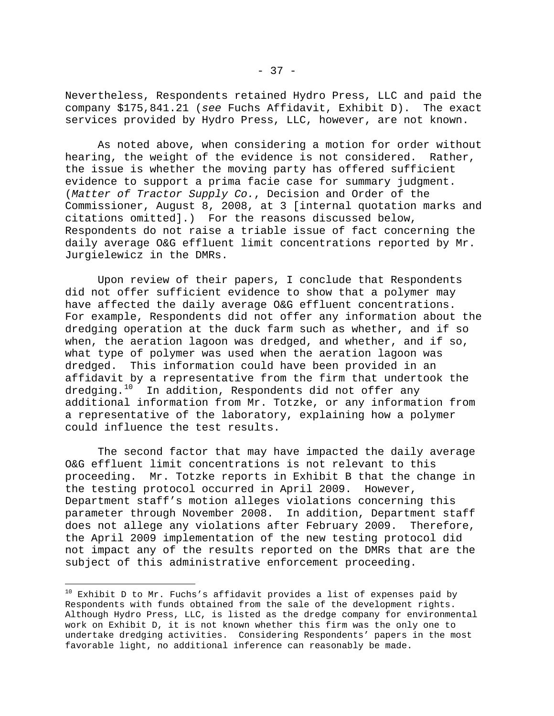Nevertheless, Respondents retained Hydro Press, LLC and paid the company \$175,841.21 (*see* Fuchs Affidavit, Exhibit D). The exact services provided by Hydro Press, LLC, however, are not known.

 As noted above, when considering a motion for order without hearing, the weight of the evidence is not considered. Rather, the issue is whether the moving party has offered sufficient evidence to support a prima facie case for summary judgment. (*Matter of Tractor Supply Co.*, Decision and Order of the Commissioner, August 8, 2008, at 3 [internal quotation marks and citations omitted].) For the reasons discussed below, Respondents do not raise a triable issue of fact concerning the daily average O&G effluent limit concentrations reported by Mr. Jurgielewicz in the DMRs.

 Upon review of their papers, I conclude that Respondents did not offer sufficient evidence to show that a polymer may have affected the daily average O&G effluent concentrations. For example, Respondents did not offer any information about the dredging operation at the duck farm such as whether, and if so when, the aeration lagoon was dredged, and whether, and if so, what type of polymer was used when the aeration lagoon was dredged. This information could have been provided in an affidavit by a representative from the firm that undertook the dredging.<sup>[10](#page-36-0)</sup> In addition, Respondents did not offer any additional information from Mr. Totzke, or any information from a representative of the laboratory, explaining how a polymer could influence the test results.

 The second factor that may have impacted the daily average O&G effluent limit concentrations is not relevant to this proceeding. Mr. Totzke reports in Exhibit B that the change in the testing protocol occurred in April 2009. However, Department staff's motion alleges violations concerning this parameter through November 2008. In addition, Department staff does not allege any violations after February 2009. Therefore, the April 2009 implementation of the new testing protocol did not impact any of the results reported on the DMRs that are the subject of this administrative enforcement proceeding.

 $\overline{\phantom{0}}$ 

<span id="page-36-0"></span> $10$  Exhibit D to Mr. Fuchs's affidavit provides a list of expenses paid by Respondents with funds obtained from the sale of the development rights. Although Hydro Press, LLC, is listed as the dredge company for environmental work on Exhibit D, it is not known whether this firm was the only one to undertake dredging activities. Considering Respondents' papers in the most favorable light, no additional inference can reasonably be made.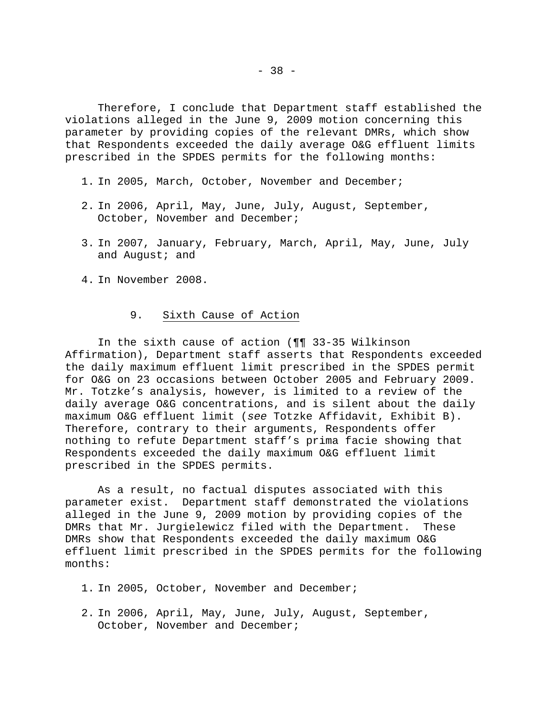Therefore, I conclude that Department staff established the violations alleged in the June 9, 2009 motion concerning this parameter by providing copies of the relevant DMRs, which show that Respondents exceeded the daily average O&G effluent limits prescribed in the SPDES permits for the following months:

- 1. In 2005, March, October, November and December;
- 2. In 2006, April, May, June, July, August, September, October, November and December;
- 3. In 2007, January, February, March, April, May, June, July and August; and
- 4. In November 2008.

# 9. Sixth Cause of Action

 In the sixth cause of action (¶¶ 33-35 Wilkinson Affirmation), Department staff asserts that Respondents exceeded the daily maximum effluent limit prescribed in the SPDES permit for O&G on 23 occasions between October 2005 and February 2009. Mr. Totzke's analysis, however, is limited to a review of the daily average O&G concentrations, and is silent about the daily maximum O&G effluent limit (*see* Totzke Affidavit, Exhibit B). Therefore, contrary to their arguments, Respondents offer nothing to refute Department staff's prima facie showing that Respondents exceeded the daily maximum O&G effluent limit prescribed in the SPDES permits.

 As a result, no factual disputes associated with this parameter exist. Department staff demonstrated the violations alleged in the June 9, 2009 motion by providing copies of the DMRs that Mr. Jurgielewicz filed with the Department. These DMRs show that Respondents exceeded the daily maximum O&G effluent limit prescribed in the SPDES permits for the following months:

- 1. In 2005, October, November and December;
- 2. In 2006, April, May, June, July, August, September, October, November and December;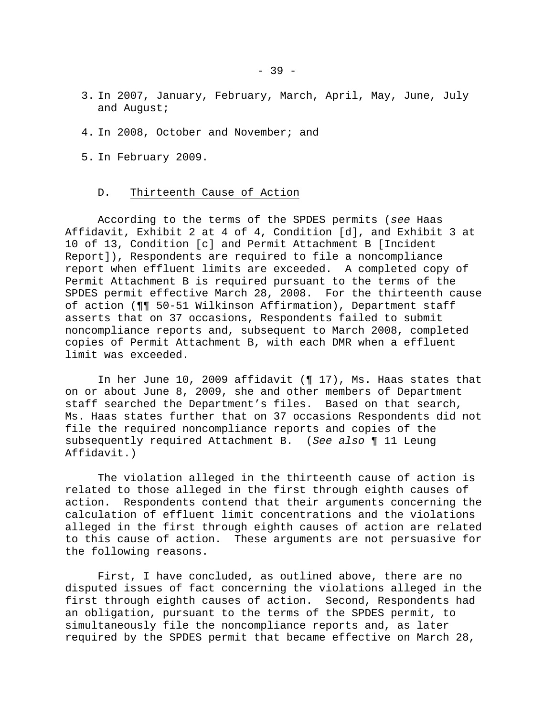- 3. In 2007, January, February, March, April, May, June, July and August;
- 4. In 2008, October and November; and
- 5. In February 2009.
	- D. Thirteenth Cause of Action

 According to the terms of the SPDES permits (*see* Haas Affidavit, Exhibit 2 at 4 of 4, Condition [d], and Exhibit 3 at 10 of 13, Condition [c] and Permit Attachment B [Incident Report]), Respondents are required to file a noncompliance report when effluent limits are exceeded. A completed copy of Permit Attachment B is required pursuant to the terms of the SPDES permit effective March 28, 2008. For the thirteenth cause of action (¶¶ 50-51 Wilkinson Affirmation), Department staff asserts that on 37 occasions, Respondents failed to submit noncompliance reports and, subsequent to March 2008, completed copies of Permit Attachment B, with each DMR when a effluent limit was exceeded.

 In her June 10, 2009 affidavit (¶ 17), Ms. Haas states that on or about June 8, 2009, she and other members of Department staff searched the Department's files. Based on that search, Ms. Haas states further that on 37 occasions Respondents did not file the required noncompliance reports and copies of the subsequently required Attachment B. (*See also* ¶ 11 Leung Affidavit.)

 The violation alleged in the thirteenth cause of action is related to those alleged in the first through eighth causes of action. Respondents contend that their arguments concerning the calculation of effluent limit concentrations and the violations alleged in the first through eighth causes of action are related to this cause of action. These arguments are not persuasive for the following reasons.

 First, I have concluded, as outlined above, there are no disputed issues of fact concerning the violations alleged in the first through eighth causes of action. Second, Respondents had an obligation, pursuant to the terms of the SPDES permit, to simultaneously file the noncompliance reports and, as later required by the SPDES permit that became effective on March 28,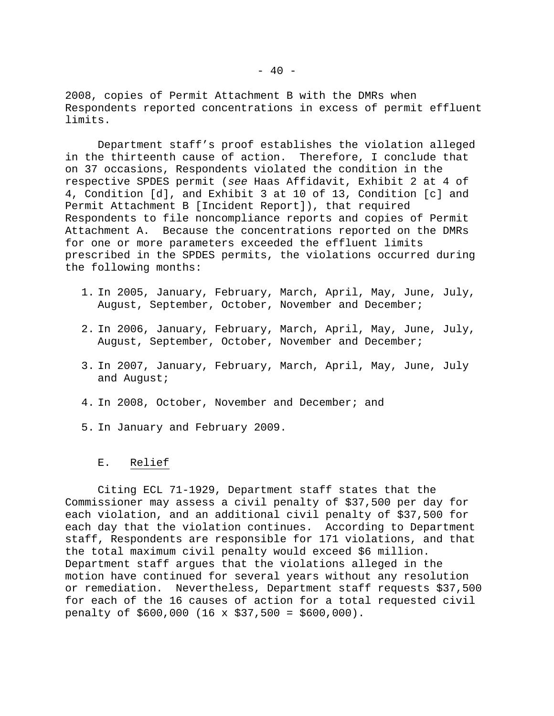2008, copies of Permit Attachment B with the DMRs when Respondents reported concentrations in excess of permit effluent limits.

 Department staff's proof establishes the violation alleged in the thirteenth cause of action. Therefore, I conclude that on 37 occasions, Respondents violated the condition in the respective SPDES permit (*see* Haas Affidavit, Exhibit 2 at 4 of 4, Condition [d], and Exhibit 3 at 10 of 13, Condition [c] and Permit Attachment B [Incident Report]), that required Respondents to file noncompliance reports and copies of Permit Attachment A. Because the concentrations reported on the DMRs for one or more parameters exceeded the effluent limits prescribed in the SPDES permits, the violations occurred during the following months:

- 1. In 2005, January, February, March, April, May, June, July, August, September, October, November and December;
- 2. In 2006, January, February, March, April, May, June, July, August, September, October, November and December;
- 3. In 2007, January, February, March, April, May, June, July and August;
- 4. In 2008, October, November and December; and
- 5. In January and February 2009.

# E. Relief

 Citing ECL 71-1929, Department staff states that the Commissioner may assess a civil penalty of \$37,500 per day for each violation, and an additional civil penalty of \$37,500 for each day that the violation continues. According to Department staff, Respondents are responsible for 171 violations, and that the total maximum civil penalty would exceed \$6 million. Department staff argues that the violations alleged in the motion have continued for several years without any resolution or remediation. Nevertheless, Department staff requests \$37,500 for each of the 16 causes of action for a total requested civil penalty of \$600,000 (16 x \$37,500 = \$600,000).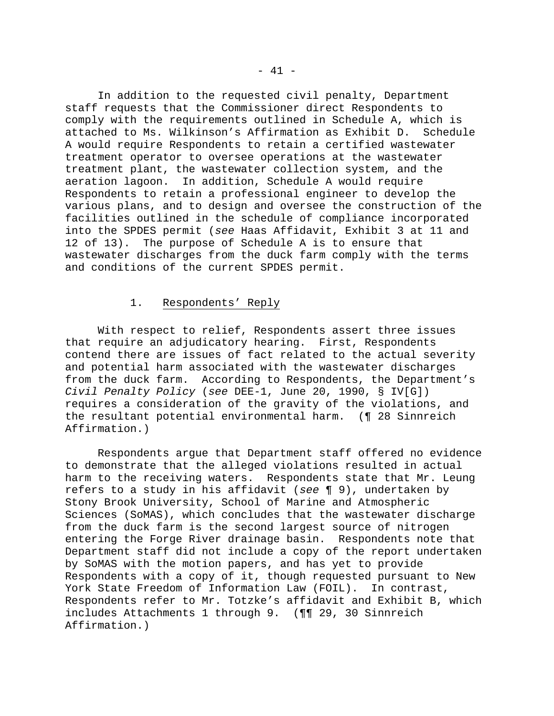In addition to the requested civil penalty, Department staff requests that the Commissioner direct Respondents to comply with the requirements outlined in Schedule A, which is attached to Ms. Wilkinson's Affirmation as Exhibit D. Schedule A would require Respondents to retain a certified wastewater treatment operator to oversee operations at the wastewater treatment plant, the wastewater collection system, and the aeration lagoon. In addition, Schedule A would require Respondents to retain a professional engineer to develop the various plans, and to design and oversee the construction of the facilities outlined in the schedule of compliance incorporated into the SPDES permit (*see* Haas Affidavit, Exhibit 3 at 11 and 12 of 13). The purpose of Schedule A is to ensure that wastewater discharges from the duck farm comply with the terms and conditions of the current SPDES permit.

# 1. Respondents' Reply

 With respect to relief, Respondents assert three issues that require an adjudicatory hearing. First, Respondents contend there are issues of fact related to the actual severity and potential harm associated with the wastewater discharges from the duck farm. According to Respondents, the Department's *Civil Penalty Policy* (*see* DEE-1, June 20, 1990, § IV[G]) requires a consideration of the gravity of the violations, and the resultant potential environmental harm. (¶ 28 Sinnreich Affirmation.)

 Respondents argue that Department staff offered no evidence to demonstrate that the alleged violations resulted in actual harm to the receiving waters. Respondents state that Mr. Leung refers to a study in his affidavit (*see* ¶ 9), undertaken by Stony Brook University, School of Marine and Atmospheric Sciences (SoMAS), which concludes that the wastewater discharge from the duck farm is the second largest source of nitrogen entering the Forge River drainage basin. Respondents note that Department staff did not include a copy of the report undertaken by SoMAS with the motion papers, and has yet to provide Respondents with a copy of it, though requested pursuant to New York State Freedom of Information Law (FOIL). In contrast, Respondents refer to Mr. Totzke's affidavit and Exhibit B, which includes Attachments 1 through 9. (¶¶ 29, 30 Sinnreich Affirmation.)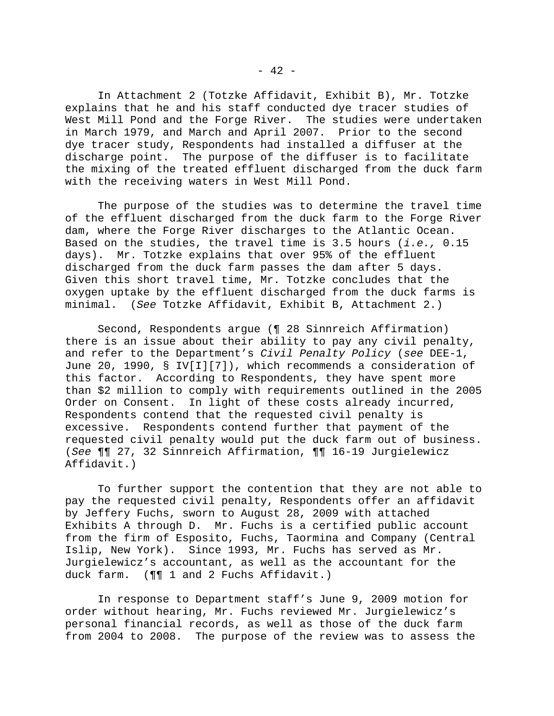In Attachment 2 (Totzke Affidavit, Exhibit B), Mr. Totzke explains that he and his staff conducted dye tracer studies of West Mill Pond and the Forge River. The studies were undertaken in March 1979, and March and April 2007. Prior to the second dye tracer study, Respondents had installed a diffuser at the discharge point. The purpose of the diffuser is to facilitate the mixing of the treated effluent discharged from the duck farm with the receiving waters in West Mill Pond.

 The purpose of the studies was to determine the travel time of the effluent discharged from the duck farm to the Forge River dam, where the Forge River discharges to the Atlantic Ocean. Based on the studies, the travel time is 3.5 hours (*i.e.,* 0.15 days). Mr. Totzke explains that over 95% of the effluent discharged from the duck farm passes the dam after 5 days. Given this short travel time, Mr. Totzke concludes that the oxygen uptake by the effluent discharged from the duck farms is minimal. (*See* Totzke Affidavit, Exhibit B, Attachment 2.)

 Second, Respondents argue (¶ 28 Sinnreich Affirmation) there is an issue about their ability to pay any civil penalty, and refer to the Department's *Civil Penalty Policy* (*see* DEE-1, June 20, 1990, § IV[I][7]), which recommends a consideration of this factor. According to Respondents, they have spent more than \$2 million to comply with requirements outlined in the 2005 Order on Consent. In light of these costs already incurred, Respondents contend that the requested civil penalty is excessive. Respondents contend further that payment of the requested civil penalty would put the duck farm out of business. (*See* ¶¶ 27, 32 Sinnreich Affirmation, ¶¶ 16-19 Jurgielewicz Affidavit.)

 To further support the contention that they are not able to pay the requested civil penalty, Respondents offer an affidavit by Jeffery Fuchs, sworn to August 28, 2009 with attached Exhibits A through D. Mr. Fuchs is a certified public account from the firm of Esposito, Fuchs, Taormina and Company (Central Islip, New York). Since 1993, Mr. Fuchs has served as Mr. Jurgielewicz's accountant, as well as the accountant for the duck farm. (¶¶ 1 and 2 Fuchs Affidavit.)

 In response to Department staff's June 9, 2009 motion for order without hearing, Mr. Fuchs reviewed Mr. Jurgielewicz's personal financial records, as well as those of the duck farm from 2004 to 2008. The purpose of the review was to assess the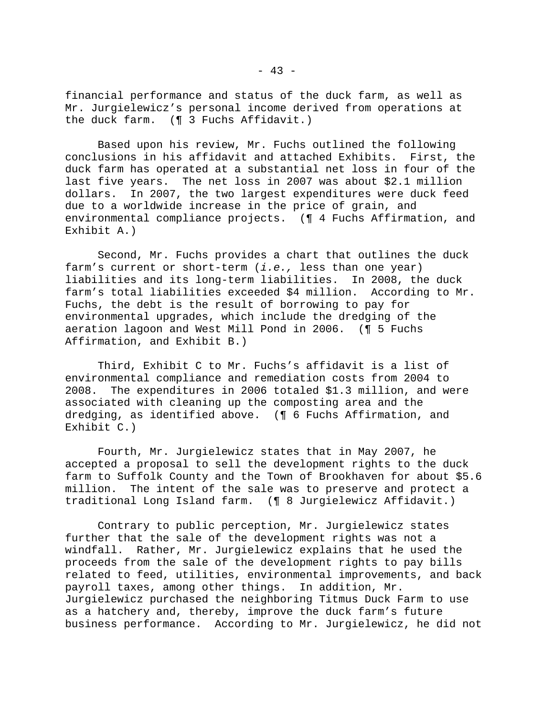financial performance and status of the duck farm, as well as Mr. Jurgielewicz's personal income derived from operations at the duck farm. (¶ 3 Fuchs Affidavit.)

 Based upon his review, Mr. Fuchs outlined the following conclusions in his affidavit and attached Exhibits. First, the duck farm has operated at a substantial net loss in four of the last five years. The net loss in 2007 was about \$2.1 million dollars. In 2007, the two largest expenditures were duck feed due to a worldwide increase in the price of grain, and environmental compliance projects. (¶ 4 Fuchs Affirmation, and Exhibit A.)

 Second, Mr. Fuchs provides a chart that outlines the duck farm's current or short-term (*i.e.,* less than one year) liabilities and its long-term liabilities. In 2008, the duck farm's total liabilities exceeded \$4 million. According to Mr. Fuchs, the debt is the result of borrowing to pay for environmental upgrades, which include the dredging of the aeration lagoon and West Mill Pond in 2006. (¶ 5 Fuchs Affirmation, and Exhibit B.)

 Third, Exhibit C to Mr. Fuchs's affidavit is a list of environmental compliance and remediation costs from 2004 to 2008. The expenditures in 2006 totaled \$1.3 million, and were associated with cleaning up the composting area and the dredging, as identified above. (¶ 6 Fuchs Affirmation, and Exhibit C.)

 Fourth, Mr. Jurgielewicz states that in May 2007, he accepted a proposal to sell the development rights to the duck farm to Suffolk County and the Town of Brookhaven for about \$5.6 million. The intent of the sale was to preserve and protect a traditional Long Island farm. (¶ 8 Jurgielewicz Affidavit.)

 Contrary to public perception, Mr. Jurgielewicz states further that the sale of the development rights was not a windfall. Rather, Mr. Jurgielewicz explains that he used the proceeds from the sale of the development rights to pay bills related to feed, utilities, environmental improvements, and back payroll taxes, among other things. In addition, Mr. Jurgielewicz purchased the neighboring Titmus Duck Farm to use as a hatchery and, thereby, improve the duck farm's future business performance. According to Mr. Jurgielewicz, he did not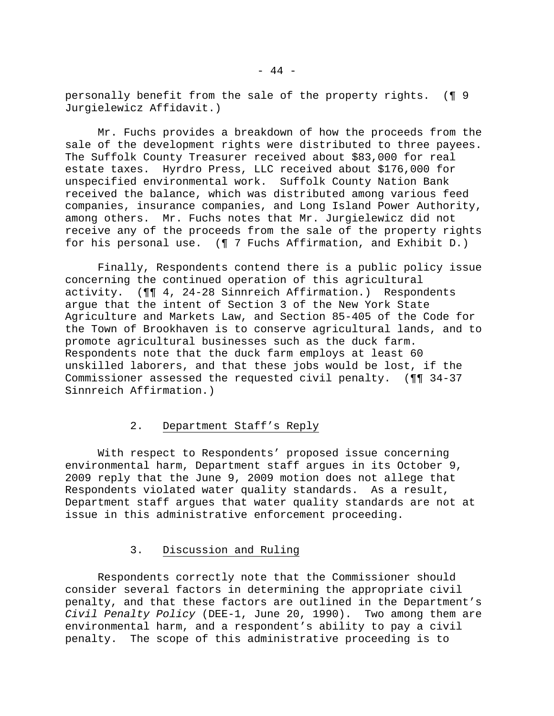personally benefit from the sale of the property rights. (¶ 9 Jurgielewicz Affidavit.)

 Mr. Fuchs provides a breakdown of how the proceeds from the sale of the development rights were distributed to three payees. The Suffolk County Treasurer received about \$83,000 for real estate taxes. Hyrdro Press, LLC received about \$176,000 for unspecified environmental work. Suffolk County Nation Bank received the balance, which was distributed among various feed companies, insurance companies, and Long Island Power Authority, among others. Mr. Fuchs notes that Mr. Jurgielewicz did not receive any of the proceeds from the sale of the property rights for his personal use. (¶ 7 Fuchs Affirmation, and Exhibit D.)

 Finally, Respondents contend there is a public policy issue concerning the continued operation of this agricultural activity. (¶¶ 4, 24-28 Sinnreich Affirmation.) Respondents argue that the intent of Section 3 of the New York State Agriculture and Markets Law, and Section 85-405 of the Code for the Town of Brookhaven is to conserve agricultural lands, and to promote agricultural businesses such as the duck farm. Respondents note that the duck farm employs at least 60 unskilled laborers, and that these jobs would be lost, if the Commissioner assessed the requested civil penalty. (¶¶ 34-37 Sinnreich Affirmation.)

# 2. Department Staff's Reply

 With respect to Respondents' proposed issue concerning environmental harm, Department staff argues in its October 9, 2009 reply that the June 9, 2009 motion does not allege that Respondents violated water quality standards. As a result, Department staff argues that water quality standards are not at issue in this administrative enforcement proceeding.

# 3. Discussion and Ruling

 Respondents correctly note that the Commissioner should consider several factors in determining the appropriate civil penalty, and that these factors are outlined in the Department's *Civil Penalty Policy* (DEE-1, June 20, 1990). Two among them are environmental harm, and a respondent's ability to pay a civil penalty. The scope of this administrative proceeding is to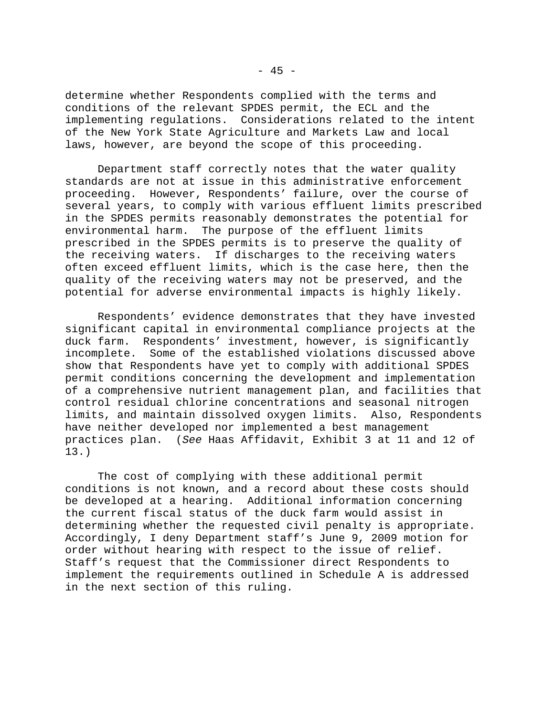determine whether Respondents complied with the terms and conditions of the relevant SPDES permit, the ECL and the implementing regulations. Considerations related to the intent of the New York State Agriculture and Markets Law and local laws, however, are beyond the scope of this proceeding.

 Department staff correctly notes that the water quality standards are not at issue in this administrative enforcement proceeding. However, Respondents' failure, over the course of several years, to comply with various effluent limits prescribed in the SPDES permits reasonably demonstrates the potential for environmental harm. The purpose of the effluent limits prescribed in the SPDES permits is to preserve the quality of the receiving waters. If discharges to the receiving waters often exceed effluent limits, which is the case here, then the quality of the receiving waters may not be preserved, and the potential for adverse environmental impacts is highly likely.

 Respondents' evidence demonstrates that they have invested significant capital in environmental compliance projects at the duck farm. Respondents' investment, however, is significantly incomplete. Some of the established violations discussed above show that Respondents have yet to comply with additional SPDES permit conditions concerning the development and implementation of a comprehensive nutrient management plan, and facilities that control residual chlorine concentrations and seasonal nitrogen limits, and maintain dissolved oxygen limits. Also, Respondents have neither developed nor implemented a best management practices plan. (*See* Haas Affidavit, Exhibit 3 at 11 and 12 of 13.)

 The cost of complying with these additional permit conditions is not known, and a record about these costs should be developed at a hearing. Additional information concerning the current fiscal status of the duck farm would assist in determining whether the requested civil penalty is appropriate. Accordingly, I deny Department staff's June 9, 2009 motion for order without hearing with respect to the issue of relief. Staff's request that the Commissioner direct Respondents to implement the requirements outlined in Schedule A is addressed in the next section of this ruling.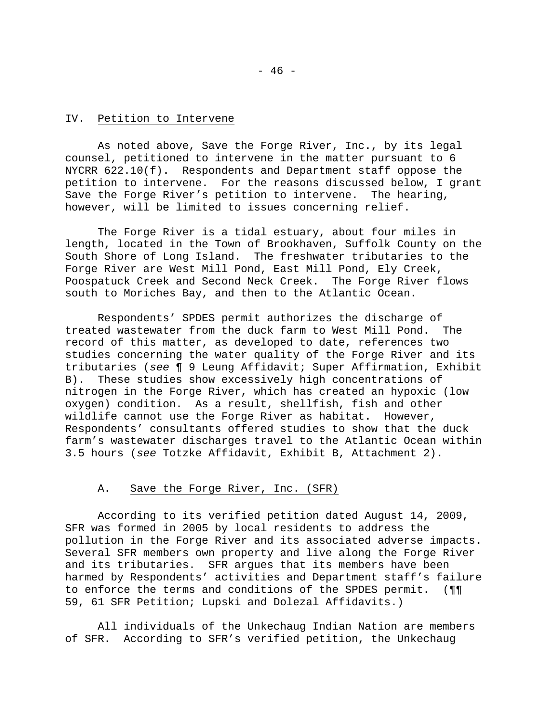# IV. Petition to Intervene

 As noted above, Save the Forge River, Inc., by its legal counsel, petitioned to intervene in the matter pursuant to 6 NYCRR 622.10(f). Respondents and Department staff oppose the petition to intervene. For the reasons discussed below, I grant Save the Forge River's petition to intervene. The hearing, however, will be limited to issues concerning relief.

 The Forge River is a tidal estuary, about four miles in length, located in the Town of Brookhaven, Suffolk County on the South Shore of Long Island. The freshwater tributaries to the Forge River are West Mill Pond, East Mill Pond, Ely Creek, Poospatuck Creek and Second Neck Creek. The Forge River flows south to Moriches Bay, and then to the Atlantic Ocean.

 Respondents' SPDES permit authorizes the discharge of treated wastewater from the duck farm to West Mill Pond. The record of this matter, as developed to date, references two studies concerning the water quality of the Forge River and its tributaries (*see* ¶ 9 Leung Affidavit; Super Affirmation, Exhibit B). These studies show excessively high concentrations of nitrogen in the Forge River, which has created an hypoxic (low oxygen) condition. As a result, shellfish, fish and other wildlife cannot use the Forge River as habitat. However, Respondents' consultants offered studies to show that the duck farm's wastewater discharges travel to the Atlantic Ocean within 3.5 hours (*see* Totzke Affidavit, Exhibit B, Attachment 2).

#### A. Save the Forge River, Inc. (SFR)

 According to its verified petition dated August 14, 2009, SFR was formed in 2005 by local residents to address the pollution in the Forge River and its associated adverse impacts. Several SFR members own property and live along the Forge River and its tributaries. SFR argues that its members have been harmed by Respondents' activities and Department staff's failure to enforce the terms and conditions of the SPDES permit. (¶¶ 59, 61 SFR Petition; Lupski and Dolezal Affidavits.)

 All individuals of the Unkechaug Indian Nation are members of SFR. According to SFR's verified petition, the Unkechaug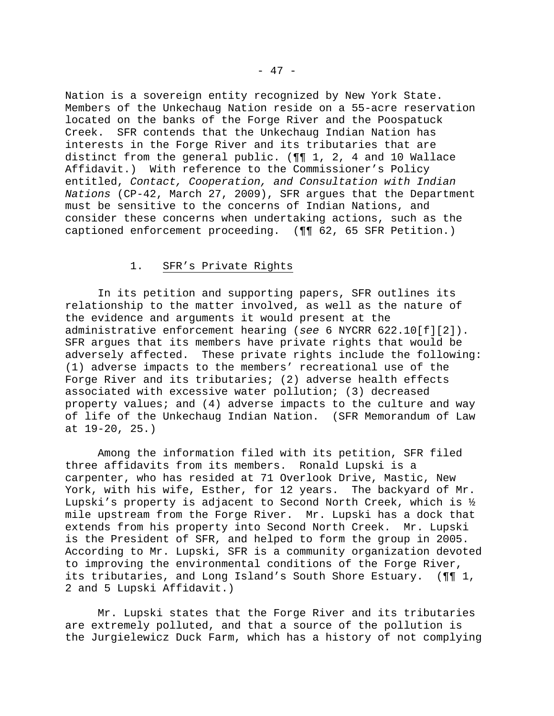Nation is a sovereign entity recognized by New York State. Members of the Unkechaug Nation reside on a 55-acre reservation located on the banks of the Forge River and the Poospatuck Creek. SFR contends that the Unkechaug Indian Nation has interests in the Forge River and its tributaries that are distinct from the general public. (¶¶ 1, 2, 4 and 10 Wallace Affidavit.) With reference to the Commissioner's Policy entitled, *Contact, Cooperation, and Consultation with Indian Nations* (CP-42, March 27, 2009), SFR argues that the Department must be sensitive to the concerns of Indian Nations, and consider these concerns when undertaking actions, such as the captioned enforcement proceeding. (¶¶ 62, 65 SFR Petition.)

# 1. SFR's Private Rights

 In its petition and supporting papers, SFR outlines its relationship to the matter involved, as well as the nature of the evidence and arguments it would present at the administrative enforcement hearing (*see* 6 NYCRR 622.10[f][2]). SFR argues that its members have private rights that would be adversely affected. These private rights include the following: (1) adverse impacts to the members' recreational use of the Forge River and its tributaries; (2) adverse health effects associated with excessive water pollution; (3) decreased property values; and (4) adverse impacts to the culture and way of life of the Unkechaug Indian Nation. (SFR Memorandum of Law at 19-20, 25.)

 Among the information filed with its petition, SFR filed three affidavits from its members. Ronald Lupski is a carpenter, who has resided at 71 Overlook Drive, Mastic, New York, with his wife, Esther, for 12 years. The backyard of Mr. Lupski's property is adjacent to Second North Creek, which is ½ mile upstream from the Forge River. Mr. Lupski has a dock that extends from his property into Second North Creek. Mr. Lupski is the President of SFR, and helped to form the group in 2005. According to Mr. Lupski, SFR is a community organization devoted to improving the environmental conditions of the Forge River, its tributaries, and Long Island's South Shore Estuary. (¶¶ 1, 2 and 5 Lupski Affidavit.)

 Mr. Lupski states that the Forge River and its tributaries are extremely polluted, and that a source of the pollution is the Jurgielewicz Duck Farm, which has a history of not complying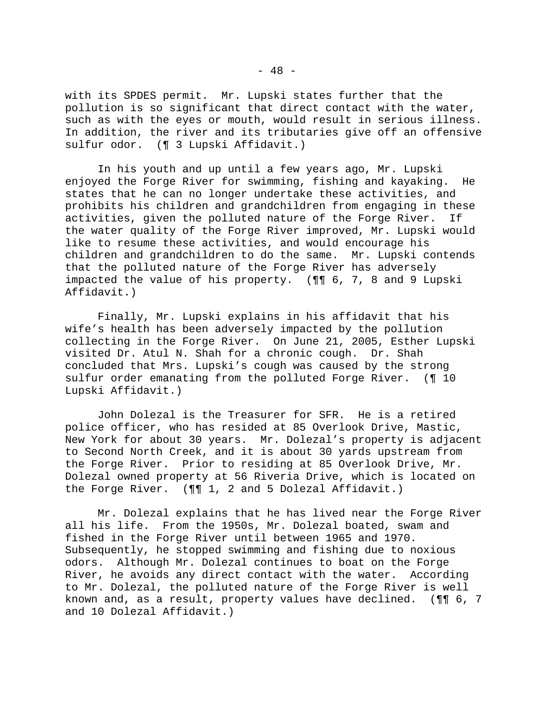with its SPDES permit. Mr. Lupski states further that the pollution is so significant that direct contact with the water, such as with the eyes or mouth, would result in serious illness. In addition, the river and its tributaries give off an offensive sulfur odor. (¶ 3 Lupski Affidavit.)

 In his youth and up until a few years ago, Mr. Lupski enjoyed the Forge River for swimming, fishing and kayaking. He states that he can no longer undertake these activities, and prohibits his children and grandchildren from engaging in these activities, given the polluted nature of the Forge River. If the water quality of the Forge River improved, Mr. Lupski would like to resume these activities, and would encourage his children and grandchildren to do the same. Mr. Lupski contends that the polluted nature of the Forge River has adversely impacted the value of his property. (¶¶ 6, 7, 8 and 9 Lupski Affidavit.)

 Finally, Mr. Lupski explains in his affidavit that his wife's health has been adversely impacted by the pollution collecting in the Forge River. On June 21, 2005, Esther Lupski visited Dr. Atul N. Shah for a chronic cough. Dr. Shah concluded that Mrs. Lupski's cough was caused by the strong sulfur order emanating from the polluted Forge River. (¶ 10 Lupski Affidavit.)

 John Dolezal is the Treasurer for SFR. He is a retired police officer, who has resided at 85 Overlook Drive, Mastic, New York for about 30 years. Mr. Dolezal's property is adjacent to Second North Creek, and it is about 30 yards upstream from the Forge River. Prior to residing at 85 Overlook Drive, Mr. Dolezal owned property at 56 Riveria Drive, which is located on the Forge River. (¶¶ 1, 2 and 5 Dolezal Affidavit.)

 Mr. Dolezal explains that he has lived near the Forge River all his life. From the 1950s, Mr. Dolezal boated, swam and fished in the Forge River until between 1965 and 1970. Subsequently, he stopped swimming and fishing due to noxious odors. Although Mr. Dolezal continues to boat on the Forge River, he avoids any direct contact with the water. According to Mr. Dolezal, the polluted nature of the Forge River is well known and, as a result, property values have declined. (¶¶ 6, 7 and 10 Dolezal Affidavit.)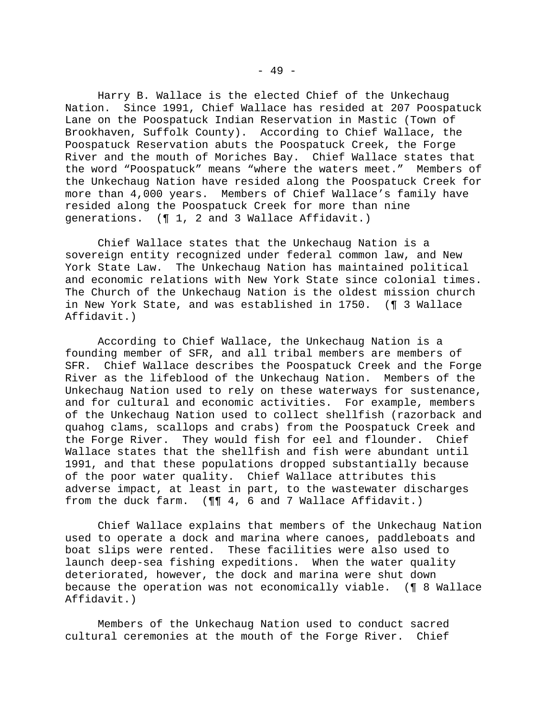Harry B. Wallace is the elected Chief of the Unkechaug Nation. Since 1991, Chief Wallace has resided at 207 Poospatuck Lane on the Poospatuck Indian Reservation in Mastic (Town of Brookhaven, Suffolk County). According to Chief Wallace, the Poospatuck Reservation abuts the Poospatuck Creek, the Forge River and the mouth of Moriches Bay. Chief Wallace states that the word "Poospatuck" means "where the waters meet." Members of the Unkechaug Nation have resided along the Poospatuck Creek for more than 4,000 years. Members of Chief Wallace's family have resided along the Poospatuck Creek for more than nine generations. (¶ 1, 2 and 3 Wallace Affidavit.)

 Chief Wallace states that the Unkechaug Nation is a sovereign entity recognized under federal common law, and New York State Law. The Unkechaug Nation has maintained political and economic relations with New York State since colonial times. The Church of the Unkechaug Nation is the oldest mission church in New York State, and was established in 1750. (¶ 3 Wallace Affidavit.)

 According to Chief Wallace, the Unkechaug Nation is a founding member of SFR, and all tribal members are members of SFR. Chief Wallace describes the Poospatuck Creek and the Forge River as the lifeblood of the Unkechaug Nation. Members of the Unkechaug Nation used to rely on these waterways for sustenance, and for cultural and economic activities. For example, members of the Unkechaug Nation used to collect shellfish (razorback and quahog clams, scallops and crabs) from the Poospatuck Creek and the Forge River. They would fish for eel and flounder. Chief Wallace states that the shellfish and fish were abundant until 1991, and that these populations dropped substantially because of the poor water quality. Chief Wallace attributes this adverse impact, at least in part, to the wastewater discharges from the duck farm. (¶¶ 4, 6 and 7 Wallace Affidavit.)

 Chief Wallace explains that members of the Unkechaug Nation used to operate a dock and marina where canoes, paddleboats and boat slips were rented. These facilities were also used to launch deep-sea fishing expeditions. When the water quality deteriorated, however, the dock and marina were shut down because the operation was not economically viable. (¶ 8 Wallace Affidavit.)

 Members of the Unkechaug Nation used to conduct sacred cultural ceremonies at the mouth of the Forge River. Chief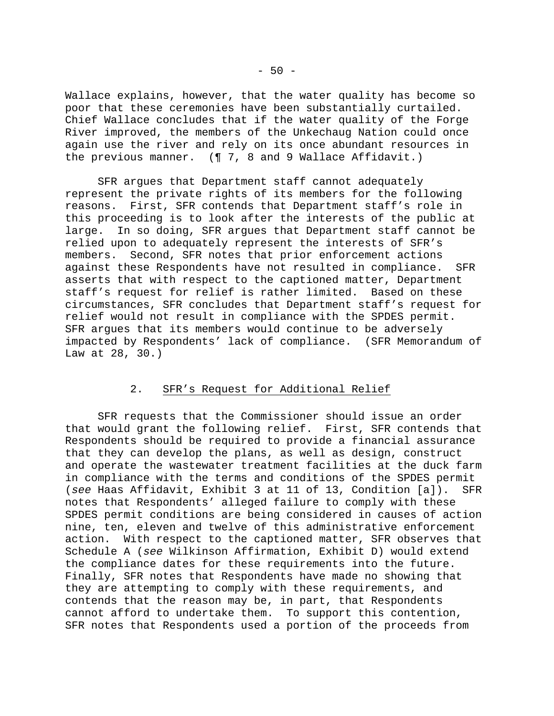Wallace explains, however, that the water quality has become so poor that these ceremonies have been substantially curtailed. Chief Wallace concludes that if the water quality of the Forge River improved, the members of the Unkechaug Nation could once again use the river and rely on its once abundant resources in the previous manner. (¶ 7, 8 and 9 Wallace Affidavit.)

 SFR argues that Department staff cannot adequately represent the private rights of its members for the following reasons. First, SFR contends that Department staff's role in this proceeding is to look after the interests of the public at large. In so doing, SFR argues that Department staff cannot be relied upon to adequately represent the interests of SFR's members. Second, SFR notes that prior enforcement actions against these Respondents have not resulted in compliance. SFR asserts that with respect to the captioned matter, Department staff's request for relief is rather limited. Based on these circumstances, SFR concludes that Department staff's request for relief would not result in compliance with the SPDES permit. SFR argues that its members would continue to be adversely impacted by Respondents' lack of compliance. (SFR Memorandum of Law at 28, 30.)

# 2. SFR's Request for Additional Relief

 SFR requests that the Commissioner should issue an order that would grant the following relief. First, SFR contends that Respondents should be required to provide a financial assurance that they can develop the plans, as well as design, construct and operate the wastewater treatment facilities at the duck farm in compliance with the terms and conditions of the SPDES permit (*see* Haas Affidavit, Exhibit 3 at 11 of 13, Condition [a]). SFR notes that Respondents' alleged failure to comply with these SPDES permit conditions are being considered in causes of action nine, ten, eleven and twelve of this administrative enforcement action. With respect to the captioned matter, SFR observes that Schedule A (*see* Wilkinson Affirmation, Exhibit D) would extend the compliance dates for these requirements into the future. Finally, SFR notes that Respondents have made no showing that they are attempting to comply with these requirements, and contends that the reason may be, in part, that Respondents cannot afford to undertake them. To support this contention, SFR notes that Respondents used a portion of the proceeds from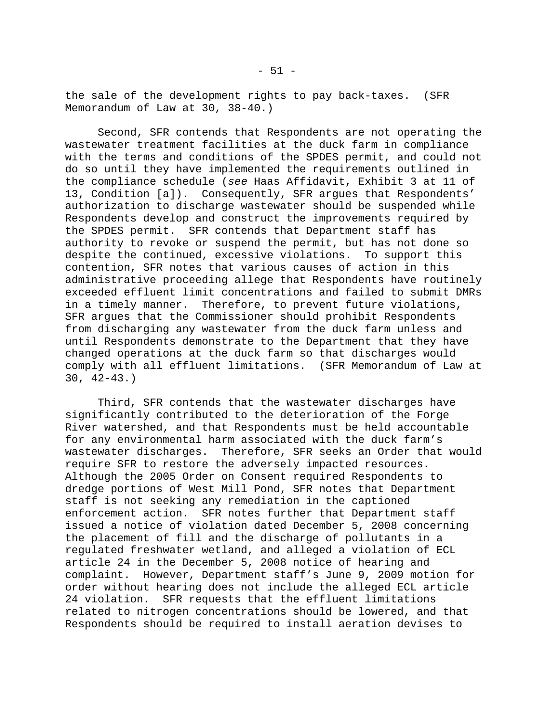the sale of the development rights to pay back-taxes. (SFR Memorandum of Law at 30, 38-40.)

 Second, SFR contends that Respondents are not operating the wastewater treatment facilities at the duck farm in compliance with the terms and conditions of the SPDES permit, and could not do so until they have implemented the requirements outlined in the compliance schedule (*see* Haas Affidavit, Exhibit 3 at 11 of 13, Condition [a]). Consequently, SFR argues that Respondents' authorization to discharge wastewater should be suspended while Respondents develop and construct the improvements required by the SPDES permit. SFR contends that Department staff has authority to revoke or suspend the permit, but has not done so despite the continued, excessive violations. To support this contention, SFR notes that various causes of action in this administrative proceeding allege that Respondents have routinely exceeded effluent limit concentrations and failed to submit DMRs in a timely manner. Therefore, to prevent future violations, SFR argues that the Commissioner should prohibit Respondents from discharging any wastewater from the duck farm unless and until Respondents demonstrate to the Department that they have changed operations at the duck farm so that discharges would comply with all effluent limitations. (SFR Memorandum of Law at 30, 42-43.)

 Third, SFR contends that the wastewater discharges have significantly contributed to the deterioration of the Forge River watershed, and that Respondents must be held accountable for any environmental harm associated with the duck farm's wastewater discharges. Therefore, SFR seeks an Order that would require SFR to restore the adversely impacted resources. Although the 2005 Order on Consent required Respondents to dredge portions of West Mill Pond, SFR notes that Department staff is not seeking any remediation in the captioned enforcement action. SFR notes further that Department staff issued a notice of violation dated December 5, 2008 concerning the placement of fill and the discharge of pollutants in a regulated freshwater wetland, and alleged a violation of ECL article 24 in the December 5, 2008 notice of hearing and complaint. However, Department staff's June 9, 2009 motion for order without hearing does not include the alleged ECL article 24 violation. SFR requests that the effluent limitations related to nitrogen concentrations should be lowered, and that Respondents should be required to install aeration devises to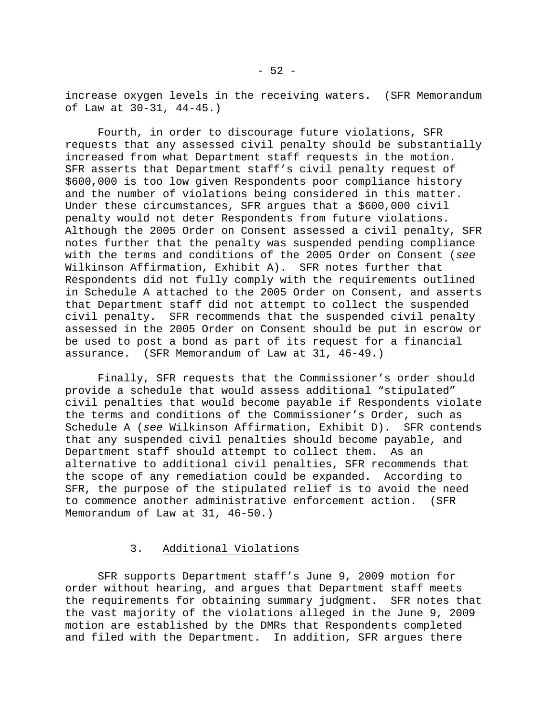increase oxygen levels in the receiving waters. (SFR Memorandum of Law at 30-31, 44-45.)

 Fourth, in order to discourage future violations, SFR requests that any assessed civil penalty should be substantially increased from what Department staff requests in the motion. SFR asserts that Department staff's civil penalty request of \$600,000 is too low given Respondents poor compliance history and the number of violations being considered in this matter. Under these circumstances, SFR argues that a \$600,000 civil penalty would not deter Respondents from future violations. Although the 2005 Order on Consent assessed a civil penalty, SFR notes further that the penalty was suspended pending compliance with the terms and conditions of the 2005 Order on Consent (*see*  Wilkinson Affirmation, Exhibit A). SFR notes further that Respondents did not fully comply with the requirements outlined in Schedule A attached to the 2005 Order on Consent, and asserts that Department staff did not attempt to collect the suspended civil penalty. SFR recommends that the suspended civil penalty assessed in the 2005 Order on Consent should be put in escrow or be used to post a bond as part of its request for a financial assurance. (SFR Memorandum of Law at 31, 46-49.)

 Finally, SFR requests that the Commissioner's order should provide a schedule that would assess additional "stipulated" civil penalties that would become payable if Respondents violate the terms and conditions of the Commissioner's Order, such as Schedule A (*see* Wilkinson Affirmation, Exhibit D). SFR contends that any suspended civil penalties should become payable, and Department staff should attempt to collect them. As an alternative to additional civil penalties, SFR recommends that the scope of any remediation could be expanded. According to SFR, the purpose of the stipulated relief is to avoid the need to commence another administrative enforcement action. (SFR Memorandum of Law at 31, 46-50.)

#### 3. Additional Violations

 SFR supports Department staff's June 9, 2009 motion for order without hearing, and argues that Department staff meets the requirements for obtaining summary judgment. SFR notes that the vast majority of the violations alleged in the June 9, 2009 motion are established by the DMRs that Respondents completed and filed with the Department. In addition, SFR argues there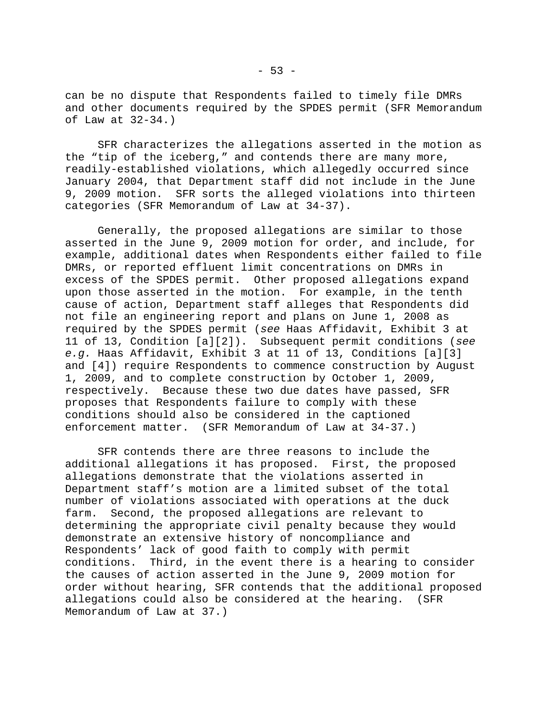can be no dispute that Respondents failed to timely file DMRs and other documents required by the SPDES permit (SFR Memorandum of Law at 32-34.)

 SFR characterizes the allegations asserted in the motion as the "tip of the iceberg," and contends there are many more, readily-established violations, which allegedly occurred since January 2004, that Department staff did not include in the June 9, 2009 motion. SFR sorts the alleged violations into thirteen categories (SFR Memorandum of Law at 34-37).

 Generally, the proposed allegations are similar to those asserted in the June 9, 2009 motion for order, and include, for example, additional dates when Respondents either failed to file DMRs, or reported effluent limit concentrations on DMRs in excess of the SPDES permit. Other proposed allegations expand upon those asserted in the motion. For example, in the tenth cause of action, Department staff alleges that Respondents did not file an engineering report and plans on June 1, 2008 as required by the SPDES permit (*see* Haas Affidavit, Exhibit 3 at 11 of 13, Condition [a][2]). Subsequent permit conditions (*see e.g.* Haas Affidavit, Exhibit 3 at 11 of 13, Conditions [a][3] and [4]) require Respondents to commence construction by August 1, 2009, and to complete construction by October 1, 2009, respectively. Because these two due dates have passed, SFR proposes that Respondents failure to comply with these conditions should also be considered in the captioned enforcement matter. (SFR Memorandum of Law at 34-37.)

 SFR contends there are three reasons to include the additional allegations it has proposed. First, the proposed allegations demonstrate that the violations asserted in Department staff's motion are a limited subset of the total number of violations associated with operations at the duck farm. Second, the proposed allegations are relevant to determining the appropriate civil penalty because they would demonstrate an extensive history of noncompliance and Respondents' lack of good faith to comply with permit conditions. Third, in the event there is a hearing to consider the causes of action asserted in the June 9, 2009 motion for order without hearing, SFR contends that the additional proposed allegations could also be considered at the hearing. (SFR Memorandum of Law at 37.)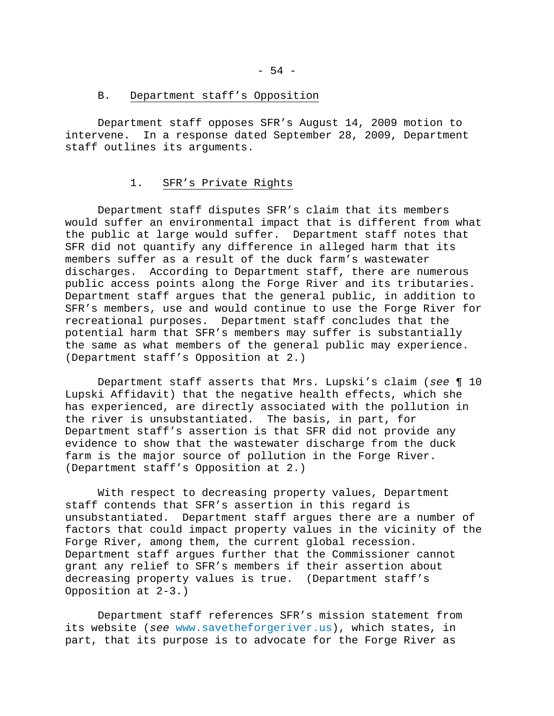#### B. Department staff's Opposition

 Department staff opposes SFR's August 14, 2009 motion to intervene. In a response dated September 28, 2009, Department staff outlines its arguments.

#### 1. SFR's Private Rights

 Department staff disputes SFR's claim that its members would suffer an environmental impact that is different from what the public at large would suffer. Department staff notes that SFR did not quantify any difference in alleged harm that its members suffer as a result of the duck farm's wastewater discharges. According to Department staff, there are numerous public access points along the Forge River and its tributaries. Department staff argues that the general public, in addition to SFR's members, use and would continue to use the Forge River for recreational purposes. Department staff concludes that the potential harm that SFR's members may suffer is substantially the same as what members of the general public may experience. (Department staff's Opposition at 2.)

 Department staff asserts that Mrs. Lupski's claim (*see* ¶ 10 Lupski Affidavit) that the negative health effects, which she has experienced, are directly associated with the pollution in the river is unsubstantiated. The basis, in part, for Department staff's assertion is that SFR did not provide any evidence to show that the wastewater discharge from the duck farm is the major source of pollution in the Forge River. (Department staff's Opposition at 2.)

 With respect to decreasing property values, Department staff contends that SFR's assertion in this regard is unsubstantiated. Department staff argues there are a number of factors that could impact property values in the vicinity of the Forge River, among them, the current global recession. Department staff argues further that the Commissioner cannot grant any relief to SFR's members if their assertion about decreasing property values is true. (Department staff's Opposition at 2-3.)

 Department staff references SFR's mission statement from its website (*see* [www.savetheforgeriver.us](http://www.savetheforgeriver.us/)), which states, in part, that its purpose is to advocate for the Forge River as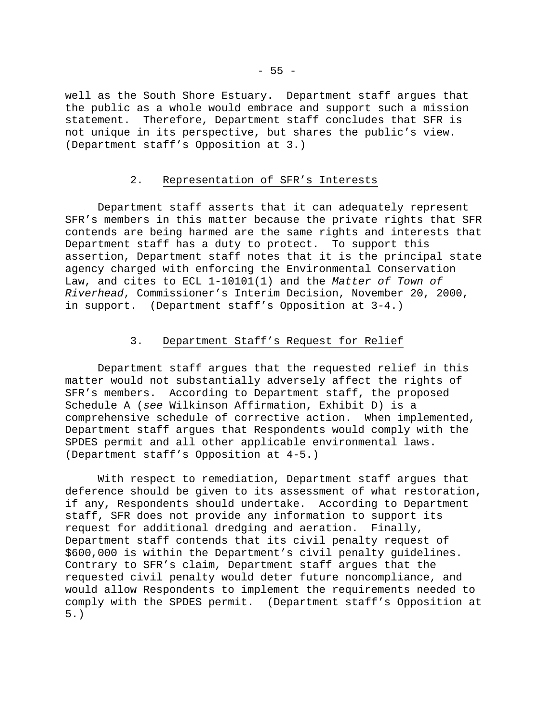well as the South Shore Estuary. Department staff argues that the public as a whole would embrace and support such a mission statement. Therefore, Department staff concludes that SFR is not unique in its perspective, but shares the public's view. (Department staff's Opposition at 3.)

# 2. Representation of SFR's Interests

 Department staff asserts that it can adequately represent SFR's members in this matter because the private rights that SFR contends are being harmed are the same rights and interests that Department staff has a duty to protect. To support this assertion, Department staff notes that it is the principal state agency charged with enforcing the Environmental Conservation Law, and cites to ECL 1-10101(1) and the *Matter of Town of Riverhead*, Commissioner's Interim Decision, November 20, 2000, in support. (Department staff's Opposition at 3-4.)

# 3. Department Staff's Request for Relief

 Department staff argues that the requested relief in this matter would not substantially adversely affect the rights of SFR's members. According to Department staff, the proposed Schedule A (*see* Wilkinson Affirmation, Exhibit D) is a comprehensive schedule of corrective action. When implemented, Department staff argues that Respondents would comply with the SPDES permit and all other applicable environmental laws. (Department staff's Opposition at 4-5.)

 With respect to remediation, Department staff argues that deference should be given to its assessment of what restoration, if any, Respondents should undertake. According to Department staff, SFR does not provide any information to support its request for additional dredging and aeration. Finally, Department staff contends that its civil penalty request of \$600,000 is within the Department's civil penalty guidelines. Contrary to SFR's claim, Department staff argues that the requested civil penalty would deter future noncompliance, and would allow Respondents to implement the requirements needed to comply with the SPDES permit. (Department staff's Opposition at 5.)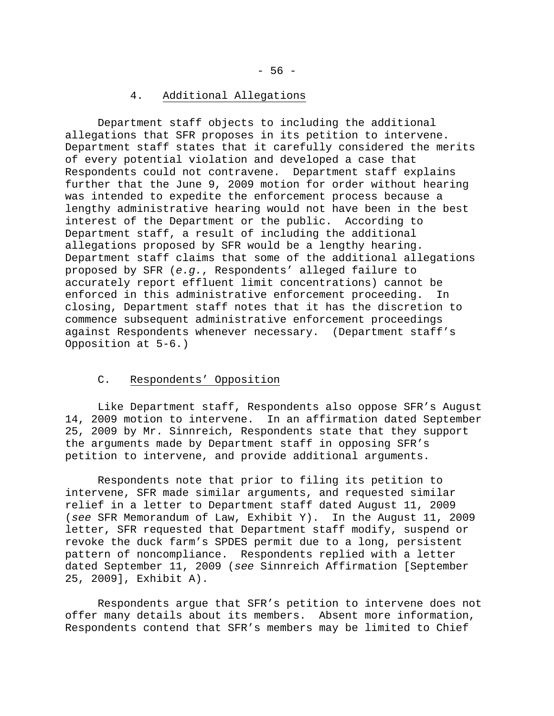# 4. Additional Allegations

 Department staff objects to including the additional allegations that SFR proposes in its petition to intervene. Department staff states that it carefully considered the merits of every potential violation and developed a case that Respondents could not contravene. Department staff explains further that the June 9, 2009 motion for order without hearing was intended to expedite the enforcement process because a lengthy administrative hearing would not have been in the best interest of the Department or the public. According to Department staff, a result of including the additional allegations proposed by SFR would be a lengthy hearing. Department staff claims that some of the additional allegations proposed by SFR (*e.g.*, Respondents' alleged failure to accurately report effluent limit concentrations) cannot be enforced in this administrative enforcement proceeding. In closing, Department staff notes that it has the discretion to commence subsequent administrative enforcement proceedings against Respondents whenever necessary. (Department staff's Opposition at 5-6.)

# C. Respondents' Opposition

 Like Department staff, Respondents also oppose SFR's August 14, 2009 motion to intervene. In an affirmation dated September 25, 2009 by Mr. Sinnreich, Respondents state that they support the arguments made by Department staff in opposing SFR's petition to intervene, and provide additional arguments.

 Respondents note that prior to filing its petition to intervene, SFR made similar arguments, and requested similar relief in a letter to Department staff dated August 11, 2009 (*see* SFR Memorandum of Law, Exhibit Y). In the August 11, 2009 letter, SFR requested that Department staff modify, suspend or revoke the duck farm's SPDES permit due to a long, persistent pattern of noncompliance. Respondents replied with a letter dated September 11, 2009 (*see* Sinnreich Affirmation [September 25, 2009], Exhibit A).

 Respondents argue that SFR's petition to intervene does not offer many details about its members. Absent more information, Respondents contend that SFR's members may be limited to Chief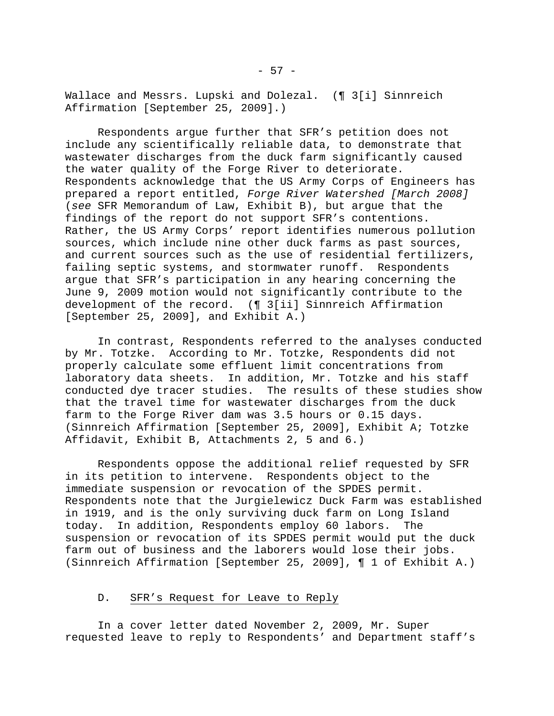Wallace and Messrs. Lupski and Dolezal. (¶ 3[i] Sinnreich Affirmation [September 25, 2009].)

 Respondents argue further that SFR's petition does not include any scientifically reliable data, to demonstrate that wastewater discharges from the duck farm significantly caused the water quality of the Forge River to deteriorate. Respondents acknowledge that the US Army Corps of Engineers has prepared a report entitled, *Forge River Watershed [March 2008]* (*see* SFR Memorandum of Law, Exhibit B), but argue that the findings of the report do not support SFR's contentions. Rather, the US Army Corps' report identifies numerous pollution sources, which include nine other duck farms as past sources, and current sources such as the use of residential fertilizers, failing septic systems, and stormwater runoff. Respondents argue that SFR's participation in any hearing concerning the June 9, 2009 motion would not significantly contribute to the development of the record. (¶ 3[ii] Sinnreich Affirmation [September 25, 2009], and Exhibit A.)

 In contrast, Respondents referred to the analyses conducted by Mr. Totzke. According to Mr. Totzke, Respondents did not properly calculate some effluent limit concentrations from laboratory data sheets. In addition, Mr. Totzke and his staff conducted dye tracer studies. The results of these studies show that the travel time for wastewater discharges from the duck farm to the Forge River dam was 3.5 hours or 0.15 days. (Sinnreich Affirmation [September 25, 2009], Exhibit A; Totzke Affidavit, Exhibit B, Attachments 2, 5 and 6.)

 Respondents oppose the additional relief requested by SFR in its petition to intervene. Respondents object to the immediate suspension or revocation of the SPDES permit. Respondents note that the Jurgielewicz Duck Farm was established in 1919, and is the only surviving duck farm on Long Island today. In addition, Respondents employ 60 labors. The suspension or revocation of its SPDES permit would put the duck farm out of business and the laborers would lose their jobs. (Sinnreich Affirmation [September 25, 2009], ¶ 1 of Exhibit A.)

# D. SFR's Request for Leave to Reply

 In a cover letter dated November 2, 2009, Mr. Super requested leave to reply to Respondents' and Department staff's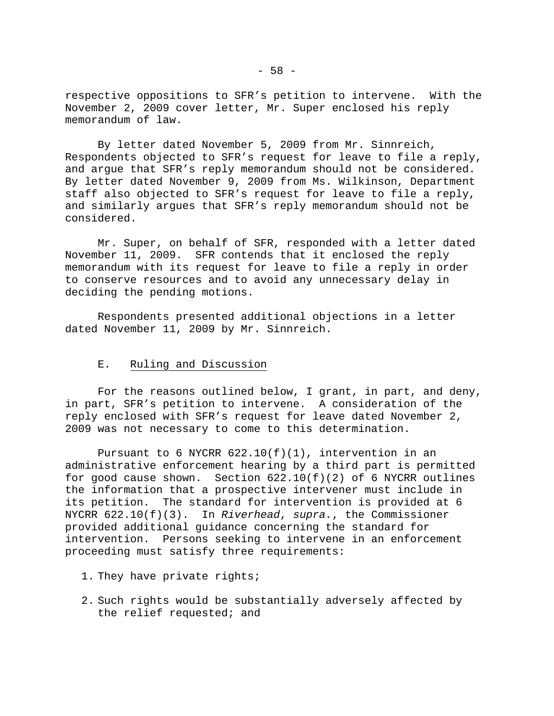respective oppositions to SFR's petition to intervene. With the November 2, 2009 cover letter, Mr. Super enclosed his reply memorandum of law.

 By letter dated November 5, 2009 from Mr. Sinnreich, Respondents objected to SFR's request for leave to file a reply, and argue that SFR's reply memorandum should not be considered. By letter dated November 9, 2009 from Ms. Wilkinson, Department staff also objected to SFR's request for leave to file a reply, and similarly argues that SFR's reply memorandum should not be considered.

 Mr. Super, on behalf of SFR, responded with a letter dated November 11, 2009. SFR contends that it enclosed the reply memorandum with its request for leave to file a reply in order to conserve resources and to avoid any unnecessary delay in deciding the pending motions.

 Respondents presented additional objections in a letter dated November 11, 2009 by Mr. Sinnreich.

#### E. Ruling and Discussion

 For the reasons outlined below, I grant, in part, and deny, in part, SFR's petition to intervene. A consideration of the reply enclosed with SFR's request for leave dated November 2, 2009 was not necessary to come to this determination.

Pursuant to 6 NYCRR  $622.10(f)(1)$ , intervention in an administrative enforcement hearing by a third part is permitted for good cause shown. Section  $622.10(f)(2)$  of 6 NYCRR outlines the information that a prospective intervener must include in its petition. The standard for intervention is provided at 6 NYCRR 622.10(f)(3). In *Riverhead*, *supra.*, the Commissioner provided additional guidance concerning the standard for intervention. Persons seeking to intervene in an enforcement proceeding must satisfy three requirements:

- 1. They have private rights;
- 2. Such rights would be substantially adversely affected by the relief requested; and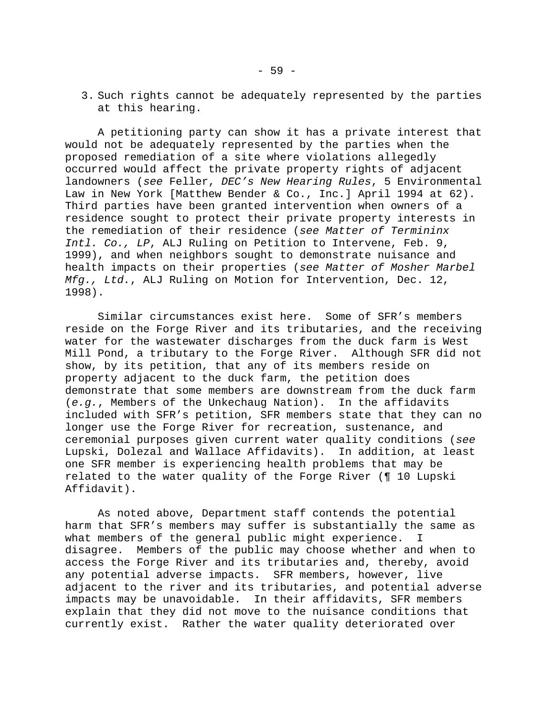3. Such rights cannot be adequately represented by the parties at this hearing.

 A petitioning party can show it has a private interest that would not be adequately represented by the parties when the proposed remediation of a site where violations allegedly occurred would affect the private property rights of adjacent landowners (*see* Feller, *DEC's New Hearing Rules*, 5 Environmental Law in New York [Matthew Bender & Co., Inc.] April 1994 at 62). Third parties have been granted intervention when owners of a residence sought to protect their private property interests in the remediation of their residence (*see Matter of Termininx Intl. Co., LP*, ALJ Ruling on Petition to Intervene, Feb. 9, 1999), and when neighbors sought to demonstrate nuisance and health impacts on their properties (*see Matter of Mosher Marbel Mfg., Ltd.*, ALJ Ruling on Motion for Intervention, Dec. 12, 1998).

 Similar circumstances exist here. Some of SFR's members reside on the Forge River and its tributaries, and the receiving water for the wastewater discharges from the duck farm is West Mill Pond, a tributary to the Forge River. Although SFR did not show, by its petition, that any of its members reside on property adjacent to the duck farm, the petition does demonstrate that some members are downstream from the duck farm (*e.g.*, Members of the Unkechaug Nation). In the affidavits included with SFR's petition, SFR members state that they can no longer use the Forge River for recreation, sustenance, and ceremonial purposes given current water quality conditions (*see*  Lupski, Dolezal and Wallace Affidavits). In addition, at least one SFR member is experiencing health problems that may be related to the water quality of the Forge River (¶ 10 Lupski Affidavit).

 As noted above, Department staff contends the potential harm that SFR's members may suffer is substantially the same as what members of the general public might experience. I disagree. Members of the public may choose whether and when to access the Forge River and its tributaries and, thereby, avoid any potential adverse impacts. SFR members, however, live adjacent to the river and its tributaries, and potential adverse impacts may be unavoidable. In their affidavits, SFR members explain that they did not move to the nuisance conditions that currently exist. Rather the water quality deteriorated over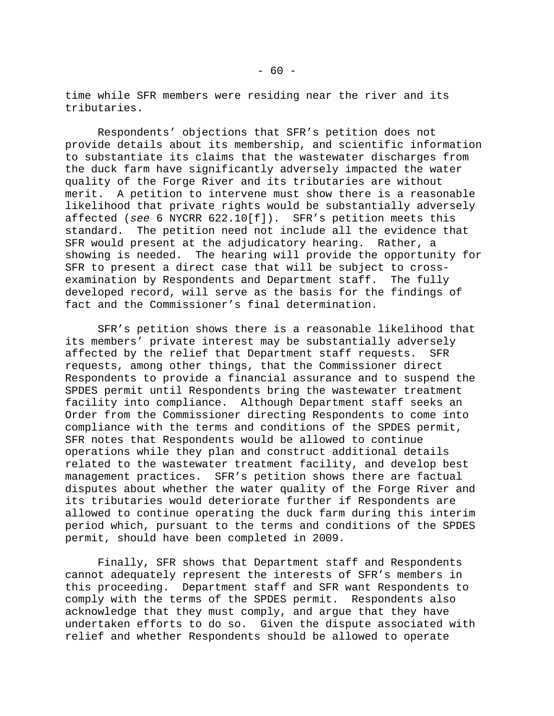time while SFR members were residing near the river and its tributaries.

 Respondents' objections that SFR's petition does not provide details about its membership, and scientific information to substantiate its claims that the wastewater discharges from the duck farm have significantly adversely impacted the water quality of the Forge River and its tributaries are without merit. A petition to intervene must show there is a reasonable likelihood that private rights would be substantially adversely affected (*see* 6 NYCRR 622.10[f]). SFR's petition meets this standard. The petition need not include all the evidence that SFR would present at the adjudicatory hearing. Rather, a showing is needed. The hearing will provide the opportunity for SFR to present a direct case that will be subject to crossexamination by Respondents and Department staff. The fully developed record, will serve as the basis for the findings of fact and the Commissioner's final determination.

 SFR's petition shows there is a reasonable likelihood that its members' private interest may be substantially adversely affected by the relief that Department staff requests. SFR requests, among other things, that the Commissioner direct Respondents to provide a financial assurance and to suspend the SPDES permit until Respondents bring the wastewater treatment facility into compliance. Although Department staff seeks an Order from the Commissioner directing Respondents to come into compliance with the terms and conditions of the SPDES permit, SFR notes that Respondents would be allowed to continue operations while they plan and construct additional details related to the wastewater treatment facility, and develop best management practices. SFR's petition shows there are factual disputes about whether the water quality of the Forge River and its tributaries would deteriorate further if Respondents are allowed to continue operating the duck farm during this interim period which, pursuant to the terms and conditions of the SPDES permit, should have been completed in 2009.

 Finally, SFR shows that Department staff and Respondents cannot adequately represent the interests of SFR's members in this proceeding. Department staff and SFR want Respondents to comply with the terms of the SPDES permit. Respondents also acknowledge that they must comply, and argue that they have undertaken efforts to do so. Given the dispute associated with relief and whether Respondents should be allowed to operate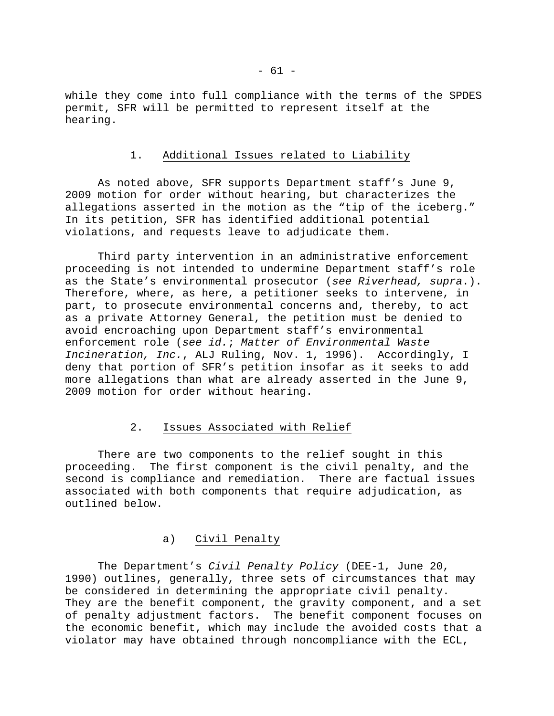while they come into full compliance with the terms of the SPDES permit, SFR will be permitted to represent itself at the hearing.

#### 1. Additional Issues related to Liability

 As noted above, SFR supports Department staff's June 9, 2009 motion for order without hearing, but characterizes the allegations asserted in the motion as the "tip of the iceberg." In its petition, SFR has identified additional potential violations, and requests leave to adjudicate them.

 Third party intervention in an administrative enforcement proceeding is not intended to undermine Department staff's role as the State's environmental prosecutor (*see Riverhead, supra*.). Therefore, where, as here, a petitioner seeks to intervene, in part, to prosecute environmental concerns and, thereby, to act as a private Attorney General, the petition must be denied to avoid encroaching upon Department staff's environmental enforcement role (*see id.*; *Matter of Environmental Waste Incineration, Inc.*, ALJ Ruling, Nov. 1, 1996). Accordingly, I deny that portion of SFR's petition insofar as it seeks to add more allegations than what are already asserted in the June 9, 2009 motion for order without hearing.

# 2. Issues Associated with Relief

 There are two components to the relief sought in this proceeding. The first component is the civil penalty, and the second is compliance and remediation. There are factual issues associated with both components that require adjudication, as outlined below.

# a) Civil Penalty

 The Department's *Civil Penalty Policy* (DEE-1, June 20, 1990) outlines, generally, three sets of circumstances that may be considered in determining the appropriate civil penalty. They are the benefit component, the gravity component, and a set of penalty adjustment factors. The benefit component focuses on the economic benefit, which may include the avoided costs that a violator may have obtained through noncompliance with the ECL,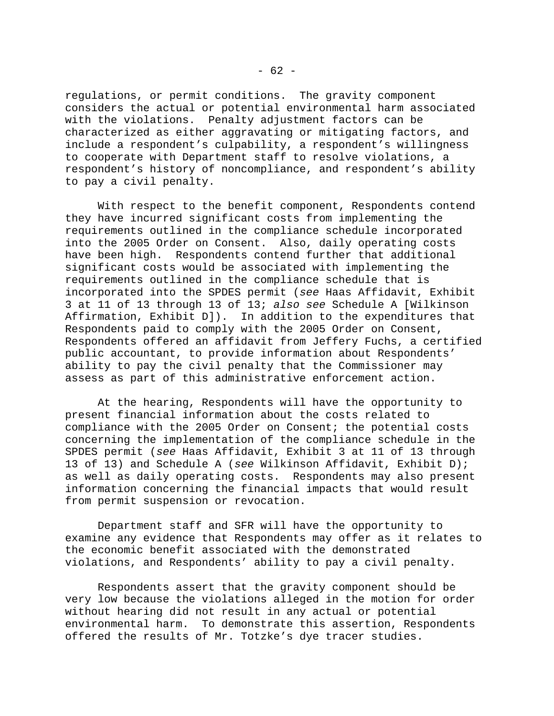regulations, or permit conditions. The gravity component considers the actual or potential environmental harm associated with the violations. Penalty adjustment factors can be characterized as either aggravating or mitigating factors, and include a respondent's culpability, a respondent's willingness to cooperate with Department staff to resolve violations, a respondent's history of noncompliance, and respondent's ability to pay a civil penalty.

 With respect to the benefit component, Respondents contend they have incurred significant costs from implementing the requirements outlined in the compliance schedule incorporated into the 2005 Order on Consent. Also, daily operating costs have been high. Respondents contend further that additional significant costs would be associated with implementing the requirements outlined in the compliance schedule that is incorporated into the SPDES permit (*see* Haas Affidavit, Exhibit 3 at 11 of 13 through 13 of 13; *also see* Schedule A [Wilkinson Affirmation, Exhibit D]). In addition to the expenditures that Respondents paid to comply with the 2005 Order on Consent, Respondents offered an affidavit from Jeffery Fuchs, a certified public accountant, to provide information about Respondents' ability to pay the civil penalty that the Commissioner may assess as part of this administrative enforcement action.

 At the hearing, Respondents will have the opportunity to present financial information about the costs related to compliance with the 2005 Order on Consent; the potential costs concerning the implementation of the compliance schedule in the SPDES permit (*see* Haas Affidavit, Exhibit 3 at 11 of 13 through 13 of 13) and Schedule A (*see* Wilkinson Affidavit, Exhibit D); as well as daily operating costs. Respondents may also present information concerning the financial impacts that would result from permit suspension or revocation.

 Department staff and SFR will have the opportunity to examine any evidence that Respondents may offer as it relates to the economic benefit associated with the demonstrated violations, and Respondents' ability to pay a civil penalty.

 Respondents assert that the gravity component should be very low because the violations alleged in the motion for order without hearing did not result in any actual or potential environmental harm. To demonstrate this assertion, Respondents offered the results of Mr. Totzke's dye tracer studies.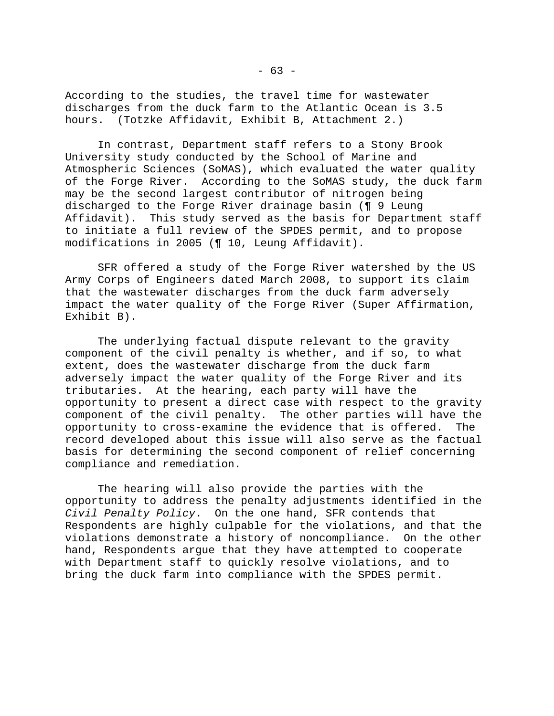According to the studies, the travel time for wastewater discharges from the duck farm to the Atlantic Ocean is 3.5 hours. (Totzke Affidavit, Exhibit B, Attachment 2.)

 In contrast, Department staff refers to a Stony Brook University study conducted by the School of Marine and Atmospheric Sciences (SoMAS), which evaluated the water quality of the Forge River. According to the SoMAS study, the duck farm may be the second largest contributor of nitrogen being discharged to the Forge River drainage basin (¶ 9 Leung Affidavit). This study served as the basis for Department staff to initiate a full review of the SPDES permit, and to propose modifications in 2005 (¶ 10, Leung Affidavit).

 SFR offered a study of the Forge River watershed by the US Army Corps of Engineers dated March 2008, to support its claim that the wastewater discharges from the duck farm adversely impact the water quality of the Forge River (Super Affirmation, Exhibit B).

 The underlying factual dispute relevant to the gravity component of the civil penalty is whether, and if so, to what extent, does the wastewater discharge from the duck farm adversely impact the water quality of the Forge River and its tributaries. At the hearing, each party will have the opportunity to present a direct case with respect to the gravity component of the civil penalty. The other parties will have the opportunity to cross-examine the evidence that is offered. The record developed about this issue will also serve as the factual basis for determining the second component of relief concerning compliance and remediation.

 The hearing will also provide the parties with the opportunity to address the penalty adjustments identified in the *Civil Penalty Policy*. On the one hand, SFR contends that Respondents are highly culpable for the violations, and that the violations demonstrate a history of noncompliance. On the other hand, Respondents argue that they have attempted to cooperate with Department staff to quickly resolve violations, and to bring the duck farm into compliance with the SPDES permit.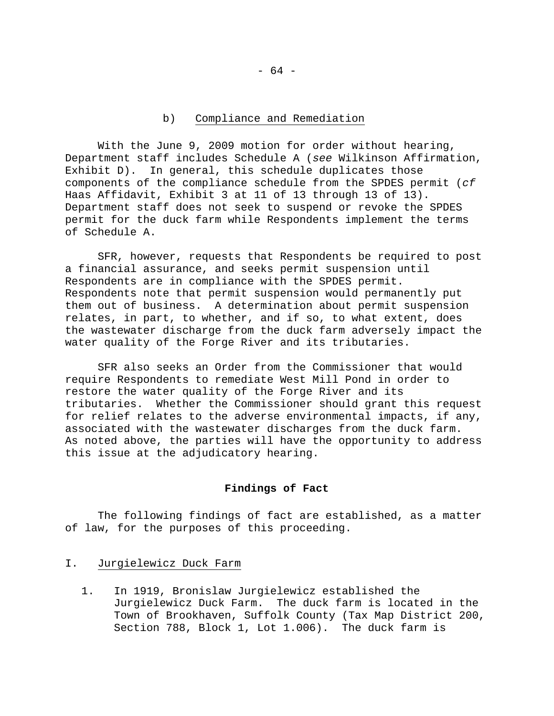### b) Compliance and Remediation

 With the June 9, 2009 motion for order without hearing, Department staff includes Schedule A (*see* Wilkinson Affirmation, Exhibit D). In general, this schedule duplicates those components of the compliance schedule from the SPDES permit (*cf* Haas Affidavit, Exhibit 3 at 11 of 13 through 13 of 13). Department staff does not seek to suspend or revoke the SPDES permit for the duck farm while Respondents implement the terms of Schedule A.

 SFR, however, requests that Respondents be required to post a financial assurance, and seeks permit suspension until Respondents are in compliance with the SPDES permit. Respondents note that permit suspension would permanently put them out of business. A determination about permit suspension relates, in part, to whether, and if so, to what extent, does the wastewater discharge from the duck farm adversely impact the water quality of the Forge River and its tributaries.

 SFR also seeks an Order from the Commissioner that would require Respondents to remediate West Mill Pond in order to restore the water quality of the Forge River and its tributaries. Whether the Commissioner should grant this request for relief relates to the adverse environmental impacts, if any, associated with the wastewater discharges from the duck farm. As noted above, the parties will have the opportunity to address this issue at the adjudicatory hearing.

#### **Findings of Fact**

 The following findings of fact are established, as a matter of law, for the purposes of this proceeding.

# I. Jurgielewicz Duck Farm

1. In 1919, Bronislaw Jurgielewicz established the Jurgielewicz Duck Farm. The duck farm is located in the Town of Brookhaven, Suffolk County (Tax Map District 200, Section 788, Block 1, Lot 1.006). The duck farm is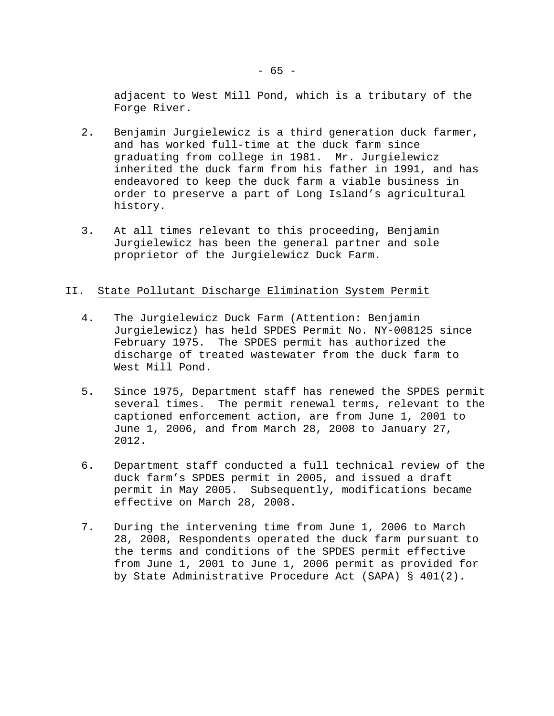adjacent to West Mill Pond, which is a tributary of the Forge River.

- 2. Benjamin Jurgielewicz is a third generation duck farmer, and has worked full-time at the duck farm since graduating from college in 1981. Mr. Jurgielewicz inherited the duck farm from his father in 1991, and has endeavored to keep the duck farm a viable business in order to preserve a part of Long Island's agricultural history.
- 3. At all times relevant to this proceeding, Benjamin Jurgielewicz has been the general partner and sole proprietor of the Jurgielewicz Duck Farm.

# II. State Pollutant Discharge Elimination System Permit

- 4. The Jurgielewicz Duck Farm (Attention: Benjamin Jurgielewicz) has held SPDES Permit No. NY-008125 since February 1975. The SPDES permit has authorized the discharge of treated wastewater from the duck farm to West Mill Pond.
- 5. Since 1975, Department staff has renewed the SPDES permit several times. The permit renewal terms, relevant to the captioned enforcement action, are from June 1, 2001 to June 1, 2006, and from March 28, 2008 to January 27, 2012.
- 6. Department staff conducted a full technical review of the duck farm's SPDES permit in 2005, and issued a draft permit in May 2005. Subsequently, modifications became effective on March 28, 2008.
- 7. During the intervening time from June 1, 2006 to March 28, 2008, Respondents operated the duck farm pursuant to the terms and conditions of the SPDES permit effective from June 1, 2001 to June 1, 2006 permit as provided for by State Administrative Procedure Act (SAPA) § 401(2).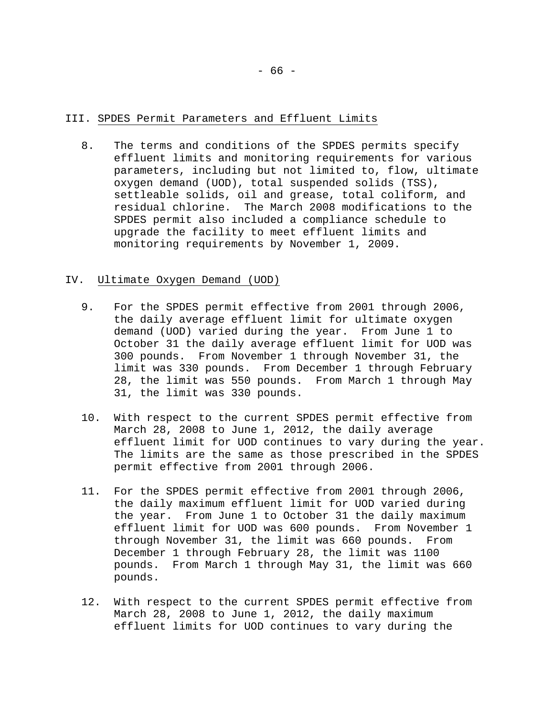# III. SPDES Permit Parameters and Effluent Limits

8. The terms and conditions of the SPDES permits specify effluent limits and monitoring requirements for various parameters, including but not limited to, flow, ultimate oxygen demand (UOD), total suspended solids (TSS), settleable solids, oil and grease, total coliform, and residual chlorine. The March 2008 modifications to the SPDES permit also included a compliance schedule to upgrade the facility to meet effluent limits and monitoring requirements by November 1, 2009.

#### IV. Ultimate Oxygen Demand (UOD)

- 9. For the SPDES permit effective from 2001 through 2006, the daily average effluent limit for ultimate oxygen demand (UOD) varied during the year. From June 1 to October 31 the daily average effluent limit for UOD was 300 pounds. From November 1 through November 31, the limit was 330 pounds. From December 1 through February 28, the limit was 550 pounds. From March 1 through May 31, the limit was 330 pounds.
- 10. With respect to the current SPDES permit effective from March 28, 2008 to June 1, 2012, the daily average effluent limit for UOD continues to vary during the year. The limits are the same as those prescribed in the SPDES permit effective from 2001 through 2006.
- 11. For the SPDES permit effective from 2001 through 2006, the daily maximum effluent limit for UOD varied during the year. From June 1 to October 31 the daily maximum effluent limit for UOD was 600 pounds. From November 1 through November 31, the limit was 660 pounds. From December 1 through February 28, the limit was 1100 pounds. From March 1 through May 31, the limit was 660 pounds.
- 12. With respect to the current SPDES permit effective from March 28, 2008 to June 1, 2012, the daily maximum effluent limits for UOD continues to vary during the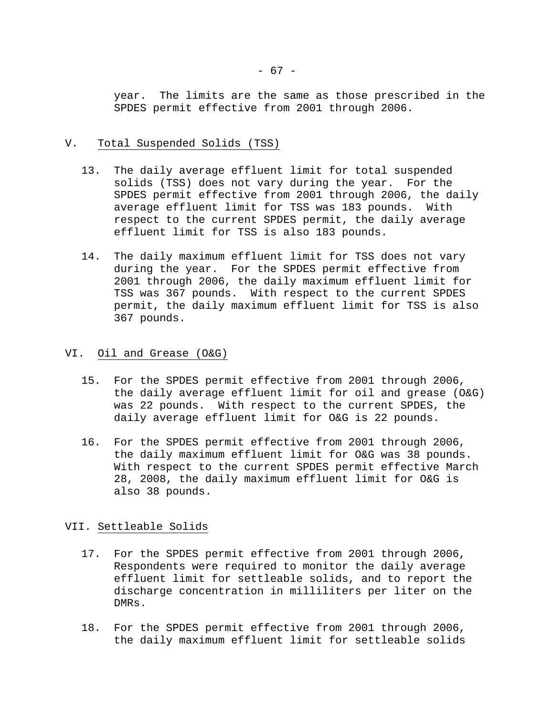year. The limits are the same as those prescribed in the SPDES permit effective from 2001 through 2006.

# V. Total Suspended Solids (TSS)

- 13. The daily average effluent limit for total suspended solids (TSS) does not vary during the year. For the SPDES permit effective from 2001 through 2006, the daily average effluent limit for TSS was 183 pounds. With respect to the current SPDES permit, the daily average effluent limit for TSS is also 183 pounds.
- 14. The daily maximum effluent limit for TSS does not vary during the year. For the SPDES permit effective from 2001 through 2006, the daily maximum effluent limit for TSS was 367 pounds. With respect to the current SPDES permit, the daily maximum effluent limit for TSS is also 367 pounds.

# VI. Oil and Grease (O&G)

- 15. For the SPDES permit effective from 2001 through 2006, the daily average effluent limit for oil and grease (O&G) was 22 pounds. With respect to the current SPDES, the daily average effluent limit for O&G is 22 pounds.
- 16. For the SPDES permit effective from 2001 through 2006, the daily maximum effluent limit for O&G was 38 pounds. With respect to the current SPDES permit effective March 28, 2008, the daily maximum effluent limit for O&G is also 38 pounds.

# VII. Settleable Solids

- 17. For the SPDES permit effective from 2001 through 2006, Respondents were required to monitor the daily average effluent limit for settleable solids, and to report the discharge concentration in milliliters per liter on the DMRs.
- 18. For the SPDES permit effective from 2001 through 2006, the daily maximum effluent limit for settleable solids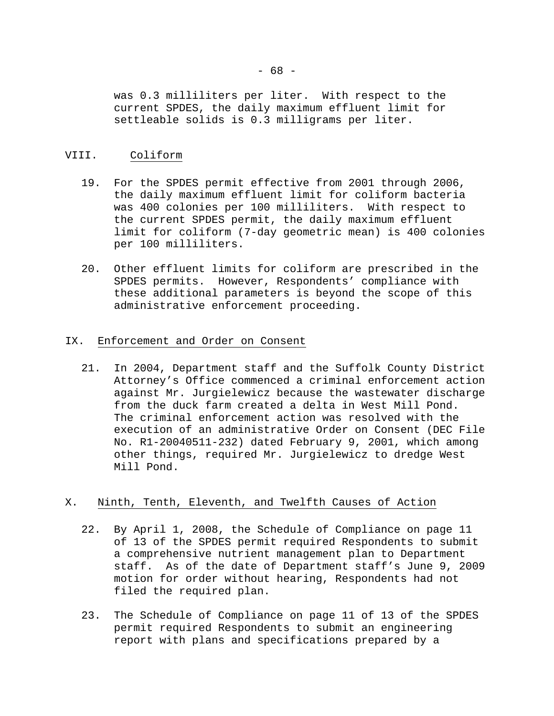was 0.3 milliliters per liter. With respect to the current SPDES, the daily maximum effluent limit for settleable solids is 0.3 milligrams per liter.

# VIII. Coliform

- 19. For the SPDES permit effective from 2001 through 2006, the daily maximum effluent limit for coliform bacteria was 400 colonies per 100 milliliters. With respect to the current SPDES permit, the daily maximum effluent limit for coliform (7-day geometric mean) is 400 colonies per 100 milliliters.
- 20. Other effluent limits for coliform are prescribed in the SPDES permits. However, Respondents' compliance with these additional parameters is beyond the scope of this administrative enforcement proceeding.

# IX. Enforcement and Order on Consent

21. In 2004, Department staff and the Suffolk County District Attorney's Office commenced a criminal enforcement action against Mr. Jurgielewicz because the wastewater discharge from the duck farm created a delta in West Mill Pond. The criminal enforcement action was resolved with the execution of an administrative Order on Consent (DEC File No. R1-20040511-232) dated February 9, 2001, which among other things, required Mr. Jurgielewicz to dredge West Mill Pond.

# X. Ninth, Tenth, Eleventh, and Twelfth Causes of Action

- 22. By April 1, 2008, the Schedule of Compliance on page 11 of 13 of the SPDES permit required Respondents to submit a comprehensive nutrient management plan to Department staff. As of the date of Department staff's June 9, 2009 motion for order without hearing, Respondents had not filed the required plan.
- 23. The Schedule of Compliance on page 11 of 13 of the SPDES permit required Respondents to submit an engineering report with plans and specifications prepared by a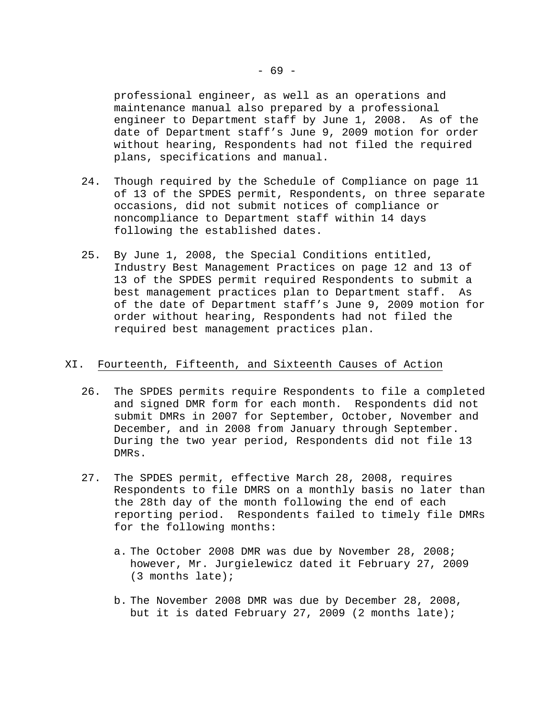professional engineer, as well as an operations and maintenance manual also prepared by a professional engineer to Department staff by June 1, 2008. As of the date of Department staff's June 9, 2009 motion for order without hearing, Respondents had not filed the required plans, specifications and manual.

- 24. Though required by the Schedule of Compliance on page 11 of 13 of the SPDES permit, Respondents, on three separate occasions, did not submit notices of compliance or noncompliance to Department staff within 14 days following the established dates.
- 25. By June 1, 2008, the Special Conditions entitled, Industry Best Management Practices on page 12 and 13 of 13 of the SPDES permit required Respondents to submit a best management practices plan to Department staff. As of the date of Department staff's June 9, 2009 motion for order without hearing, Respondents had not filed the required best management practices plan.

# XI. Fourteenth, Fifteenth, and Sixteenth Causes of Action

- 26. The SPDES permits require Respondents to file a completed and signed DMR form for each month. Respondents did not submit DMRs in 2007 for September, October, November and December, and in 2008 from January through September. During the two year period, Respondents did not file 13 DMRs.
- 27. The SPDES permit, effective March 28, 2008, requires Respondents to file DMRS on a monthly basis no later than the 28th day of the month following the end of each reporting period. Respondents failed to timely file DMRs for the following months:
	- a. The October 2008 DMR was due by November 28, 2008; however, Mr. Jurgielewicz dated it February 27, 2009 (3 months late);
	- b. The November 2008 DMR was due by December 28, 2008, but it is dated February 27, 2009 (2 months late);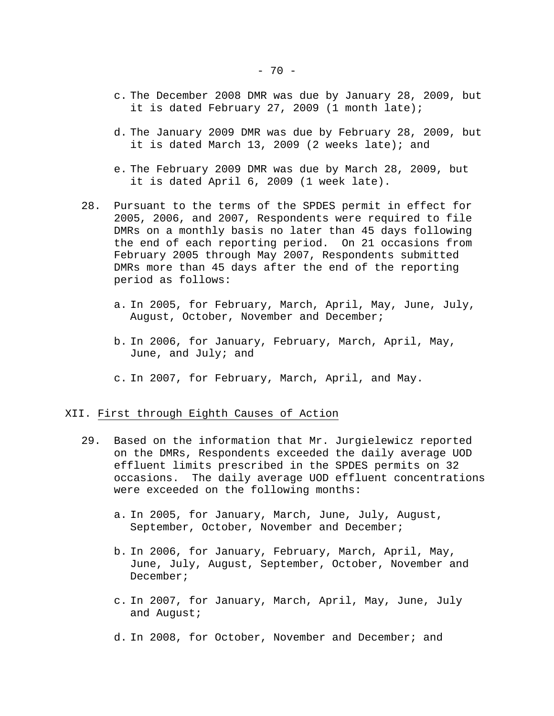- c. The December 2008 DMR was due by January 28, 2009, but it is dated February 27, 2009 (1 month late);
- d. The January 2009 DMR was due by February 28, 2009, but it is dated March 13, 2009 (2 weeks late); and
- e. The February 2009 DMR was due by March 28, 2009, but it is dated April 6, 2009 (1 week late).
- 28. Pursuant to the terms of the SPDES permit in effect for 2005, 2006, and 2007, Respondents were required to file DMRs on a monthly basis no later than 45 days following the end of each reporting period. On 21 occasions from February 2005 through May 2007, Respondents submitted DMRs more than 45 days after the end of the reporting period as follows:
	- a. In 2005, for February, March, April, May, June, July, August, October, November and December;
	- b. In 2006, for January, February, March, April, May, June, and July; and
	- c. In 2007, for February, March, April, and May.

#### XII. First through Eighth Causes of Action

- 29. Based on the information that Mr. Jurgielewicz reported on the DMRs, Respondents exceeded the daily average UOD effluent limits prescribed in the SPDES permits on 32 occasions. The daily average UOD effluent concentrations were exceeded on the following months:
	- a. In 2005, for January, March, June, July, August, September, October, November and December;
	- b. In 2006, for January, February, March, April, May, June, July, August, September, October, November and December;
	- c. In 2007, for January, March, April, May, June, July and August;
	- d. In 2008, for October, November and December; and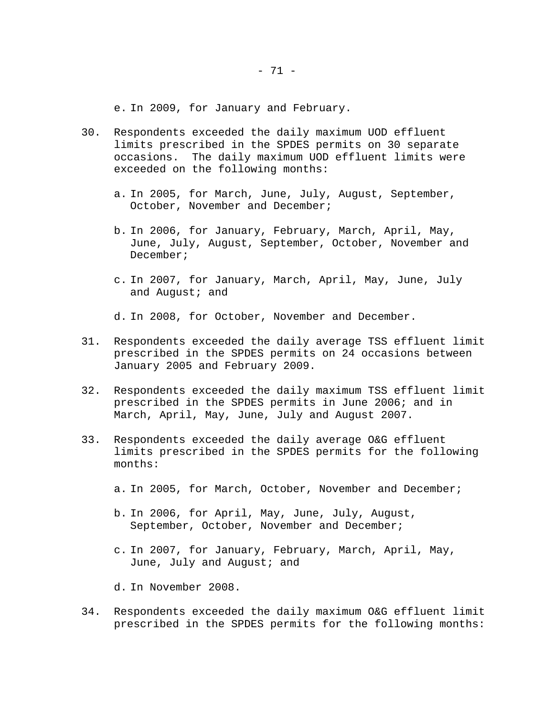e. In 2009, for January and February.

- 30. Respondents exceeded the daily maximum UOD effluent limits prescribed in the SPDES permits on 30 separate occasions. The daily maximum UOD effluent limits were exceeded on the following months:
	- a. In 2005, for March, June, July, August, September, October, November and December;
	- b. In 2006, for January, February, March, April, May, June, July, August, September, October, November and December;
	- c. In 2007, for January, March, April, May, June, July and August; and

d. In 2008, for October, November and December.

- 31. Respondents exceeded the daily average TSS effluent limit prescribed in the SPDES permits on 24 occasions between January 2005 and February 2009.
- 32. Respondents exceeded the daily maximum TSS effluent limit prescribed in the SPDES permits in June 2006; and in March, April, May, June, July and August 2007.
- 33. Respondents exceeded the daily average O&G effluent limits prescribed in the SPDES permits for the following months:
	- a. In 2005, for March, October, November and December;
	- b. In 2006, for April, May, June, July, August, September, October, November and December;
	- c. In 2007, for January, February, March, April, May, June, July and August; and
	- d. In November 2008.
- 34. Respondents exceeded the daily maximum O&G effluent limit prescribed in the SPDES permits for the following months: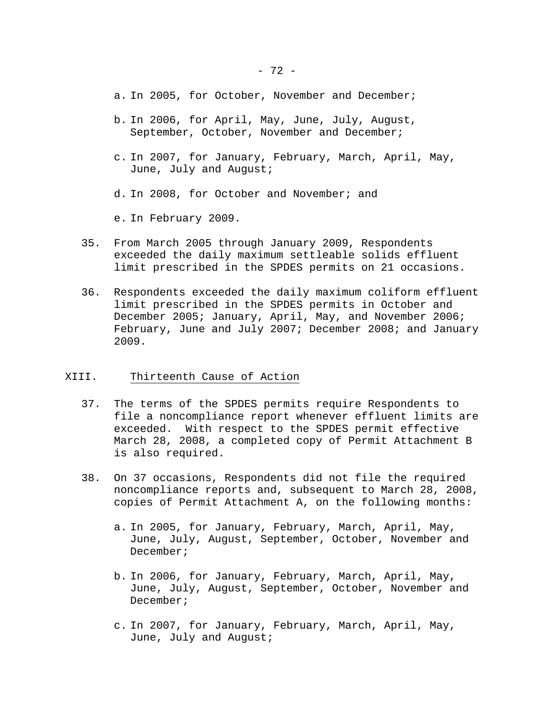- a. In 2005, for October, November and December;
- b. In 2006, for April, May, June, July, August, September, October, November and December;
- c. In 2007, for January, February, March, April, May, June, July and August;
- d. In 2008, for October and November; and
- e. In February 2009.
- 35. From March 2005 through January 2009, Respondents exceeded the daily maximum settleable solids effluent limit prescribed in the SPDES permits on 21 occasions.
- 36. Respondents exceeded the daily maximum coliform effluent limit prescribed in the SPDES permits in October and December 2005; January, April, May, and November 2006; February, June and July 2007; December 2008; and January 2009.

#### XIII. Thirteenth Cause of Action

- 37. The terms of the SPDES permits require Respondents to file a noncompliance report whenever effluent limits are exceeded. With respect to the SPDES permit effective March 28, 2008, a completed copy of Permit Attachment B is also required.
- 38. On 37 occasions, Respondents did not file the required noncompliance reports and, subsequent to March 28, 2008, copies of Permit Attachment A, on the following months:
	- a. In 2005, for January, February, March, April, May, June, July, August, September, October, November and December;
	- b. In 2006, for January, February, March, April, May, June, July, August, September, October, November and December;
	- c. In 2007, for January, February, March, April, May, June, July and August;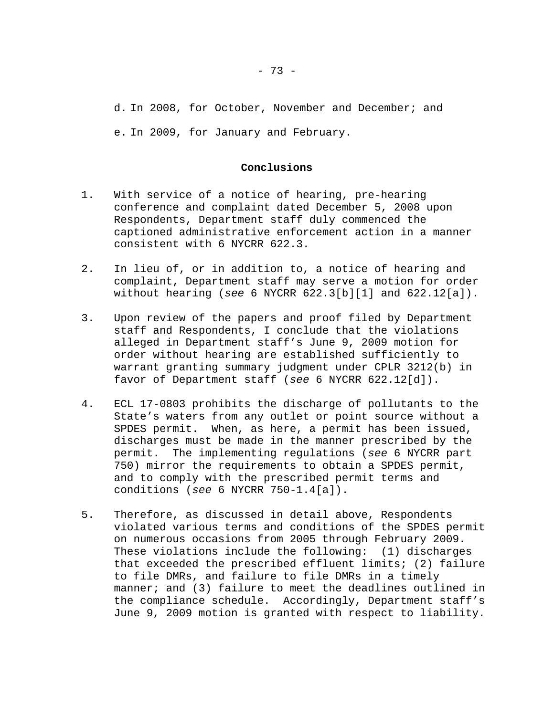d. In 2008, for October, November and December; and e. In 2009, for January and February.

#### **Conclusions**

- 1. With service of a notice of hearing, pre-hearing conference and complaint dated December 5, 2008 upon Respondents, Department staff duly commenced the captioned administrative enforcement action in a manner consistent with 6 NYCRR 622.3.
- 2. In lieu of, or in addition to, a notice of hearing and complaint, Department staff may serve a motion for order without hearing (*see* 6 NYCRR 622.3[b][1] and 622.12[a]).
- 3. Upon review of the papers and proof filed by Department staff and Respondents, I conclude that the violations alleged in Department staff's June 9, 2009 motion for order without hearing are established sufficiently to warrant granting summary judgment under CPLR 3212(b) in favor of Department staff (*see* 6 NYCRR 622.12[d]).
- 4. ECL 17-0803 prohibits the discharge of pollutants to the State's waters from any outlet or point source without a SPDES permit. When, as here, a permit has been issued, discharges must be made in the manner prescribed by the permit. The implementing regulations (*see* 6 NYCRR part 750) mirror the requirements to obtain a SPDES permit, and to comply with the prescribed permit terms and conditions (*see* 6 NYCRR 750-1.4[a]).
- 5. Therefore, as discussed in detail above, Respondents violated various terms and conditions of the SPDES permit on numerous occasions from 2005 through February 2009. These violations include the following: (1) discharges that exceeded the prescribed effluent limits; (2) failure to file DMRs, and failure to file DMRs in a timely manner; and (3) failure to meet the deadlines outlined in the compliance schedule. Accordingly, Department staff's June 9, 2009 motion is granted with respect to liability.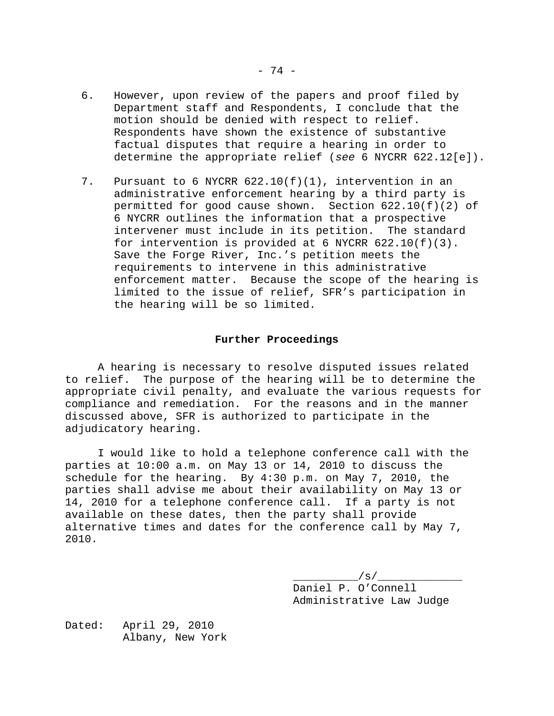- 6. However, upon review of the papers and proof filed by Department staff and Respondents, I conclude that the motion should be denied with respect to relief. Respondents have shown the existence of substantive factual disputes that require a hearing in order to determine the appropriate relief (*see* 6 NYCRR 622.12[e]).
- 7. Pursuant to 6 NYCRR 622.10(f)(1), intervention in an administrative enforcement hearing by a third party is permitted for good cause shown. Section  $622.10(f)(2)$  of 6 NYCRR outlines the information that a prospective intervener must include in its petition. The standard for intervention is provided at 6 NYCRR  $622.10(f)(3)$ . Save the Forge River, Inc.'s petition meets the requirements to intervene in this administrative enforcement matter. Because the scope of the hearing is limited to the issue of relief, SFR's participation in the hearing will be so limited.

#### **Further Proceedings**

 A hearing is necessary to resolve disputed issues related to relief. The purpose of the hearing will be to determine the appropriate civil penalty, and evaluate the various requests for compliance and remediation. For the reasons and in the manner discussed above, SFR is authorized to participate in the adjudicatory hearing.

 I would like to hold a telephone conference call with the parties at 10:00 a.m. on May 13 or 14, 2010 to discuss the schedule for the hearing. By 4:30 p.m. on May 7, 2010, the parties shall advise me about their availability on May 13 or 14, 2010 for a telephone conference call. If a party is not available on these dates, then the party shall provide alternative times and dates for the conference call by May 7, 2010.

> \_\_\_\_\_\_\_\_\_\_/s/\_\_\_\_\_\_\_\_\_\_\_\_\_ Daniel P. O'Connell Administrative Law Judge

Dated: April 29, 2010 Albany, New York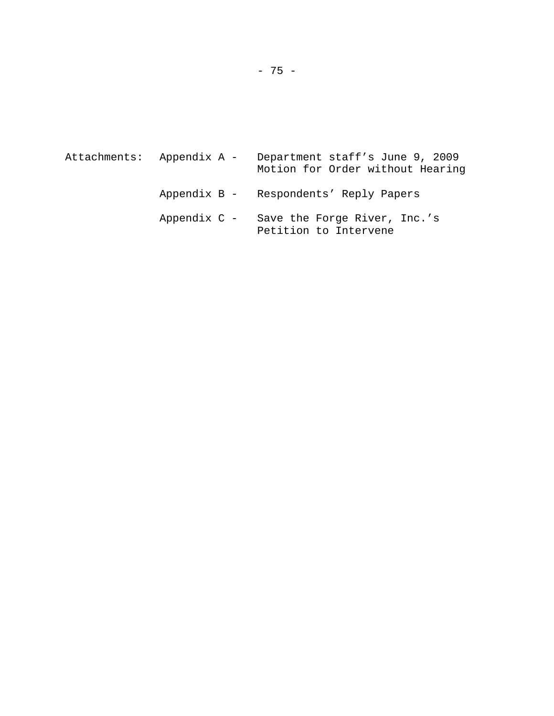|  | Attachments: Appendix A - | Department staff's June 9, 2009<br>Motion for Order without Hearing |
|--|---------------------------|---------------------------------------------------------------------|
|  |                           | Appendix B - Respondents' Reply Papers                              |
|  |                           | Appendix C - Save the Forge River, Inc.'s<br>Petition to Intervene  |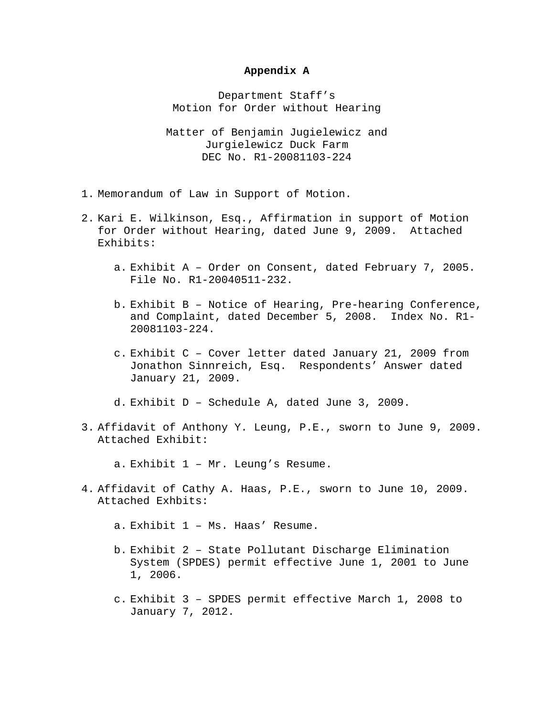# **Appendix A**

Department Staff's Motion for Order without Hearing

Matter of Benjamin Jugielewicz and Jurgielewicz Duck Farm DEC No. R1-20081103-224

- 1. Memorandum of Law in Support of Motion.
- 2. Kari E. Wilkinson, Esq., Affirmation in support of Motion for Order without Hearing, dated June 9, 2009. Attached Exhibits:
	- a. Exhibit A Order on Consent, dated February 7, 2005. File No. R1-20040511-232.
	- b. Exhibit B Notice of Hearing, Pre-hearing Conference, and Complaint, dated December 5, 2008. Index No. R1- 20081103-224.
	- c. Exhibit C Cover letter dated January 21, 2009 from Jonathon Sinnreich, Esq. Respondents' Answer dated January 21, 2009.
	- d. Exhibit D Schedule A, dated June 3, 2009.
- 3. Affidavit of Anthony Y. Leung, P.E., sworn to June 9, 2009. Attached Exhibit:

a. Exhibit 1 – Mr. Leung's Resume.

- 4. Affidavit of Cathy A. Haas, P.E., sworn to June 10, 2009. Attached Exhbits:
	- a. Exhibit 1 Ms. Haas' Resume.
	- b. Exhibit 2 State Pollutant Discharge Elimination System (SPDES) permit effective June 1, 2001 to June 1, 2006.
	- c. Exhibit 3 SPDES permit effective March 1, 2008 to January 7, 2012.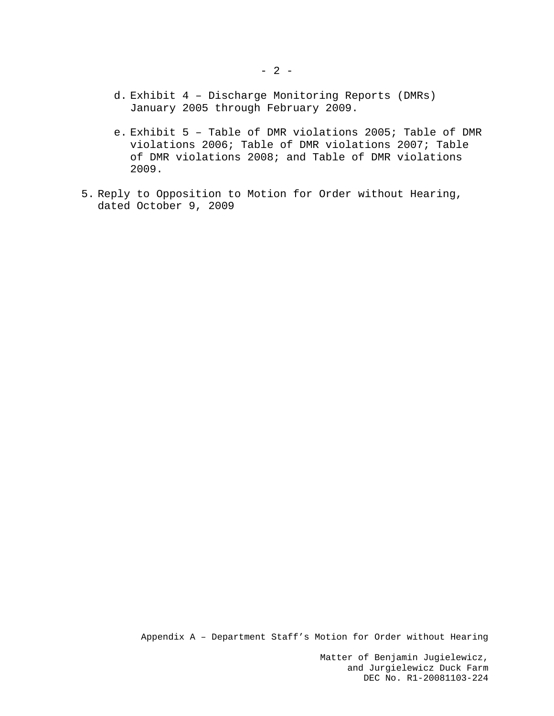- d. Exhibit 4 Discharge Monitoring Reports (DMRs) January 2005 through February 2009.
- e. Exhibit 5 Table of DMR violations 2005; Table of DMR violations 2006; Table of DMR violations 2007; Table of DMR violations 2008; and Table of DMR violations 2009.
- 5. Reply to Opposition to Motion for Order without Hearing, dated October 9, 2009

Appendix A – Department Staff's Motion for Order without Hearing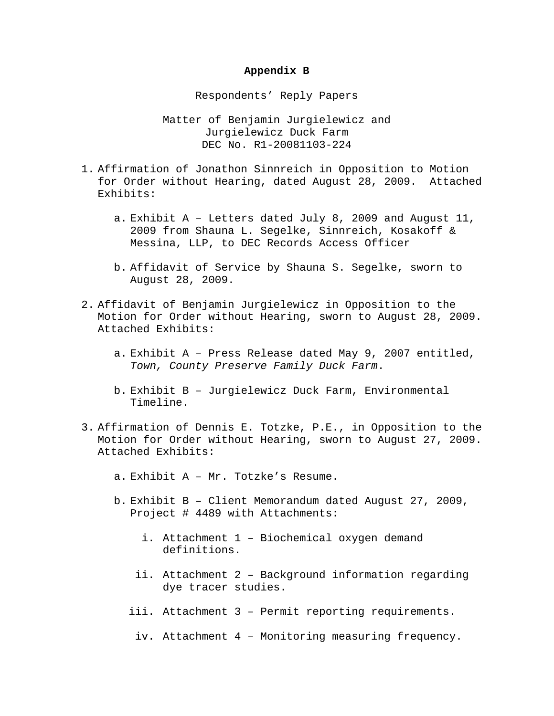# **Appendix B**

Respondents' Reply Papers

- 1. Affirmation of Jonathon Sinnreich in Opposition to Motion for Order without Hearing, dated August 28, 2009. Attached Exhibits:
	- a. Exhibit A Letters dated July 8, 2009 and August 11, 2009 from Shauna L. Segelke, Sinnreich, Kosakoff & Messina, LLP, to DEC Records Access Officer
	- b. Affidavit of Service by Shauna S. Segelke, sworn to August 28, 2009.
- 2. Affidavit of Benjamin Jurgielewicz in Opposition to the Motion for Order without Hearing, sworn to August 28, 2009. Attached Exhibits:
	- a. Exhibit A Press Release dated May 9, 2007 entitled, *Town, County Preserve Family Duck Farm*.
	- b. Exhibit B Jurgielewicz Duck Farm, Environmental Timeline.
- 3. Affirmation of Dennis E. Totzke, P.E., in Opposition to the Motion for Order without Hearing, sworn to August 27, 2009. Attached Exhibits:
	- a. Exhibit A Mr. Totzke's Resume.
	- b. Exhibit B Client Memorandum dated August 27, 2009, Project # 4489 with Attachments:
		- i. Attachment 1 Biochemical oxygen demand definitions.
		- ii. Attachment 2 Background information regarding dye tracer studies.
		- iii. Attachment 3 Permit reporting requirements.
		- iv. Attachment 4 Monitoring measuring frequency.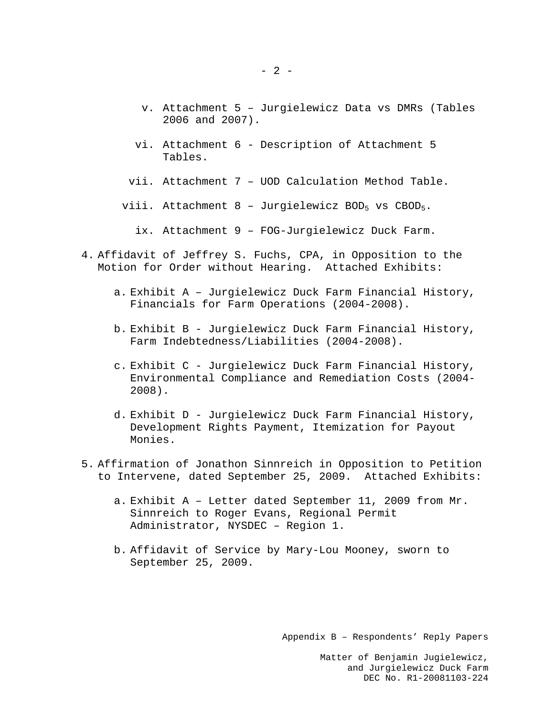- v. Attachment 5 Jurgielewicz Data vs DMRs (Tables 2006 and 2007).
- vi. Attachment 6 Description of Attachment 5 Tables.
- vii. Attachment 7 UOD Calculation Method Table.
- viii. Attachment  $8$  Jurgielewicz BOD<sub>5</sub> vs CBOD<sub>5</sub>.
	- ix. Attachment 9 FOG-Jurgielewicz Duck Farm.
- 4. Affidavit of Jeffrey S. Fuchs, CPA, in Opposition to the Motion for Order without Hearing. Attached Exhibits:
	- a. Exhibit A Jurgielewicz Duck Farm Financial History, Financials for Farm Operations (2004-2008).
	- b. Exhibit B Jurgielewicz Duck Farm Financial History, Farm Indebtedness/Liabilities (2004-2008).
	- c. Exhibit C Jurgielewicz Duck Farm Financial History, Environmental Compliance and Remediation Costs (2004- 2008).
	- d. Exhibit D Jurgielewicz Duck Farm Financial History, Development Rights Payment, Itemization for Payout Monies.
- 5. Affirmation of Jonathon Sinnreich in Opposition to Petition to Intervene, dated September 25, 2009. Attached Exhibits:
	- a. Exhibit A Letter dated September 11, 2009 from Mr. Sinnreich to Roger Evans, Regional Permit Administrator, NYSDEC – Region 1.
	- b. Affidavit of Service by Mary-Lou Mooney, sworn to September 25, 2009.

Appendix B – Respondents' Reply Papers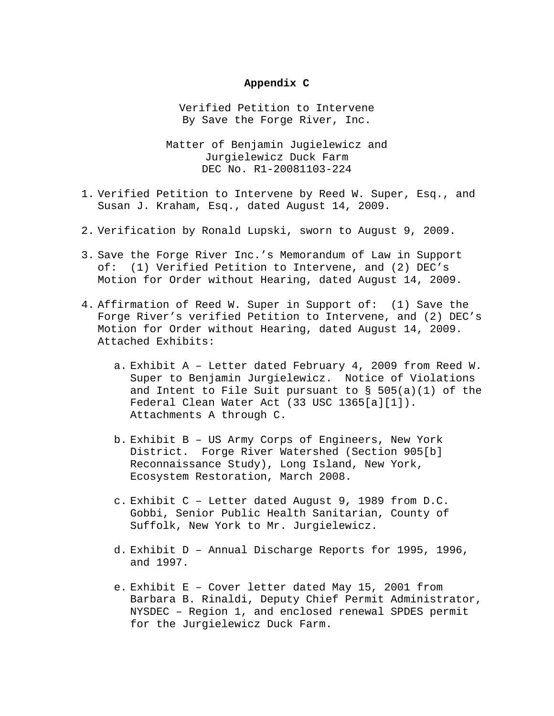### **Appendix C**

Verified Petition to Intervene By Save the Forge River, Inc.

- 1. Verified Petition to Intervene by Reed W. Super, Esq., and Susan J. Kraham, Esq., dated August 14, 2009.
- 2. Verification by Ronald Lupski, sworn to August 9, 2009.
- 3. Save the Forge River Inc.'s Memorandum of Law in Support of: (1) Verified Petition to Intervene, and (2) DEC's Motion for Order without Hearing, dated August 14, 2009.
- 4. Affirmation of Reed W. Super in Support of: (1) Save the Forge River's verified Petition to Intervene, and (2) DEC's Motion for Order without Hearing, dated August 14, 2009. Attached Exhibits:
	- a. Exhibit A Letter dated February 4, 2009 from Reed W. Super to Benjamin Jurgielewicz. Notice of Violations and Intent to File Suit pursuant to  $\S$  505(a)(1) of the Federal Clean Water Act (33 USC 1365[a][1]). Attachments A through C.
	- b. Exhibit B US Army Corps of Engineers, New York District. Forge River Watershed (Section 905[b] Reconnaissance Study), Long Island, New York, Ecosystem Restoration, March 2008.
	- c. Exhibit C Letter dated August 9, 1989 from D.C. Gobbi, Senior Public Health Sanitarian, County of Suffolk, New York to Mr. Jurgielewicz.
	- d. Exhibit D Annual Discharge Reports for 1995, 1996, and 1997.
	- e. Exhibit E Cover letter dated May 15, 2001 from Barbara B. Rinaldi, Deputy Chief Permit Administrator, NYSDEC – Region 1, and enclosed renewal SPDES permit for the Jurgielewicz Duck Farm.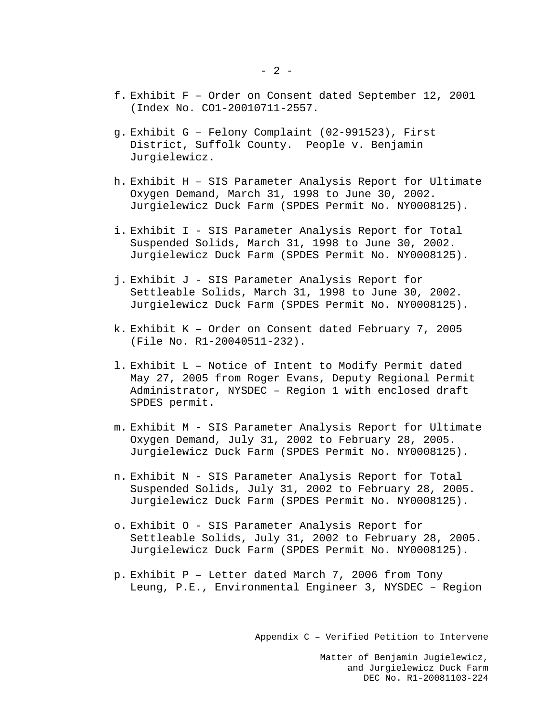- f. Exhibit F Order on Consent dated September 12, 2001 (Index No. CO1-20010711-2557.
- g. Exhibit G Felony Complaint (02-991523), First District, Suffolk County. People v. Benjamin Jurgielewicz.
- h. Exhibit H SIS Parameter Analysis Report for Ultimate Oxygen Demand, March 31, 1998 to June 30, 2002. Jurgielewicz Duck Farm (SPDES Permit No. NY0008125).
- i. Exhibit I SIS Parameter Analysis Report for Total Suspended Solids, March 31, 1998 to June 30, 2002. Jurgielewicz Duck Farm (SPDES Permit No. NY0008125).
- j. Exhibit J SIS Parameter Analysis Report for Settleable Solids, March 31, 1998 to June 30, 2002. Jurgielewicz Duck Farm (SPDES Permit No. NY0008125).
- k. Exhibit K Order on Consent dated February 7, 2005 (File No. R1-20040511-232).
- l. Exhibit L Notice of Intent to Modify Permit dated May 27, 2005 from Roger Evans, Deputy Regional Permit Administrator, NYSDEC – Region 1 with enclosed draft SPDES permit.
- m. Exhibit M SIS Parameter Analysis Report for Ultimate Oxygen Demand, July 31, 2002 to February 28, 2005. Jurgielewicz Duck Farm (SPDES Permit No. NY0008125).
- n. Exhibit N SIS Parameter Analysis Report for Total Suspended Solids, July 31, 2002 to February 28, 2005. Jurgielewicz Duck Farm (SPDES Permit No. NY0008125).
- o. Exhibit O SIS Parameter Analysis Report for Settleable Solids, July 31, 2002 to February 28, 2005. Jurgielewicz Duck Farm (SPDES Permit No. NY0008125).
- p. Exhibit P Letter dated March 7, 2006 from Tony Leung, P.E., Environmental Engineer 3, NYSDEC – Region

Appendix C – Verified Petition to Intervene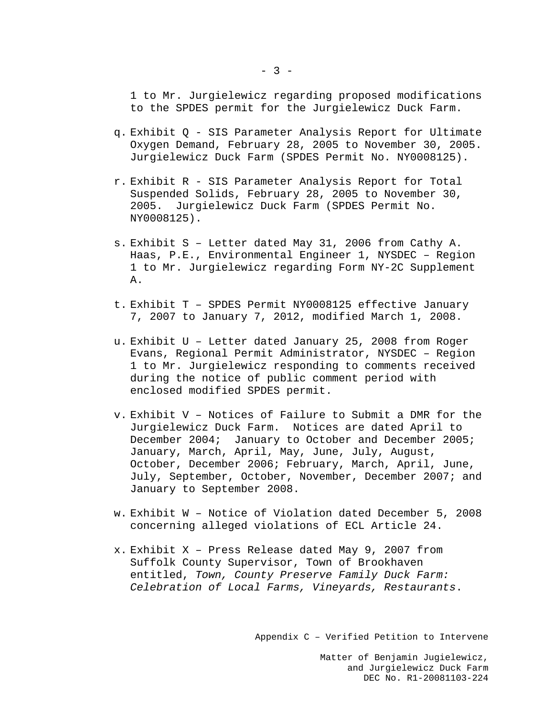1 to Mr. Jurgielewicz regarding proposed modifications to the SPDES permit for the Jurgielewicz Duck Farm.

- q. Exhibit Q SIS Parameter Analysis Report for Ultimate Oxygen Demand, February 28, 2005 to November 30, 2005. Jurgielewicz Duck Farm (SPDES Permit No. NY0008125).
- r. Exhibit R SIS Parameter Analysis Report for Total Suspended Solids, February 28, 2005 to November 30, 2005. Jurgielewicz Duck Farm (SPDES Permit No. NY0008125).
- s. Exhibit S Letter dated May 31, 2006 from Cathy A. Haas, P.E., Environmental Engineer 1, NYSDEC – Region 1 to Mr. Jurgielewicz regarding Form NY-2C Supplement A.
- t. Exhibit T SPDES Permit NY0008125 effective January 7, 2007 to January 7, 2012, modified March 1, 2008.
- u. Exhibit U Letter dated January 25, 2008 from Roger Evans, Regional Permit Administrator, NYSDEC – Region 1 to Mr. Jurgielewicz responding to comments received during the notice of public comment period with enclosed modified SPDES permit.
- v. Exhibit V Notices of Failure to Submit a DMR for the Jurgielewicz Duck Farm. Notices are dated April to December 2004; January to October and December 2005; January, March, April, May, June, July, August, October, December 2006; February, March, April, June, July, September, October, November, December 2007; and January to September 2008.
- w. Exhibit W Notice of Violation dated December 5, 2008 concerning alleged violations of ECL Article 24.
- x. Exhibit X Press Release dated May 9, 2007 from Suffolk County Supervisor, Town of Brookhaven entitled, *Town, County Preserve Family Duck Farm: Celebration of Local Farms, Vineyards, Restaurants*.

Appendix C – Verified Petition to Intervene